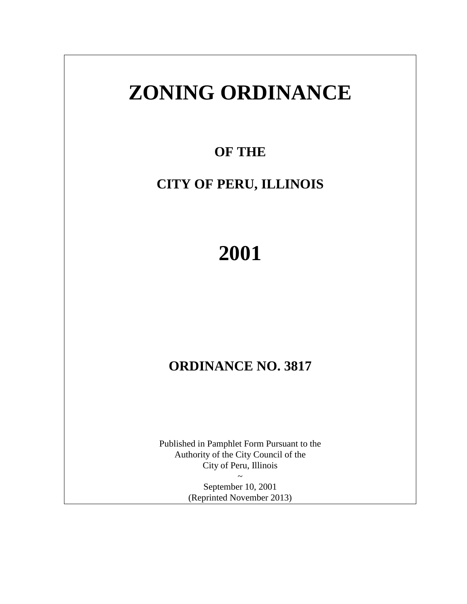# **ZONING ORDINANCE**

**OF THE** 

# **CITY OF PERU, ILLINOIS**

# **2001**

# **ORDINANCE NO. 3817**

Published in Pamphlet Form Pursuant to the Authority of the City Council of the City of Peru, Illinois

> ~ September 10, 2001 (Reprinted November 2013)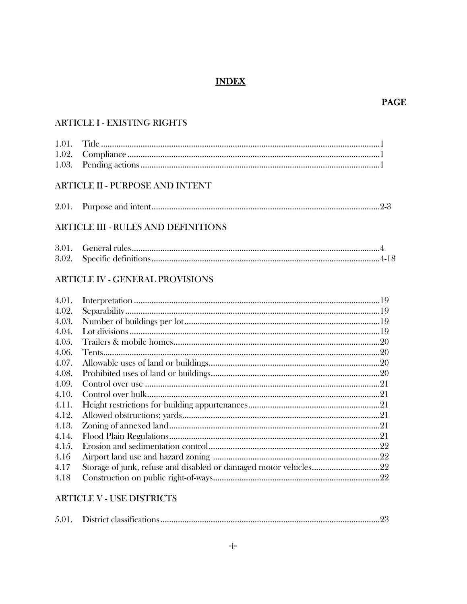# **INDEX**

#### **PAGE**

# **ARTICLE I - EXISTING RIGHTS**

# **ARTICLE II - PURPOSE AND INTENT**

| 2.01 |  |  |  |
|------|--|--|--|
|------|--|--|--|

# **ARTICLE III - RULES AND DEFINITIONS**

#### **ARTICLE IV - GENERAL PROVISIONS**

| 4.01. |  |
|-------|--|
| 4.02. |  |
| 4.03. |  |
| 4.04. |  |
| 4.05. |  |
| 4.06. |  |
| 4.07. |  |
| 4.08. |  |
| 4.09. |  |
| 4.10. |  |
| 4.11. |  |
| 4.12. |  |
| 4.13. |  |
| 4.14. |  |
| 4.15. |  |
| 4.16  |  |
| 4.17  |  |
| 4.18  |  |

#### **ARTICLE V - USE DISTRICTS**

| 5.01 |  |  |
|------|--|--|
|------|--|--|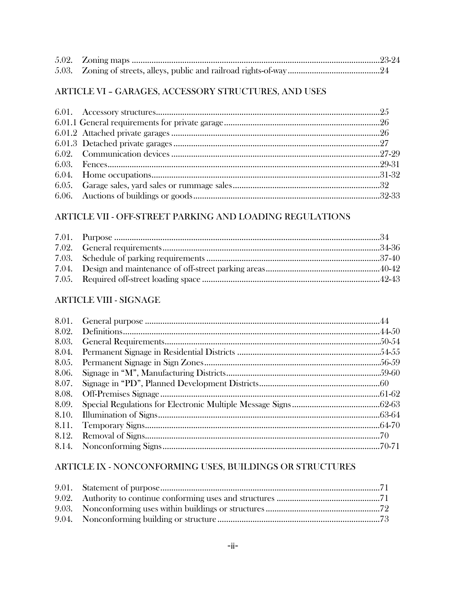# ARTICLE VI - GARAGES, ACCESSORY STRUCTURES, AND USES

#### ARTICLE VII - OFF-STREET PARKING AND LOADING REGULATIONS

# **ARTICLE VIII - SIGNAGE**

| 8.06. |  |
|-------|--|
| 8.07. |  |
|       |  |
| 8.09. |  |
|       |  |
|       |  |
|       |  |
|       |  |

# ARTICLE IX - NONCONFORMING USES, BUILDINGS OR STRUCTURES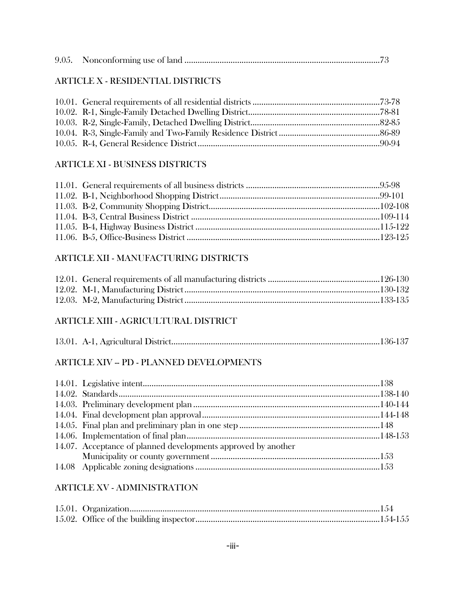|--|--|--|--|--|

# ARTICLE X - RESIDENTIAL DISTRICTS

#### ARTICLE XI - BUSINESS DISTRICTS

# ARTICLE XII - MANUFACTURING DISTRICTS

# ARTICLE XIII - AGRICULTURAL DISTRICT

|--|--|--|

# ARTICLE XIV -- PD - PLANNED DEVELOPMENTS

| 14.07. Acceptance of planned developments approved by another |  |
|---------------------------------------------------------------|--|
|                                                               |  |
|                                                               |  |

# ARTICLE XV - ADMINISTRATION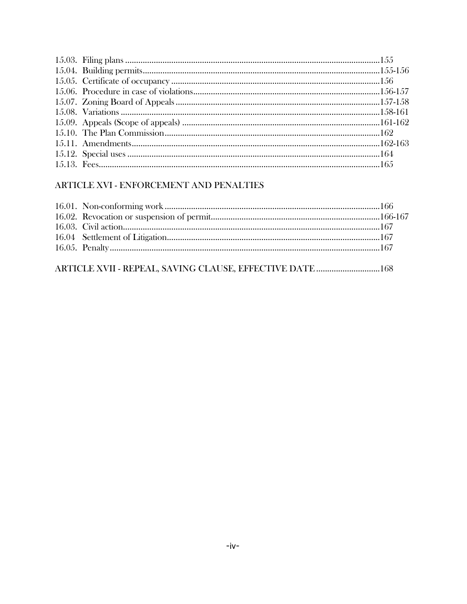# ARTICLE XVI - ENFORCEMENT AND PENALTIES

| ARTICLE XVII - REPEAL, SAVING CLAUSE, EFFECTIVE DATE  168 |  |
|-----------------------------------------------------------|--|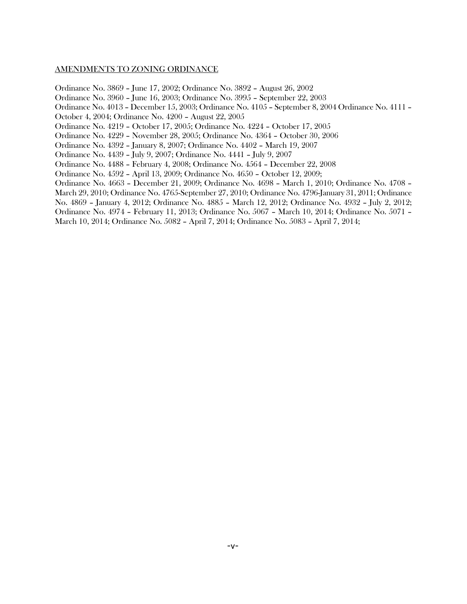#### AMENDMENTS TO ZONING ORDINANCE

Ordinance No. 3869 – June 17, 2002; Ordinance No. 3892 – August 26, 2002

Ordinance No. 3960 – June 16, 2003; Ordinance No. 3995 – September 22, 2003

Ordinance No. 4013 – December 15, 2003; Ordinance No. 4105 – September 8, 2004 Ordinance No. 4111 –

October 4, 2004; Ordinance No. 4200 – August 22, 2005

Ordinance No. 4219 – October 17, 2005; Ordinance No. 4224 – October 17, 2005

Ordinance No. 4229 – November 28, 2005; Ordinance No. 4364 – October 30, 2006

Ordinance No. 4392 – January 8, 2007; Ordinance No. 4402 – March 19, 2007

Ordinance No. 4439 – July 9, 2007; Ordinance No. 4441 – July 9, 2007

Ordinance No. 4488 – February 4, 2008; Ordinance No. 4564 – December 22, 2008

Ordinance No. 4592 – April 13, 2009; Ordinance No. 4650 – October 12, 2009;

Ordinance No. 4663 – December 21, 2009; Ordinance No. 4698 – March 1, 2010; Ordinance No. 4708 –

March 29, 2010; Ordinance No. 4765-September 27, 2010; Ordinance No. 4796-January 31, 2011; Ordinance

No. 4869 – January 4, 2012; Ordinance No. 4885 – March 12, 2012; Ordinance No. 4932 – July 2, 2012;

Ordinance No. 4974 – February 11, 2013; Ordinance No. 5067 – March 10, 2014; Ordinance No. 5071 – March 10, 2014; Ordinance No. 5082 – April 7, 2014; Ordinance No. 5083 – April 7, 2014;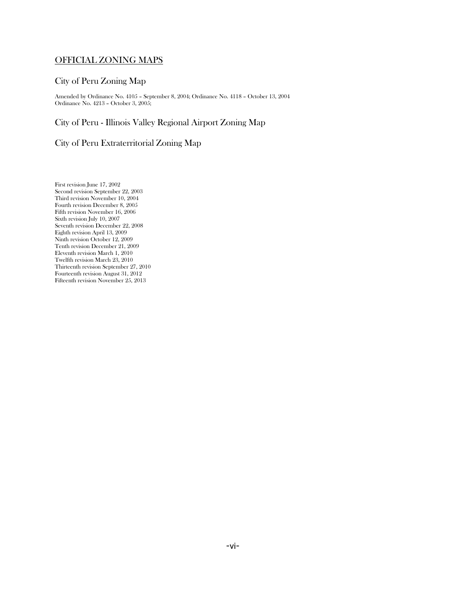#### OFFICIAL ZONING MAPS

#### City of Peru Zoning Map

Amended by Ordinance No. 4105 – September 8, 2004; Ordinance No. 4118 – October 13, 2004 Ordinance No. 4213 – October 3, 2005;

#### City of Peru - Illinois Valley Regional Airport Zoning Map

#### City of Peru Extraterritorial Zoning Map

First revision June 17, 2002 Second revision September 22, 2003 Third revision November 10, 2004 Fourth revision December 8, 2005 Fifth revision November 16, 2006 Sixth revision July 10, 2007 Seventh revision December 22, 2008 Eighth revision April 13, 2009 Ninth revision October 12, 2009 Tenth revision December 21, 2009 Eleventh revision March 1, 2010 Twelfth revision March 23, 2010 Thirteenth revision September 27, 2010 Fourteenth revision August 31, 2012 Fifteenth revision November 25, 2013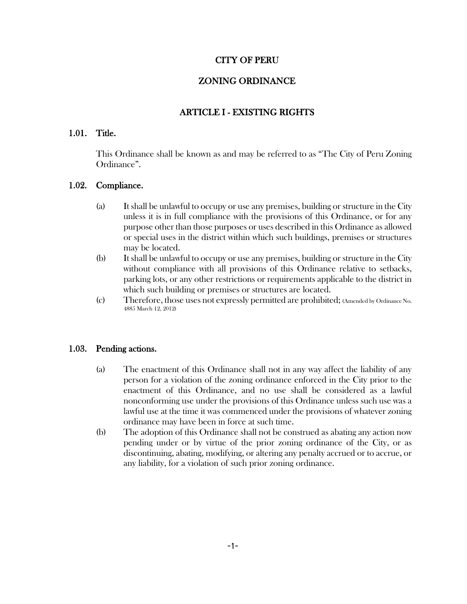#### CITY OF PERU

# ZONING ORDINANCE

# ARTICLE I - EXISTING RIGHTS

#### 1.01. Title.

This Ordinance shall be known as and may be referred to as "The City of Peru Zoning Ordinance".

#### 1.02. Compliance.

- (a) It shall be unlawful to occupy or use any premises, building or structure in the City unless it is in full compliance with the provisions of this Ordinance, or for any purpose other than those purposes or uses described in this Ordinance as allowed or special uses in the district within which such buildings, premises or structures may be located.
- (b) It shall be unlawful to occupy or use any premises, building or structure in the City without compliance with all provisions of this Ordinance relative to setbacks, parking lots, or any other restrictions or requirements applicable to the district in which such building or premises or structures are located.
- (c) Therefore, those uses not expressly permitted are prohibited; (Amended by Ordinance No. 4885 March 12, 2012)

#### 1.03. Pending actions.

- (a) The enactment of this Ordinance shall not in any way affect the liability of any person for a violation of the zoning ordinance enforced in the City prior to the enactment of this Ordinance, and no use shall be considered as a lawful nonconforming use under the provisions of this Ordinance unless such use was a lawful use at the time it was commenced under the provisions of whatever zoning ordinance may have been in force at such time.
- (b) The adoption of this Ordinance shall not be construed as abating any action now pending under or by virtue of the prior zoning ordinance of the City, or as discontinuing, abating, modifying, or altering any penalty accrued or to accrue, or any liability, for a violation of such prior zoning ordinance.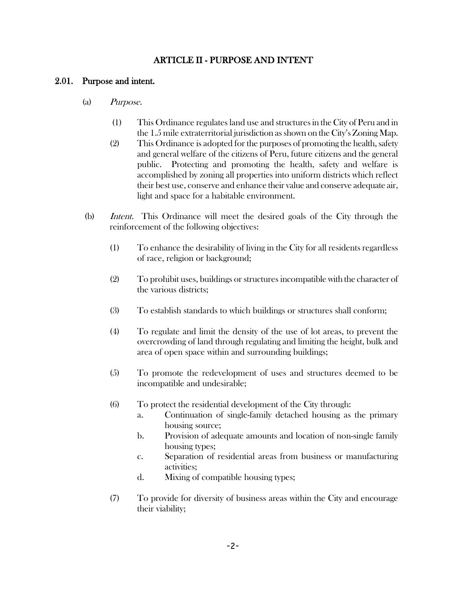#### ARTICLE II - PURPOSE AND INTENT

#### 2.01. Purpose and intent.

- (a) Purpose.
	- (1) This Ordinance regulates land use and structures in the City of Peru and in the 1.5 mile extraterritorial jurisdiction as shown on the City's Zoning Map.
	- (2) This Ordinance is adopted for the purposes of promoting the health, safety and general welfare of the citizens of Peru, future citizens and the general public. Protecting and promoting the health, safety and welfare is accomplished by zoning all properties into uniform districts which reflect their best use, conserve and enhance their value and conserve adequate air, light and space for a habitable environment.
- (b) Intent. This Ordinance will meet the desired goals of the City through the reinforcement of the following objectives:
	- (1) To enhance the desirability of living in the City for all residents regardless of race, religion or background;
	- (2) To prohibit uses, buildings or structures incompatible with the character of the various districts;
	- (3) To establish standards to which buildings or structures shall conform;
	- (4) To regulate and limit the density of the use of lot areas, to prevent the overcrowding of land through regulating and limiting the height, bulk and area of open space within and surrounding buildings;
	- (5) To promote the redevelopment of uses and structures deemed to be incompatible and undesirable;
	- (6) To protect the residential development of the City through:
		- a. Continuation of single-family detached housing as the primary housing source;
		- b. Provision of adequate amounts and location of non-single family housing types;
		- c. Separation of residential areas from business or manufacturing activities;
		- d. Mixing of compatible housing types;
	- (7) To provide for diversity of business areas within the City and encourage their viability;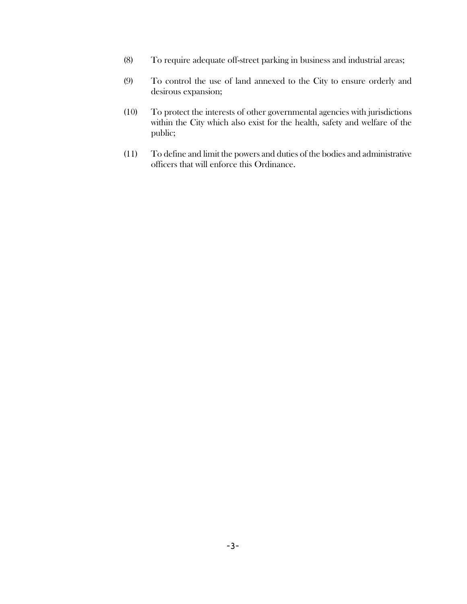- (8) To require adequate off-street parking in business and industrial areas;
- (9) To control the use of land annexed to the City to ensure orderly and desirous expansion;
- (10) To protect the interests of other governmental agencies with jurisdictions within the City which also exist for the health, safety and welfare of the public;
- (11) To define and limit the powers and duties of the bodies and administrative officers that will enforce this Ordinance.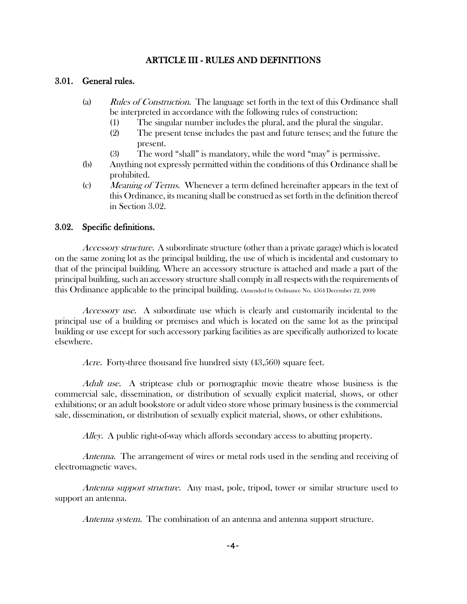#### ARTICLE III - RULES AND DEFINITIONS

#### 3.01. General rules.

- (a) Rules of Construction. The language set forth in the text of this Ordinance shall be interpreted in accordance with the following rules of construction:
	- (1) The singular number includes the plural, and the plural the singular.
	- (2) The present tense includes the past and future tenses; and the future the present.
	- (3) The word "shall" is mandatory, while the word "may" is permissive.
- (b) Anything not expressly permitted within the conditions of this Ordinance shall be prohibited.
- (c) Meaning of Terms. Whenever a term defined hereinafter appears in the text of this Ordinance, its meaning shall be construed as set forth in the definition thereof in Section 3.02.

#### 3.02. Specific definitions.

Accessory structure. A subordinate structure (other than a private garage) which is located on the same zoning lot as the principal building, the use of which is incidental and customary to that of the principal building. Where an accessory structure is attached and made a part of the principal building, such an accessory structure shall comply in all respects with the requirements of this Ordinance applicable to the principal building. (Amended by Ordinance No. 4564 December 22, 2008)

Accessory use. A subordinate use which is clearly and customarily incidental to the principal use of a building or premises and which is located on the same lot as the principal building or use except for such accessory parking facilities as are specifically authorized to locate elsewhere.

Acre. Forty-three thousand five hundred sixty (43,560) square feet.

Adult use. A striptease club or pornographic movie theatre whose business is the commercial sale, dissemination, or distribution of sexually explicit material, shows, or other exhibitions; or an adult bookstore or adult video store whose primary business is the commercial sale, dissemination, or distribution of sexually explicit material, shows, or other exhibitions.

Alley. A public right-of-way which affords secondary access to abutting property.

Antenna. The arrangement of wires or metal rods used in the sending and receiving of electromagnetic waves.

Antenna support structure. Any mast, pole, tripod, tower or similar structure used to support an antenna.

Antenna system. The combination of an antenna and antenna support structure.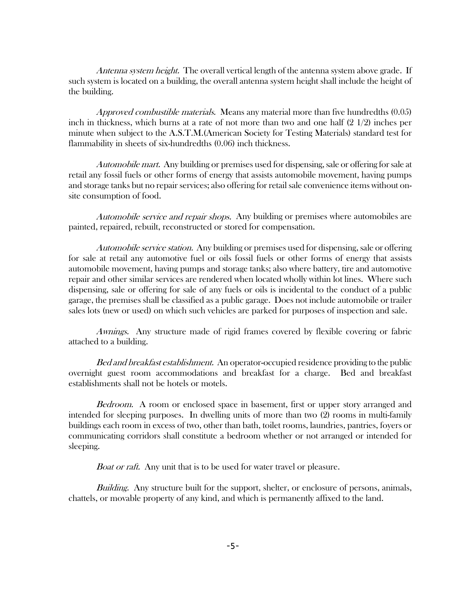Antenna system height. The overall vertical length of the antenna system above grade. If such system is located on a building, the overall antenna system height shall include the height of the building.

Approved combustible materials. Means any material more than five hundredths  $(0.05)$ inch in thickness, which burns at a rate of not more than two and one half (2 1/2) inches per minute when subject to the A.S.T.M.(American Society for Testing Materials) standard test for flammability in sheets of six-hundredths (0.06) inch thickness.

Automobile mart. Any building or premises used for dispensing, sale or offering for sale at retail any fossil fuels or other forms of energy that assists automobile movement, having pumps and storage tanks but no repair services; also offering for retail sale convenience items without onsite consumption of food.

Automobile service and repair shops. Any building or premises where automobiles are painted, repaired, rebuilt, reconstructed or stored for compensation.

Automobile service station. Any building or premises used for dispensing, sale or offering for sale at retail any automotive fuel or oils fossil fuels or other forms of energy that assists automobile movement, having pumps and storage tanks; also where battery, tire and automotive repair and other similar services are rendered when located wholly within lot lines. Where such dispensing, sale or offering for sale of any fuels or oils is incidental to the conduct of a public garage, the premises shall be classified as a public garage. Does not include automobile or trailer sales lots (new or used) on which such vehicles are parked for purposes of inspection and sale.

Awnings. Any structure made of rigid frames covered by flexible covering or fabric attached to a building.

Bed and breakfast establishment. An operator-occupied residence providing to the public overnight guest room accommodations and breakfast for a charge. Bed and breakfast establishments shall not be hotels or motels.

Bedroom. A room or enclosed space in basement, first or upper story arranged and intended for sleeping purposes. In dwelling units of more than two (2) rooms in multi-family buildings each room in excess of two, other than bath, toilet rooms, laundries, pantries, foyers or communicating corridors shall constitute a bedroom whether or not arranged or intended for sleeping.

Boat or raft. Any unit that is to be used for water travel or pleasure.

Building. Any structure built for the support, shelter, or enclosure of persons, animals, chattels, or movable property of any kind, and which is permanently affixed to the land.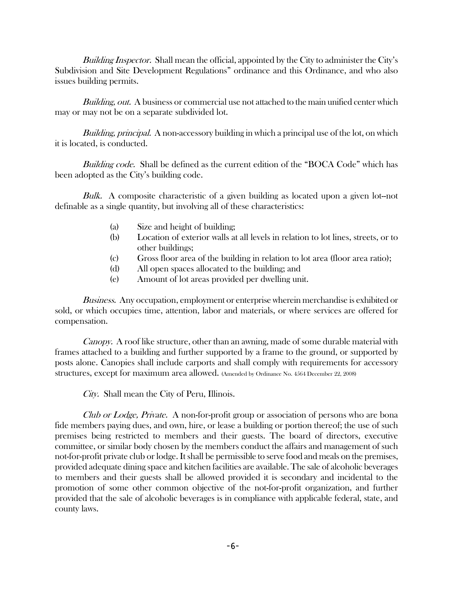Building Inspector. Shall mean the official, appointed by the City to administer the City's Subdivision and Site Development Regulations" ordinance and this Ordinance, and who also issues building permits.

Building, out. A business or commercial use not attached to the main unified center which may or may not be on a separate subdivided lot.

Building, principal. A non-accessory building in which a principal use of the lot, on which it is located, is conducted.

Building code. Shall be defined as the current edition of the "BOCA Code" which has been adopted as the City's building code.

Bulk. A composite characteristic of a given building as located upon a given lot-not definable as a single quantity, but involving all of these characteristics:

- (a) Size and height of building;
- (b) Location of exterior walls at all levels in relation to lot lines, streets, or to other buildings;
- (c) Gross floor area of the building in relation to lot area (floor area ratio);
- (d) All open spaces allocated to the building; and
- (e) Amount of lot areas provided per dwelling unit.

Business. Any occupation, employment or enterprise wherein merchandise is exhibited or sold, or which occupies time, attention, labor and materials, or where services are offered for compensation.

Canopy. A roof like structure, other than an awning, made of some durable material with frames attached to a building and further supported by a frame to the ground, or supported by posts alone. Canopies shall include carports and shall comply with requirements for accessory structures, except for maximum area allowed. (Amended by Ordinance No. 4564 December 22, 2008)

City. Shall mean the City of Peru, Illinois.

Club or Lodge, Private. A non-for-profit group or association of persons who are bona fide members paying dues, and own, hire, or lease a building or portion thereof; the use of such premises being restricted to members and their guests. The board of directors, executive committee, or similar body chosen by the members conduct the affairs and management of such not-for-profit private club or lodge. It shall be permissible to serve food and meals on the premises, provided adequate dining space and kitchen facilities are available. The sale of alcoholic beverages to members and their guests shall be allowed provided it is secondary and incidental to the promotion of some other common objective of the not-for-profit organization, and further provided that the sale of alcoholic beverages is in compliance with applicable federal, state, and county laws.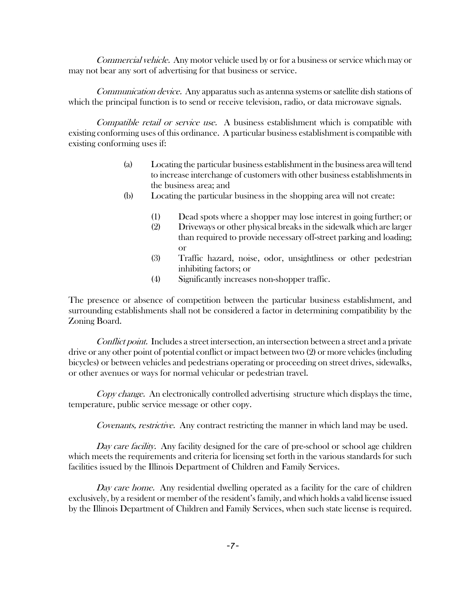Commercial vehicle. Any motor vehicle used by or for a business or service which may or may not bear any sort of advertising for that business or service.

Communication device. Any apparatus such as antenna systems or satellite dish stations of which the principal function is to send or receive television, radio, or data microwave signals.

Compatible retail or service use. A business establishment which is compatible with existing conforming uses of this ordinance. A particular business establishment is compatible with existing conforming uses if:

- (a) Locating the particular business establishment in the business area will tend to increase interchange of customers with other business establishments in the business area; and
- (b) Locating the particular business in the shopping area will not create:
	- (1) Dead spots where a shopper may lose interest in going further; or
	- (2) Driveways or other physical breaks in the sidewalk which are larger than required to provide necessary off-street parking and loading; or
	- (3) Traffic hazard, noise, odor, unsightliness or other pedestrian inhibiting factors; or
	- (4) Significantly increases non-shopper traffic.

The presence or absence of competition between the particular business establishment, and surrounding establishments shall not be considered a factor in determining compatibility by the Zoning Board.

Conflict point. Includes a street intersection, an intersection between a street and a private drive or any other point of potential conflict or impact between two (2) or more vehicles (including bicycles) or between vehicles and pedestrians operating or proceeding on street drives, sidewalks, or other avenues or ways for normal vehicular or pedestrian travel.

Copy change. An electronically controlled advertising structure which displays the time, temperature, public service message or other copy.

Covenants, restrictive. Any contract restricting the manner in which land may be used.

Day care facility. Any facility designed for the care of pre-school or school age children which meets the requirements and criteria for licensing set forth in the various standards for such facilities issued by the Illinois Department of Children and Family Services.

Day care home. Any residential dwelling operated as a facility for the care of children exclusively, by a resident or member of the resident's family, and which holds a valid license issued by the Illinois Department of Children and Family Services, when such state license is required.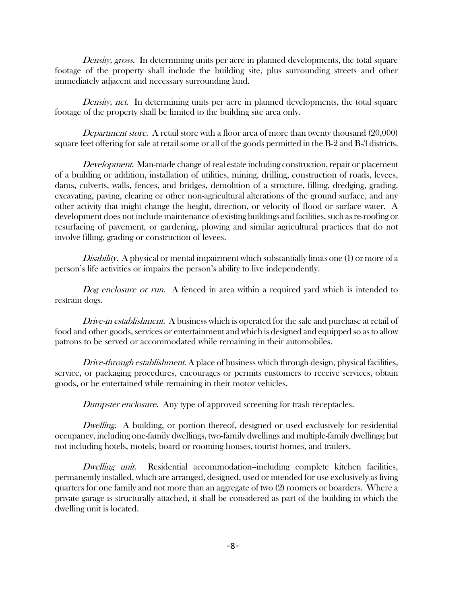Density, gross. In determining units per acre in planned developments, the total square footage of the property shall include the building site, plus surrounding streets and other immediately adjacent and necessary surrounding land.

Density, net. In determining units per acre in planned developments, the total square footage of the property shall be limited to the building site area only.

Department store. A retail store with a floor area of more than twenty thousand (20,000) square feet offering for sale at retail some or all of the goods permitted in the B-2 and B-3 districts.

Development. Man-made change of real estate including construction, repair or placement of a building or addition, installation of utilities, mining, drilling, construction of roads, levees, dams, culverts, walls, fences, and bridges, demolition of a structure, filling, dredging, grading, excavating, paving, clearing or other non-agricultural alterations of the ground surface, and any other activity that might change the height, direction, or velocity of flood or surface water. A development does not include maintenance of existing buildings and facilities, such as re-roofing or resurfacing of pavement, or gardening, plowing and similar agricultural practices that do not involve filling, grading or construction of levees.

Disability. A physical or mental impairment which substantially limits one (1) or more of a person's life activities or impairs the person's ability to live independently.

Dog enclosure or run. A fenced in area within a required yard which is intended to restrain dogs.

Drive-in establishment. A business which is operated for the sale and purchase at retail of food and other goods, services or entertainment and which is designed and equipped so as to allow patrons to be served or accommodated while remaining in their automobiles.

Drive-through establishment. A place of business which through design, physical facilities, service, or packaging procedures, encourages or permits customers to receive services, obtain goods, or be entertained while remaining in their motor vehicles.

Dumpster enclosure. Any type of approved screening for trash receptacles.

Dwelling. A building, or portion thereof, designed or used exclusively for residential occupancy, including one-family dwellings, two-family dwellings and multiple-family dwellings; but not including hotels, motels, board or rooming houses, tourist homes, and trailers.

Dwelling unit. Residential accommodation-including complete kitchen facilities, permanently installed, which are arranged, designed, used or intended for use exclusively as living quarters for one family and not more than an aggregate of two (2) roomers or boarders. Where a private garage is structurally attached, it shall be considered as part of the building in which the dwelling unit is located.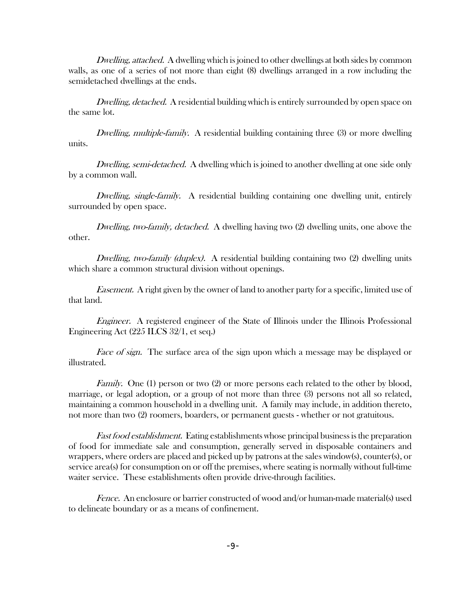Dwelling, attached. A dwelling which is joined to other dwellings at both sides by common walls, as one of a series of not more than eight (8) dwellings arranged in a row including the semidetached dwellings at the ends.

Dwelling, detached. A residential building which is entirely surrounded by open space on the same lot.

Dwelling, multiple-family. A residential building containing three (3) or more dwelling units.

Dwelling, semi-detached. A dwelling which is joined to another dwelling at one side only by a common wall.

Dwelling, single-family. A residential building containing one dwelling unit, entirely surrounded by open space.

Dwelling, two-family, detached. A dwelling having two (2) dwelling units, one above the other.

Dwelling, two-family (duplex). A residential building containing two (2) dwelling units which share a common structural division without openings.

Easement. A right given by the owner of land to another party for a specific, limited use of that land.

Engineer. A registered engineer of the State of Illinois under the Illinois Professional Engineering Act (225 ILCS 32/1, et seq.)

Face of sign. The surface area of the sign upon which a message may be displayed or illustrated.

*Family.* One (1) person or two (2) or more persons each related to the other by blood, marriage, or legal adoption, or a group of not more than three (3) persons not all so related, maintaining a common household in a dwelling unit. A family may include, in addition thereto, not more than two (2) roomers, boarders, or permanent guests - whether or not gratuitous.

Fast food establishment. Eating establishments whose principal business is the preparation of food for immediate sale and consumption, generally served in disposable containers and wrappers, where orders are placed and picked up by patrons at the sales window(s), counter(s), or service area(s) for consumption on or off the premises, where seating is normally without full-time waiter service. These establishments often provide drive-through facilities.

Fence. An enclosure or barrier constructed of wood and/or human-made material(s) used to delineate boundary or as a means of confinement.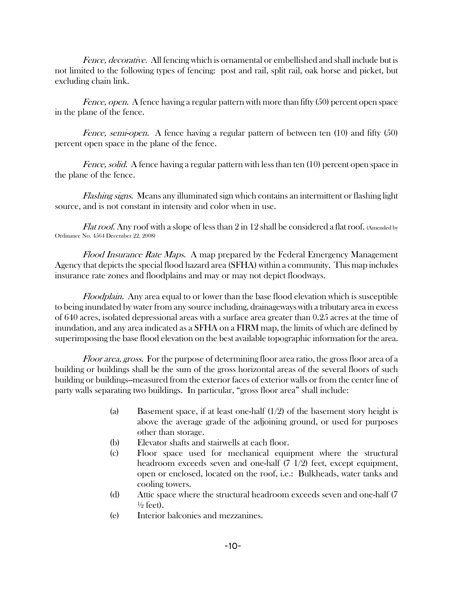Fence, decorative. All fencing which is ornamental or embellished and shall include but is not limited to the following types of fencing: post and rail, split rail, oak horse and picket, but excluding chain link.

Fence, open. A fence having a regular pattern with more than fifty (50) percent open space in the plane of the fence.

Fence, semi-open. A fence having a regular pattern of between ten (10) and fifty (50) percent open space in the plane of the fence.

Fence, solid. A fence having a regular pattern with less than ten (10) percent open space in the plane of the fence.

Flashing signs. Means any illuminated sign which contains an intermittent or flashing light source, and is not constant in intensity and color when in use.

*Flat roof.* Any roof with a slope of less than 2 in 12 shall be considered a flat roof. (Amended by Ordinance No. 4564 December 22, 2008)

Flood Insurance Rate Maps. A map prepared by the Federal Emergency Management Agency that depicts the special flood hazard area (SFHA) within a community. This map includes insurance rate zones and floodplains and may or may not depict floodways.

Floodplain. Any area equal to or lower than the base flood elevation which is susceptible to being inundated by water from any source including, drainageways with a tributary area in excess of 640 acres, isolated depressional areas with a surface area greater than 0.25 acres at the time of inundation, and any area indicated as a SFHA on a FIRM map, the limits of which are defined by superimposing the base flood elevation on the best available topographic information for the area.

Floor area, gross. For the purpose of determining floor area ratio, the gross floor area of a building or buildings shall be the sum of the gross horizontal areas of the several floors of such building or buildings--measured from the exterior faces of exterior walls or from the center line of party walls separating two buildings. In particular, "gross floor area" shall include:

- (a) Basement space, if at least one-half  $(1/2)$  of the basement story height is above the average grade of the adjoining ground, or used for purposes other than storage.
- (b) Elevator shafts and stairwells at each floor.
- (c) Floor space used for mechanical equipment where the structural headroom exceeds seven and one-half (7 1/2) feet, except equipment, open or enclosed, located on the roof, i.e.: Bulkheads, water tanks and cooling towers.
- (d) Attic space where the structural headroom exceeds seven and one-half (7  $\frac{1}{2}$  feet).
- (e) Interior balconies and mezzanines.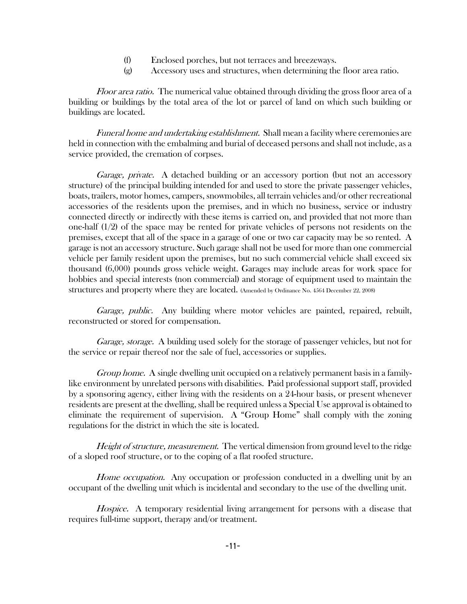- (f) Enclosed porches, but not terraces and breezeways.
- (g) Accessory uses and structures, when determining the floor area ratio.

Floor area ratio. The numerical value obtained through dividing the gross floor area of a building or buildings by the total area of the lot or parcel of land on which such building or buildings are located.

Funeral home and undertaking establishment. Shall mean a facility where ceremonies are held in connection with the embalming and burial of deceased persons and shall not include, as a service provided, the cremation of corpses.

Garage, private. A detached building or an accessory portion (but not an accessory structure) of the principal building intended for and used to store the private passenger vehicles, boats, trailers, motor homes, campers, snowmobiles, all terrain vehicles and/or other recreational accessories of the residents upon the premises, and in which no business, service or industry connected directly or indirectly with these items is carried on, and provided that not more than one-half (1/2) of the space may be rented for private vehicles of persons not residents on the premises, except that all of the space in a garage of one or two car capacity may be so rented. A garage is not an accessory structure. Such garage shall not be used for more than one commercial vehicle per family resident upon the premises, but no such commercial vehicle shall exceed six thousand (6,000) pounds gross vehicle weight. Garages may include areas for work space for hobbies and special interests (non commercial) and storage of equipment used to maintain the structures and property where they are located. (Amended by Ordinance No. 4564 December 22, 2008)

Garage, public. Any building where motor vehicles are painted, repaired, rebuilt, reconstructed or stored for compensation.

Garage, storage. A building used solely for the storage of passenger vehicles, but not for the service or repair thereof nor the sale of fuel, accessories or supplies.

Group home. A single dwelling unit occupied on a relatively permanent basis in a familylike environment by unrelated persons with disabilities. Paid professional support staff, provided by a sponsoring agency, either living with the residents on a 24-hour basis, or present whenever residents are present at the dwelling, shall be required unless a Special Use approval is obtained to eliminate the requirement of supervision. A "Group Home" shall comply with the zoning regulations for the district in which the site is located.

Height of structure, measurement. The vertical dimension from ground level to the ridge of a sloped roof structure, or to the coping of a flat roofed structure.

Home occupation. Any occupation or profession conducted in a dwelling unit by an occupant of the dwelling unit which is incidental and secondary to the use of the dwelling unit.

Hospice. A temporary residential living arrangement for persons with a disease that requires full-time support, therapy and/or treatment.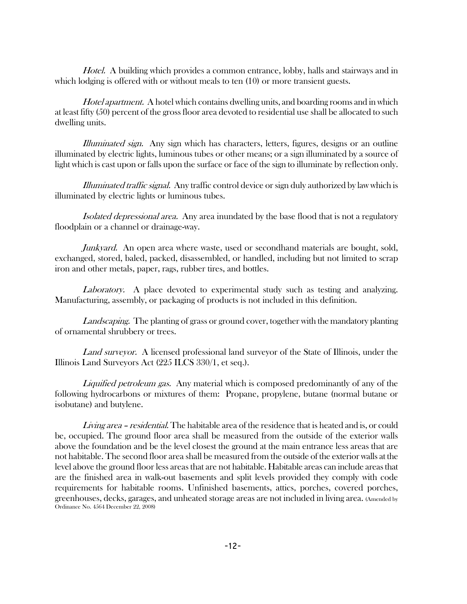Hotel. A building which provides a common entrance, lobby, halls and stairways and in which lodging is offered with or without meals to ten (10) or more transient guests.

Hotel apartment. A hotel which contains dwelling units, and boarding rooms and in which at least fifty (50) percent of the gross floor area devoted to residential use shall be allocated to such dwelling units.

Illuminated sign. Any sign which has characters, letters, figures, designs or an outline illuminated by electric lights, luminous tubes or other means; or a sign illuminated by a source of light which is cast upon or falls upon the surface or face of the sign to illuminate by reflection only.

Illuminated traffic signal. Any traffic control device or sign duly authorized by law which is illuminated by electric lights or luminous tubes.

Isolated depressional area. Any area inundated by the base flood that is not a regulatory floodplain or a channel or drainage-way.

Junkyard. An open area where waste, used or secondhand materials are bought, sold, exchanged, stored, baled, packed, disassembled, or handled, including but not limited to scrap iron and other metals, paper, rags, rubber tires, and bottles.

Laboratory. A place devoted to experimental study such as testing and analyzing. Manufacturing, assembly, or packaging of products is not included in this definition.

Landscaping. The planting of grass or ground cover, together with the mandatory planting of ornamental shrubbery or trees.

Land surveyor. A licensed professional land surveyor of the State of Illinois, under the Illinois Land Surveyors Act (225 ILCS 330/1, et seq.).

Liquified petroleum gas. Any material which is composed predominantly of any of the following hydrocarbons or mixtures of them: Propane, propylene, butane (normal butane or isobutane) and butylene.

Living area – residential. The habitable area of the residence that is heated and is, or could be, occupied. The ground floor area shall be measured from the outside of the exterior walls above the foundation and be the level closest the ground at the main entrance less areas that are not habitable. The second floor area shall be measured from the outside of the exterior walls at the level above the ground floor less areas that are not habitable. Habitable areas can include areas that are the finished area in walk-out basements and split levels provided they comply with code requirements for habitable rooms. Unfinished basements, attics, porches, covered porches, greenhouses, decks, garages, and unheated storage areas are not included in living area. (Amended by Ordinance No. 4564 December 22, 2008)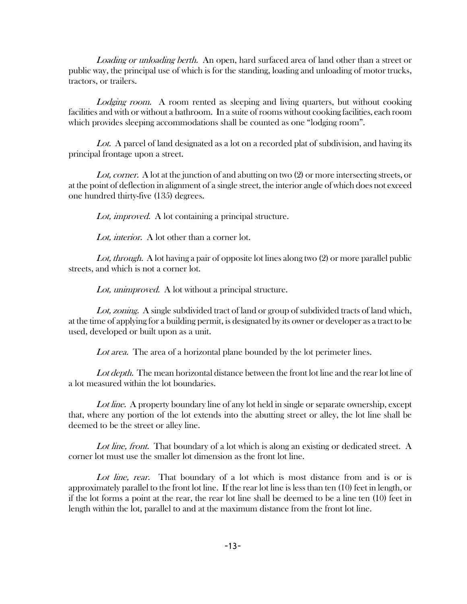Loading or unloading berth. An open, hard surfaced area of land other than a street or public way, the principal use of which is for the standing, loading and unloading of motor trucks, tractors, or trailers.

Lodging room. A room rented as sleeping and living quarters, but without cooking facilities and with or without a bathroom. In a suite of rooms without cooking facilities, each room which provides sleeping accommodations shall be counted as one "lodging room".

Lot. A parcel of land designated as a lot on a recorded plat of subdivision, and having its principal frontage upon a street.

Lot, corner. A lot at the junction of and abutting on two (2) or more intersecting streets, or at the point of deflection in alignment of a single street, the interior angle of which does not exceed one hundred thirty-five (135) degrees.

Lot, improved. A lot containing a principal structure.

Lot, interior. A lot other than a corner lot.

Lot, through. A lot having a pair of opposite lot lines along two (2) or more parallel public streets, and which is not a corner lot.

Lot, unimproved. A lot without a principal structure.

Lot, zoning. A single subdivided tract of land or group of subdivided tracts of land which, at the time of applying for a building permit, is designated by its owner or developer as a tract to be used, developed or built upon as a unit.

Lot area. The area of a horizontal plane bounded by the lot perimeter lines.

Lot depth. The mean horizontal distance between the front lot line and the rear lot line of a lot measured within the lot boundaries.

Lot line. A property boundary line of any lot held in single or separate ownership, except that, where any portion of the lot extends into the abutting street or alley, the lot line shall be deemed to be the street or alley line.

Lot line, front. That boundary of a lot which is along an existing or dedicated street. A corner lot must use the smaller lot dimension as the front lot line.

Lot line, rear. That boundary of a lot which is most distance from and is or is approximately parallel to the front lot line. If the rear lot line is less than ten (10) feet in length, or if the lot forms a point at the rear, the rear lot line shall be deemed to be a line ten (10) feet in length within the lot, parallel to and at the maximum distance from the front lot line.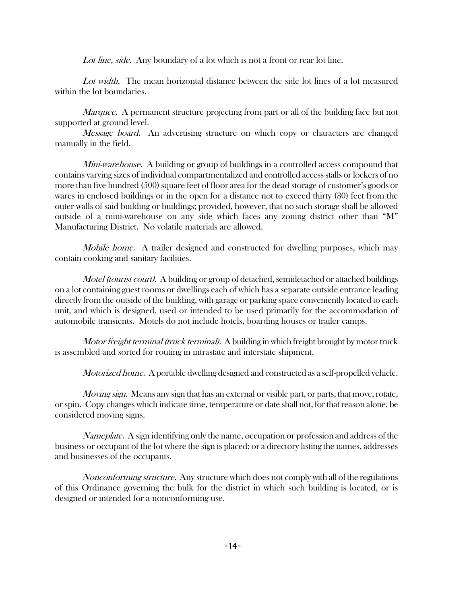Lot line, side. Any boundary of a lot which is not a front or rear lot line.

Lot width. The mean horizontal distance between the side lot lines of a lot measured within the lot boundaries.

*Marquee.* A permanent structure projecting from part or all of the building face but not supported at ground level.

*Message board.* An advertising structure on which copy or characters are changed manually in the field.

Mini-warehouse. A building or group of buildings in a controlled access compound that contains varying sizes of individual compartmentalized and controlled access stalls or lockers of no more than five hundred (500) square feet of floor area for the dead storage of customer's goods or wares in enclosed buildings or in the open for a distance not to exceed thirty (30) feet from the outer walls of said building or buildings; provided, however, that no such storage shall be allowed outside of a mini-warehouse on any side which faces any zoning district other than "M" Manufacturing District. No volatile materials are allowed.

Mobile home. A trailer designed and constructed for dwelling purposes, which may contain cooking and sanitary facilities.

Motel (tourist court). A building or group of detached, semidetached or attached buildings on a lot containing guest rooms or dwellings each of which has a separate outside entrance leading directly from the outside of the building, with garage or parking space conveniently located to each unit, and which is designed, used or intended to be used primarily for the accommodation of automobile transients. Motels do not include hotels, boarding houses or trailer camps.

Motor freight terminal (truck terminal). A building in which freight brought by motor truck is assembled and sorted for routing in intrastate and interstate shipment.

Motorized home. A portable dwelling designed and constructed as a self-propelled vehicle.

Moving sign. Means any sign that has an external or visible part, or parts, that move, rotate, or spin. Copy changes which indicate time, temperature or date shall not, for that reason alone, be considered moving signs.

Nameplate. A sign identifying only the name, occupation or profession and address of the business or occupant of the lot where the sign is placed; or a directory listing the names, addresses and businesses of the occupants.

Nonconforming structure. Any structure which does not comply with all of the regulations of this Ordinance governing the bulk for the district in which such building is located, or is designed or intended for a nonconforming use.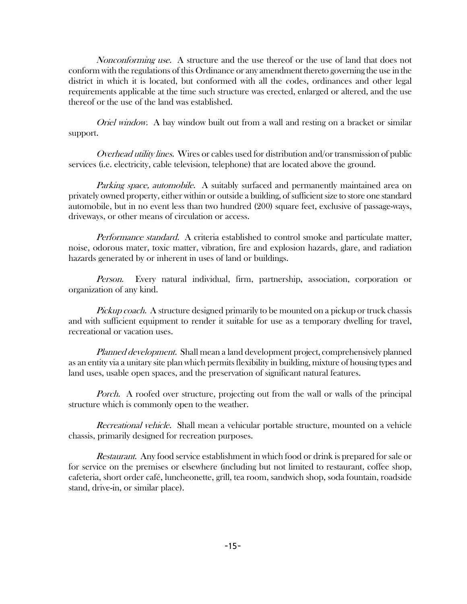Nonconforming use. A structure and the use thereof or the use of land that does not conform with the regulations of this Ordinance or any amendment thereto governing the use in the district in which it is located, but conformed with all the codes, ordinances and other legal requirements applicable at the time such structure was erected, enlarged or altered, and the use thereof or the use of the land was established.

Oriel window. A bay window built out from a wall and resting on a bracket or similar support.

Overhead utility lines. Wires or cables used for distribution and/or transmission of public services (i.e. electricity, cable television, telephone) that are located above the ground.

Parking space, automobile. A suitably surfaced and permanently maintained area on privately owned property, either within or outside a building, of sufficient size to store one standard automobile, but in no event less than two hundred (200) square feet, exclusive of passage-ways, driveways, or other means of circulation or access.

Performance standard. A criteria established to control smoke and particulate matter, noise, odorous mater, toxic matter, vibration, fire and explosion hazards, glare, and radiation hazards generated by or inherent in uses of land or buildings.

Person. Every natural individual, firm, partnership, association, corporation or organization of any kind.

Pickup coach. A structure designed primarily to be mounted on a pickup or truck chassis and with sufficient equipment to render it suitable for use as a temporary dwelling for travel, recreational or vacation uses.

Planned development. Shall mean a land development project, comprehensively planned as an entity via a unitary site plan which permits flexibility in building, mixture of housing types and land uses, usable open spaces, and the preservation of significant natural features.

Porch. A roofed over structure, projecting out from the wall or walls of the principal structure which is commonly open to the weather.

Recreational vehicle. Shall mean a vehicular portable structure, mounted on a vehicle chassis, primarily designed for recreation purposes.

Restaurant. Any food service establishment in which food or drink is prepared for sale or for service on the premises or elsewhere (including but not limited to restaurant, coffee shop, cafeteria, short order café, luncheonette, grill, tea room, sandwich shop, soda fountain, roadside stand, drive-in, or similar place).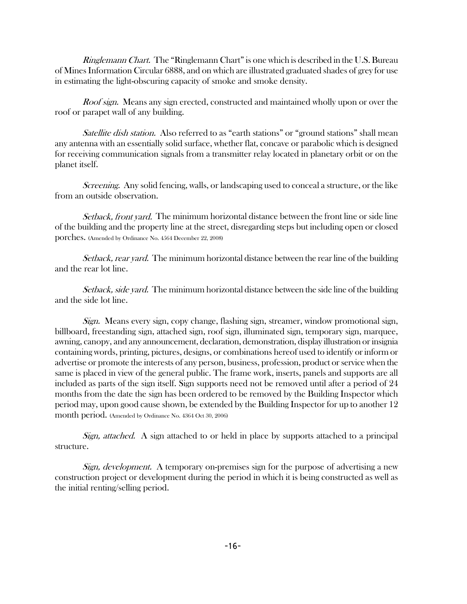Ringlemann Chart. The "Ringlemann Chart" is one which is described in the U.S. Bureau of Mines Information Circular 6888, and on which are illustrated graduated shades of grey for use in estimating the light-obscuring capacity of smoke and smoke density.

Roof sign. Means any sign erected, constructed and maintained wholly upon or over the roof or parapet wall of any building.

Satellite dish station. Also referred to as "earth stations" or "ground stations" shall mean any antenna with an essentially solid surface, whether flat, concave or parabolic which is designed for receiving communication signals from a transmitter relay located in planetary orbit or on the planet itself.

Screening. Any solid fencing, walls, or landscaping used to conceal a structure, or the like from an outside observation.

Setback, front yard. The minimum horizontal distance between the front line or side line of the building and the property line at the street, disregarding steps but including open or closed porches. (Amended by Ordinance No. 4564 December 22, 2008)

Setback, rear yard. The minimum horizontal distance between the rear line of the building and the rear lot line.

Setback, side yard. The minimum horizontal distance between the side line of the building and the side lot line.

Sign. Means every sign, copy change, flashing sign, streamer, window promotional sign, billboard, freestanding sign, attached sign, roof sign, illuminated sign, temporary sign, marquee, awning, canopy, and any announcement, declaration, demonstration, display illustration or insignia containing words, printing, pictures, designs, or combinations hereof used to identify or inform or advertise or promote the interests of any person, business, profession, product or service when the same is placed in view of the general public. The frame work, inserts, panels and supports are all included as parts of the sign itself. Sign supports need not be removed until after a period of 24 months from the date the sign has been ordered to be removed by the Building Inspector which period may, upon good cause shown, be extended by the Building Inspector for up to another 12 month period. (Amended by Ordinance No. 4364 Oct 30, 2006)

Sign, attached. A sign attached to or held in place by supports attached to a principal structure.

Sign, development. A temporary on-premises sign for the purpose of advertising a new construction project or development during the period in which it is being constructed as well as the initial renting/selling period.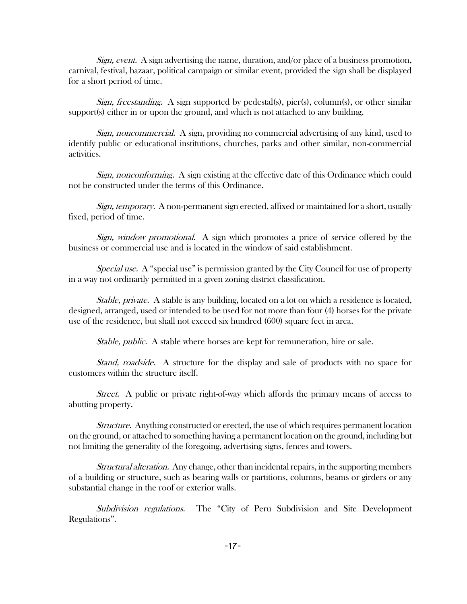Sign, event. A sign advertising the name, duration, and/or place of a business promotion, carnival, festival, bazaar, political campaign or similar event, provided the sign shall be displayed for a short period of time.

Sign, freestanding. A sign supported by pedestal(s), pier(s), column(s), or other similar support(s) either in or upon the ground, and which is not attached to any building.

Sign, noncommercial. A sign, providing no commercial advertising of any kind, used to identify public or educational institutions, churches, parks and other similar, non-commercial activities.

Sign, nonconforming. A sign existing at the effective date of this Ordinance which could not be constructed under the terms of this Ordinance.

Sign, temporary. A non-permanent sign erected, affixed or maintained for a short, usually fixed, period of time.

Sign, window promotional. A sign which promotes a price of service offered by the business or commercial use and is located in the window of said establishment.

Special use. A "special use" is permission granted by the City Council for use of property in a way not ordinarily permitted in a given zoning district classification.

Stable, private. A stable is any building, located on a lot on which a residence is located, designed, arranged, used or intended to be used for not more than four (4) horses for the private use of the residence, but shall not exceed six hundred (600) square feet in area.

Stable, public. A stable where horses are kept for remuneration, hire or sale.

Stand, roadside. A structure for the display and sale of products with no space for customers within the structure itself.

Street. A public or private right-of-way which affords the primary means of access to abutting property.

Structure. Anything constructed or erected, the use of which requires permanent location on the ground, or attached to something having a permanent location on the ground, including but not limiting the generality of the foregoing, advertising signs, fences and towers.

Structural alteration. Any change, other than incidental repairs, in the supporting members of a building or structure, such as bearing walls or partitions, columns, beams or girders or any substantial change in the roof or exterior walls.

Subdivision regulations. The "City of Peru Subdivision and Site Development Regulations".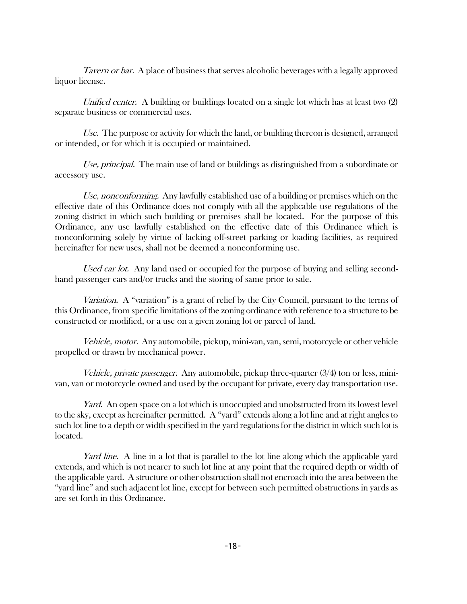Tavern or bar. A place of business that serves alcoholic beverages with a legally approved liquor license.

Unified center. A building or buildings located on a single lot which has at least two (2) separate business or commercial uses.

Use. The purpose or activity for which the land, or building thereon is designed, arranged or intended, or for which it is occupied or maintained.

Use, principal. The main use of land or buildings as distinguished from a subordinate or accessory use.

Use, nonconforming. Any lawfully established use of a building or premises which on the effective date of this Ordinance does not comply with all the applicable use regulations of the zoning district in which such building or premises shall be located. For the purpose of this Ordinance, any use lawfully established on the effective date of this Ordinance which is nonconforming solely by virtue of lacking off-street parking or loading facilities, as required hereinafter for new uses, shall not be deemed a nonconforming use.

Used car lot. Any land used or occupied for the purpose of buying and selling secondhand passenger cars and/or trucks and the storing of same prior to sale.

Variation. A "variation" is a grant of relief by the City Council, pursuant to the terms of this Ordinance, from specific limitations of the zoning ordinance with reference to a structure to be constructed or modified, or a use on a given zoning lot or parcel of land.

Vehicle, motor. Any automobile, pickup, mini-van, van, semi, motorcycle or other vehicle propelled or drawn by mechanical power.

Vehicle, private passenger. Any automobile, pickup three-quarter  $(3/4)$  ton or less, minivan, van or motorcycle owned and used by the occupant for private, every day transportation use.

Yard. An open space on a lot which is unoccupied and unobstructed from its lowest level to the sky, except as hereinafter permitted. A "yard" extends along a lot line and at right angles to such lot line to a depth or width specified in the yard regulations for the district in which such lot is located.

Yard line. A line in a lot that is parallel to the lot line along which the applicable yard extends, and which is not nearer to such lot line at any point that the required depth or width of the applicable yard. A structure or other obstruction shall not encroach into the area between the "yard line" and such adjacent lot line, except for between such permitted obstructions in yards as are set forth in this Ordinance.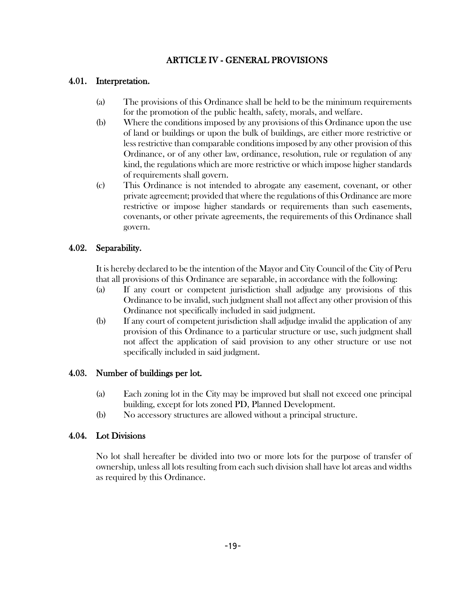# ARTICLE IV - GENERAL PROVISIONS

#### 4.01. Interpretation.

- (a) The provisions of this Ordinance shall be held to be the minimum requirements for the promotion of the public health, safety, morals, and welfare.
- (b) Where the conditions imposed by any provisions of this Ordinance upon the use of land or buildings or upon the bulk of buildings, are either more restrictive or less restrictive than comparable conditions imposed by any other provision of this Ordinance, or of any other law, ordinance, resolution, rule or regulation of any kind, the regulations which are more restrictive or which impose higher standards of requirements shall govern.
- (c) This Ordinance is not intended to abrogate any easement, covenant, or other private agreement; provided that where the regulations of this Ordinance are more restrictive or impose higher standards or requirements than such easements, covenants, or other private agreements, the requirements of this Ordinance shall govern.

#### 4.02. Separability.

It is hereby declared to be the intention of the Mayor and City Council of the City of Peru that all provisions of this Ordinance are separable, in accordance with the following:

- (a) If any court or competent jurisdiction shall adjudge any provisions of this Ordinance to be invalid, such judgment shall not affect any other provision of this Ordinance not specifically included in said judgment.
- (b) If any court of competent jurisdiction shall adjudge invalid the application of any provision of this Ordinance to a particular structure or use, such judgment shall not affect the application of said provision to any other structure or use not specifically included in said judgment.

#### 4.03. Number of buildings per lot.

- (a) Each zoning lot in the City may be improved but shall not exceed one principal building, except for lots zoned PD, Planned Development.
- (b) No accessory structures are allowed without a principal structure.

# 4.04. Lot Divisions

No lot shall hereafter be divided into two or more lots for the purpose of transfer of ownership, unless all lots resulting from each such division shall have lot areas and widths as required by this Ordinance.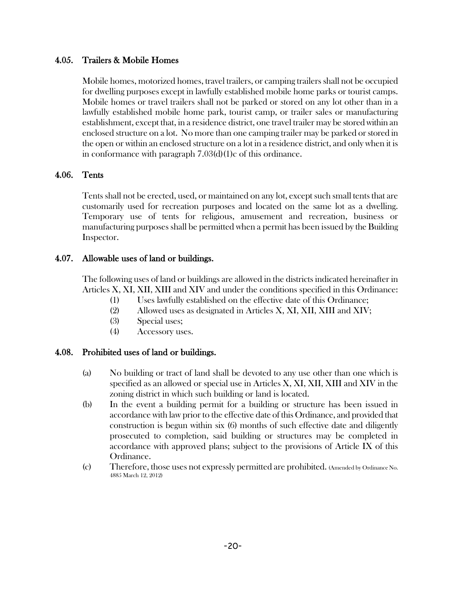# 4.05. Trailers & Mobile Homes

Mobile homes, motorized homes, travel trailers, or camping trailers shall not be occupied for dwelling purposes except in lawfully established mobile home parks or tourist camps. Mobile homes or travel trailers shall not be parked or stored on any lot other than in a lawfully established mobile home park, tourist camp, or trailer sales or manufacturing establishment, except that, in a residence district, one travel trailer may be stored within an enclosed structure on a lot. No more than one camping trailer may be parked or stored in the open or within an enclosed structure on a lot in a residence district, and only when it is in conformance with paragraph 7.03(d)(1)c of this ordinance.

#### 4.06. Tents

Tents shall not be erected, used, or maintained on any lot, except such small tents that are customarily used for recreation purposes and located on the same lot as a dwelling. Temporary use of tents for religious, amusement and recreation, business or manufacturing purposes shall be permitted when a permit has been issued by the Building Inspector.

#### 4.07. Allowable uses of land or buildings.

The following uses of land or buildings are allowed in the districts indicated hereinafter in Articles X, XI, XII, XIII and XIV and under the conditions specified in this Ordinance:

- (1) Uses lawfully established on the effective date of this Ordinance;
- (2) Allowed uses as designated in Articles X, XI, XII, XIII and XIV;
- (3) Special uses;
- (4) Accessory uses.

# 4.08. Prohibited uses of land or buildings.

- (a) No building or tract of land shall be devoted to any use other than one which is specified as an allowed or special use in Articles X, XI, XII, XIII and XIV in the zoning district in which such building or land is located.
- (b) In the event a building permit for a building or structure has been issued in accordance with law prior to the effective date of this Ordinance, and provided that construction is begun within six (6) months of such effective date and diligently prosecuted to completion, said building or structures may be completed in accordance with approved plans; subject to the provisions of Article IX of this Ordinance.
- (c) Therefore, those uses not expressly permitted are prohibited. (Amended by Ordinance No. 4885 March 12, 2012)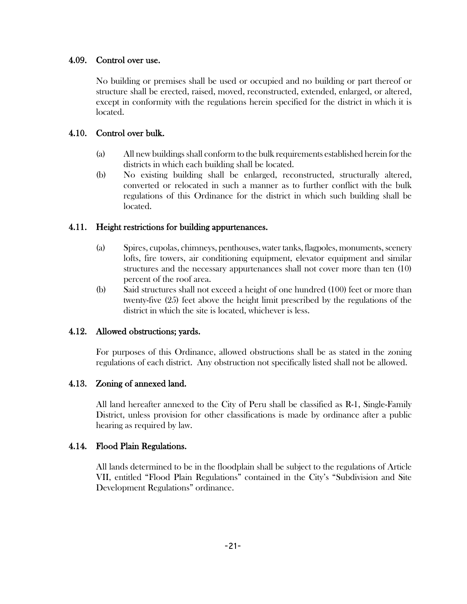#### 4.09. Control over use.

No building or premises shall be used or occupied and no building or part thereof or structure shall be erected, raised, moved, reconstructed, extended, enlarged, or altered, except in conformity with the regulations herein specified for the district in which it is located.

#### 4.10. Control over bulk.

- (a) All new buildings shall conform to the bulk requirements established herein for the districts in which each building shall be located.
- (b) No existing building shall be enlarged, reconstructed, structurally altered, converted or relocated in such a manner as to further conflict with the bulk regulations of this Ordinance for the district in which such building shall be located.

#### 4.11. Height restrictions for building appurtenances.

- (a) Spires, cupolas, chimneys, penthouses, water tanks, flagpoles, monuments, scenery lofts, fire towers, air conditioning equipment, elevator equipment and similar structures and the necessary appurtenances shall not cover more than ten (10) percent of the roof area.
- (b) Said structures shall not exceed a height of one hundred (100) feet or more than twenty-five (25) feet above the height limit prescribed by the regulations of the district in which the site is located, whichever is less.

# 4.12. Allowed obstructions; yards.

For purposes of this Ordinance, allowed obstructions shall be as stated in the zoning regulations of each district. Any obstruction not specifically listed shall not be allowed.

# 4.13. Zoning of annexed land.

All land hereafter annexed to the City of Peru shall be classified as R-1, Single-Family District, unless provision for other classifications is made by ordinance after a public hearing as required by law.

# 4.14. Flood Plain Regulations.

All lands determined to be in the floodplain shall be subject to the regulations of Article VII, entitled "Flood Plain Regulations" contained in the City's "Subdivision and Site Development Regulations" ordinance.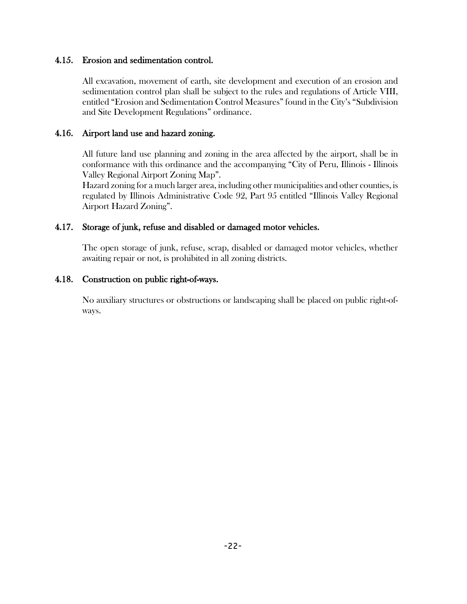#### 4.15. Erosion and sedimentation control.

All excavation, movement of earth, site development and execution of an erosion and sedimentation control plan shall be subject to the rules and regulations of Article VIII, entitled "Erosion and Sedimentation Control Measures" found in the City's "Subdivision and Site Development Regulations" ordinance.

#### 4.16. Airport land use and hazard zoning.

All future land use planning and zoning in the area affected by the airport, shall be in conformance with this ordinance and the accompanying "City of Peru, Illinois - Illinois Valley Regional Airport Zoning Map".

Hazard zoning for a much larger area, including other municipalities and other counties, is regulated by Illinois Administrative Code 92, Part 95 entitled "Illinois Valley Regional Airport Hazard Zoning".

#### 4.17. Storage of junk, refuse and disabled or damaged motor vehicles.

 The open storage of junk, refuse, scrap, disabled or damaged motor vehicles, whether awaiting repair or not, is prohibited in all zoning districts.

#### 4.18. Construction on public right-of-ways.

No auxiliary structures or obstructions or landscaping shall be placed on public right-ofways.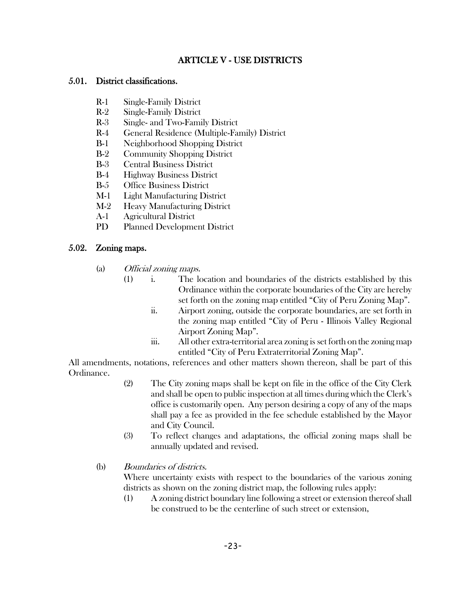# ARTICLE V - USE DISTRICTS

#### 5.01. District classifications.

- R-1 Single-Family District
- R-2 Single-Family District
- R-3 Single- and Two-Family District
- R-4 General Residence (Multiple-Family) District
- B-1 Neighborhood Shopping District
- B-2 Community Shopping District
- B-3 Central Business District
- B-4 Highway Business District
- B-5 Office Business District
- M-1 Light Manufacturing District
- M-2 Heavy Manufacturing District
- A-1 Agricultural District
- PD Planned Development District

#### 5.02. Zoning maps.

- (a) Official zoning maps.
	- (1) i. The location and boundaries of the districts established by this Ordinance within the corporate boundaries of the City are hereby set forth on the zoning map entitled "City of Peru Zoning Map".
		- ii. Airport zoning, outside the corporate boundaries, are set forth in the zoning map entitled "City of Peru - Illinois Valley Regional Airport Zoning Map".
		- iii. All other extra-territorial area zoning is set forth on the zoning map entitled "City of Peru Extraterritorial Zoning Map".

All amendments, notations, references and other matters shown thereon, shall be part of this Ordinance.

- (2) The City zoning maps shall be kept on file in the office of the City Clerk and shall be open to public inspection at all times during which the Clerk's office is customarily open. Any person desiring a copy of any of the maps shall pay a fee as provided in the fee schedule established by the Mayor and City Council.
- (3) To reflect changes and adaptations, the official zoning maps shall be annually updated and revised.
- (b) Boundaries of districts.

Where uncertainty exists with respect to the boundaries of the various zoning districts as shown on the zoning district map, the following rules apply:

(1) A zoning district boundary line following a street or extension thereof shall be construed to be the centerline of such street or extension,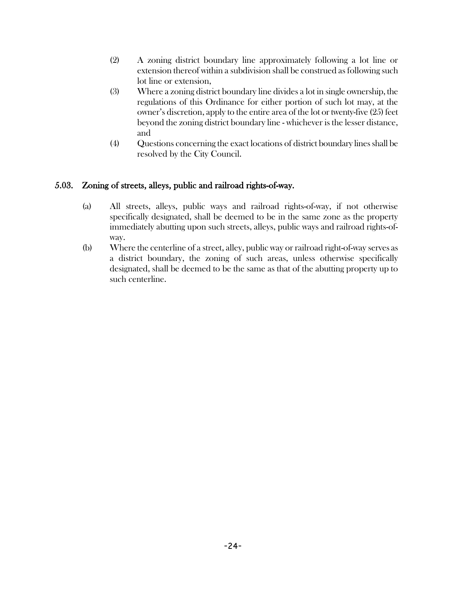- (2) A zoning district boundary line approximately following a lot line or extension thereof within a subdivision shall be construed as following such lot line or extension,
- (3) Where a zoning district boundary line divides a lot in single ownership, the regulations of this Ordinance for either portion of such lot may, at the owner's discretion, apply to the entire area of the lot or twenty-five (25) feet beyond the zoning district boundary line - whichever is the lesser distance, and
- (4) Questions concerning the exact locations of district boundary lines shall be resolved by the City Council.

# 5.03. Zoning of streets, alleys, public and railroad rights-of-way.

- (a) All streets, alleys, public ways and railroad rights-of-way, if not otherwise specifically designated, shall be deemed to be in the same zone as the property immediately abutting upon such streets, alleys, public ways and railroad rights-ofway.
- (b) Where the centerline of a street, alley, public way or railroad right-of-way serves as a district boundary, the zoning of such areas, unless otherwise specifically designated, shall be deemed to be the same as that of the abutting property up to such centerline.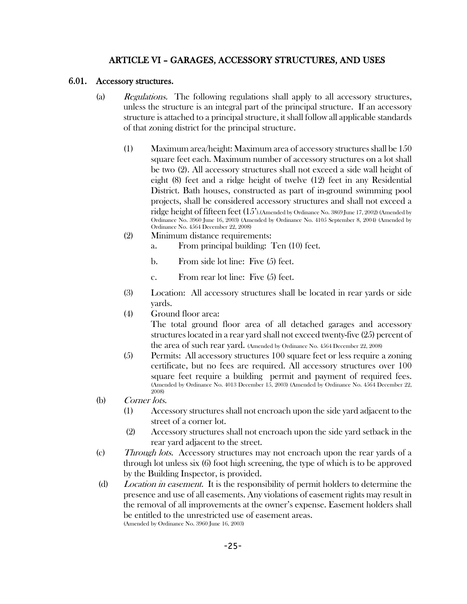# ARTICLE VI – GARAGES, ACCESSORY STRUCTURES, AND USES

#### 6.01. Accessory structures.

- (a) Regulations. The following regulations shall apply to all accessory structures, unless the structure is an integral part of the principal structure. If an accessory structure is attached to a principal structure, it shall follow all applicable standards of that zoning district for the principal structure.
	- (1) Maximum area/height: Maximum area of accessory structures shall be 150 square feet each. Maximum number of accessory structures on a lot shall be two (2). All accessory structures shall not exceed a side wall height of eight (8) feet and a ridge height of twelve (12) feet in any Residential District. Bath houses, constructed as part of in-ground swimming pool projects, shall be considered accessory structures and shall not exceed a ridge height of fifteen feet (15').(Amended by Ordinance No. 3869 June 17, 2002) (Amended by Ordinance No. 3960 June 16, 2003) (Amended by Ordinance No. 4105 September 8, 2004) (Amended by Ordinance No. 4564 December 22, 2008)
	- (2) Minimum distance requirements:
		- a. From principal building: Ten (10) feet.
		- b. From side lot line: Five (5) feet.
		- c. From rear lot line: Five (5) feet.
	- (3) Location: All accessory structures shall be located in rear yards or side yards.
	- (4) Ground floor area:

The total ground floor area of all detached garages and accessory structures located in a rear yard shall not exceed twenty-five (25) percent of the area of such rear yard. (Amended by Ordinance No. 4564 December 22, 2008)

- (5) Permits: All accessory structures 100 square feet or less require a zoning certificate, but no fees are required. All accessory structures over 100 square feet require a building permit and payment of required fees. (Amended by Ordinance No. 4013 December 15, 2003) (Amended by Ordinance No. 4564 December 22, 2008)
- (b) Corner lots.
	- (1) Accessory structures shall not encroach upon the side yard adjacent to the street of a corner lot.
	- (2) Accessory structures shall not encroach upon the side yard setback in the rear yard adjacent to the street.
- (c) Through lots. Accessory structures may not encroach upon the rear yards of a through lot unless six (6) foot high screening, the type of which is to be approved by the Building Inspector, is provided.
- (d) Location in easement. It is the responsibility of permit holders to determine the presence and use of all easements. Any violations of easement rights may result in the removal of all improvements at the owner's expense. Easement holders shall be entitled to the unrestricted use of easement areas. (Amended by Ordinance No. 3960 June 16, 2003)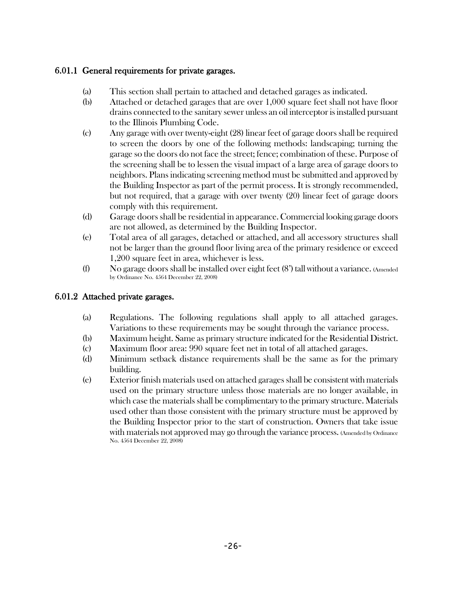# 6.01.1 General requirements for private garages.

- (a) This section shall pertain to attached and detached garages as indicated.
- (b) Attached or detached garages that are over 1,000 square feet shall not have floor drains connected to the sanitary sewer unless an oil interceptor is installed pursuant to the Illinois Plumbing Code.
- (c) Any garage with over twenty-eight (28) linear feet of garage doors shall be required to screen the doors by one of the following methods: landscaping; turning the garage so the doors do not face the street; fence; combination of these. Purpose of the screening shall be to lessen the visual impact of a large area of garage doors to neighbors. Plans indicating screening method must be submitted and approved by the Building Inspector as part of the permit process. It is strongly recommended, but not required, that a garage with over twenty (20) linear feet of garage doors comply with this requirement.
- (d) Garage doors shall be residential in appearance. Commercial looking garage doors are not allowed, as determined by the Building Inspector.
- (e) Total area of all garages, detached or attached, and all accessory structures shall not be larger than the ground floor living area of the primary residence or exceed 1,200 square feet in area, whichever is less.
- (f) No garage doors shall be installed over eight feet (8') tall without a variance. (Amended by Ordinance No. 4564 December 22, 2008)

# 6.01.2 Attached private garages.

- (a) Regulations. The following regulations shall apply to all attached garages. Variations to these requirements may be sought through the variance process.
- (b) Maximum height. Same as primary structure indicated for the Residential District.
- (c) Maximum floor area: 990 square feet net in total of all attached garages.
- (d) Minimum setback distance requirements shall be the same as for the primary building.
- (e) Exterior finish materials used on attached garages shall be consistent with materials used on the primary structure unless those materials are no longer available, in which case the materials shall be complimentary to the primary structure. Materials used other than those consistent with the primary structure must be approved by the Building Inspector prior to the start of construction. Owners that take issue with materials not approved may go through the variance process. (Amended by Ordinance No. 4564 December 22, 2008)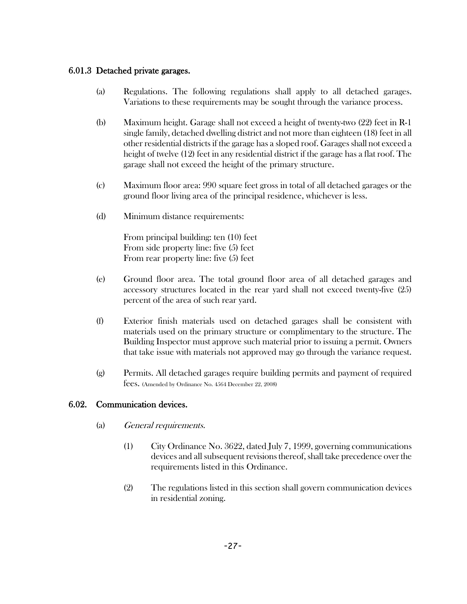# 6.01.3 Detached private garages.

- (a) Regulations. The following regulations shall apply to all detached garages. Variations to these requirements may be sought through the variance process.
- (b) Maximum height. Garage shall not exceed a height of twenty-two (22) feet in R-1 single family, detached dwelling district and not more than eighteen (18) feet in all other residential districts if the garage has a sloped roof. Garages shall not exceed a height of twelve (12) feet in any residential district if the garage has a flat roof. The garage shall not exceed the height of the primary structure.
- (c) Maximum floor area: 990 square feet gross in total of all detached garages or the ground floor living area of the principal residence, whichever is less.
- (d) Minimum distance requirements:

From principal building: ten (10) feet From side property line: five (5) feet From rear property line: five (5) feet

- (e) Ground floor area. The total ground floor area of all detached garages and accessory structures located in the rear yard shall not exceed twenty-five (25) percent of the area of such rear yard.
- (f) Exterior finish materials used on detached garages shall be consistent with materials used on the primary structure or complimentary to the structure. The Building Inspector must approve such material prior to issuing a permit. Owners that take issue with materials not approved may go through the variance request.
- (g) Permits. All detached garages require building permits and payment of required fees. (Amended by Ordinance No. 4564 December 22, 2008)

# 6.02. Communication devices.

- (a) General requirements.
	- (1) City Ordinance No. 3622, dated July 7, 1999, governing communications devices and all subsequent revisions thereof, shall take precedence over the requirements listed in this Ordinance.
	- (2) The regulations listed in this section shall govern communication devices in residential zoning.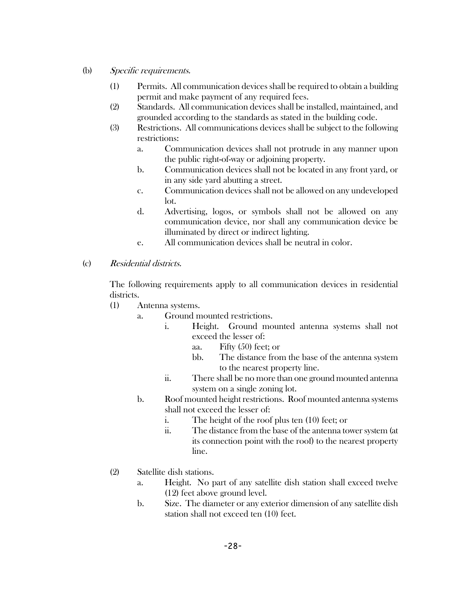- (b) Specific requirements.
	- (1) Permits. All communication devices shall be required to obtain a building permit and make payment of any required fees.
	- (2) Standards. All communication devices shall be installed, maintained, and grounded according to the standards as stated in the building code.
	- (3) Restrictions. All communications devices shall be subject to the following restrictions:
		- a. Communication devices shall not protrude in any manner upon the public right-of-way or adjoining property.
		- b. Communication devices shall not be located in any front yard, or in any side yard abutting a street.
		- c. Communication devices shall not be allowed on any undeveloped lot.
		- d. Advertising, logos, or symbols shall not be allowed on any communication device, nor shall any communication device be illuminated by direct or indirect lighting.
		- e. All communication devices shall be neutral in color.
- (c) Residential districts.

The following requirements apply to all communication devices in residential districts.

- (1) Antenna systems.
	- a. Ground mounted restrictions.
		- i. Height. Ground mounted antenna systems shall not exceed the lesser of:
			- aa. Fifty (50) feet; or
			- bb. The distance from the base of the antenna system to the nearest property line.
		- ii. There shall be no more than one ground mounted antenna system on a single zoning lot.
	- b. Roof mounted height restrictions. Roof mounted antenna systems shall not exceed the lesser of:
		- i. The height of the roof plus ten (10) feet; or
		- ii. The distance from the base of the antenna tower system (at its connection point with the roof) to the nearest property line.
- (2) Satellite dish stations.
	- a. Height. No part of any satellite dish station shall exceed twelve (12) feet above ground level.
	- b. Size. The diameter or any exterior dimension of any satellite dish station shall not exceed ten (10) feet.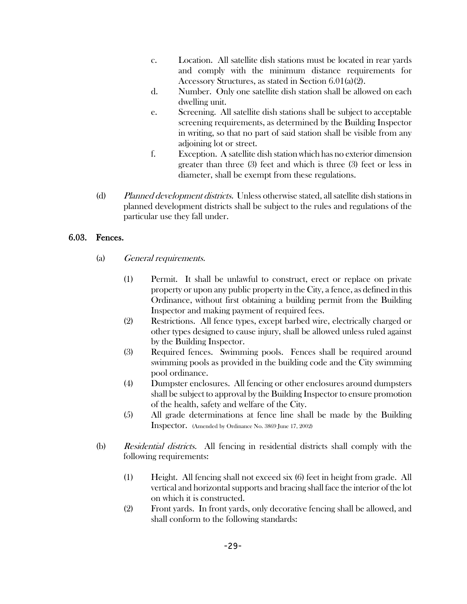- c. Location. All satellite dish stations must be located in rear yards and comply with the minimum distance requirements for Accessory Structures, as stated in Section 6.01(a)(2).
- d. Number. Only one satellite dish station shall be allowed on each dwelling unit.
- e. Screening. All satellite dish stations shall be subject to acceptable screening requirements, as determined by the Building Inspector in writing, so that no part of said station shall be visible from any adjoining lot or street.
- f. Exception. A satellite dish station which has no exterior dimension greater than three (3) feet and which is three (3) feet or less in diameter, shall be exempt from these regulations.
- (d) Planned development districts. Unless otherwise stated, all satellite dish stations in planned development districts shall be subject to the rules and regulations of the particular use they fall under.

## 6.03. Fences.

- (a) General requirements.
	- (1) Permit. It shall be unlawful to construct, erect or replace on private property or upon any public property in the City, a fence, as defined in this Ordinance, without first obtaining a building permit from the Building Inspector and making payment of required fees.
	- (2) Restrictions. All fence types, except barbed wire, electrically charged or other types designed to cause injury, shall be allowed unless ruled against by the Building Inspector.
	- (3) Required fences. Swimming pools. Fences shall be required around swimming pools as provided in the building code and the City swimming pool ordinance.
	- (4) Dumpster enclosures. All fencing or other enclosures around dumpsters shall be subject to approval by the Building Inspector to ensure promotion of the health, safety and welfare of the City.
	- (5) All grade determinations at fence line shall be made by the Building Inspector. (Amended by Ordinance No. 3869 June 17, 2002)
- (b) Residential districts. All fencing in residential districts shall comply with the following requirements:
	- (1) Height. All fencing shall not exceed six (6) feet in height from grade. All vertical and horizontal supports and bracing shall face the interior of the lot on which it is constructed.
	- (2) Front yards. In front yards, only decorative fencing shall be allowed, and shall conform to the following standards: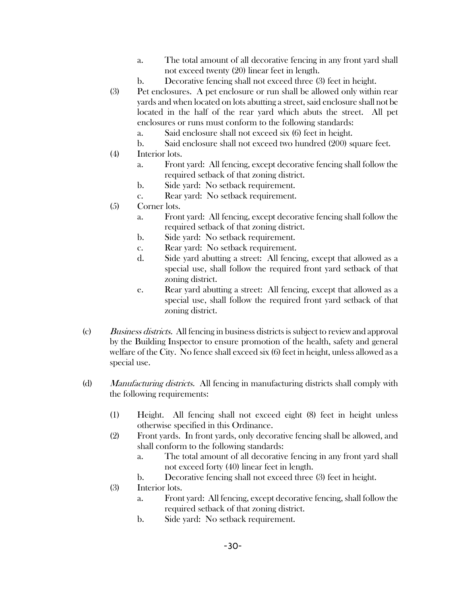- a. The total amount of all decorative fencing in any front yard shall not exceed twenty (20) linear feet in length.
- b. Decorative fencing shall not exceed three (3) feet in height.
- (3) Pet enclosures. A pet enclosure or run shall be allowed only within rear yards and when located on lots abutting a street, said enclosure shall not be located in the half of the rear yard which abuts the street. All pet enclosures or runs must conform to the following standards:
	- a. Said enclosure shall not exceed six (6) feet in height.
	- b. Said enclosure shall not exceed two hundred (200) square feet.
- (4) Interior lots.
	- a. Front yard: All fencing, except decorative fencing shall follow the required setback of that zoning district.
	- b. Side yard: No setback requirement.
	- c. Rear yard: No setback requirement.
- (5) Corner lots.
	- a. Front yard: All fencing, except decorative fencing shall follow the required setback of that zoning district.
	- b. Side yard: No setback requirement.
	- c. Rear yard: No setback requirement.
	- d. Side yard abutting a street: All fencing, except that allowed as a special use, shall follow the required front yard setback of that zoning district.
	- e. Rear yard abutting a street: All fencing, except that allowed as a special use, shall follow the required front yard setback of that zoning district.
- (c) Business districts. All fencing in business districts is subject to review and approval by the Building Inspector to ensure promotion of the health, safety and general welfare of the City. No fence shall exceed six (6) feet in height, unless allowed as a special use.
- (d) Manufacturing districts. All fencing in manufacturing districts shall comply with the following requirements:
	- (1) Height. All fencing shall not exceed eight (8) feet in height unless otherwise specified in this Ordinance.
	- (2) Front yards. In front yards, only decorative fencing shall be allowed, and shall conform to the following standards:
		- a. The total amount of all decorative fencing in any front yard shall not exceed forty (40) linear feet in length.
		- b. Decorative fencing shall not exceed three (3) feet in height.
	- (3) Interior lots.
		- a. Front yard: All fencing, except decorative fencing, shall follow the required setback of that zoning district.
		- b. Side yard: No setback requirement.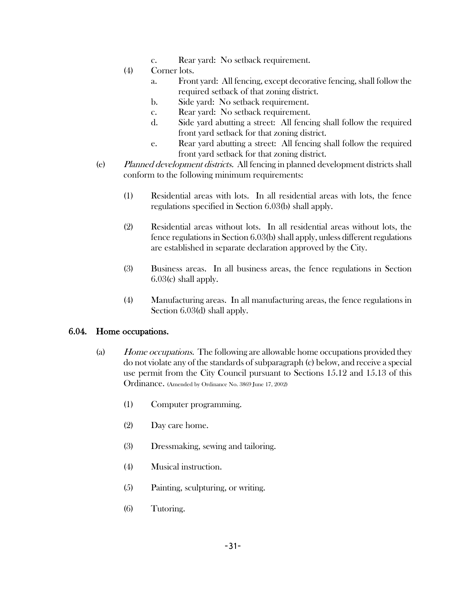- c. Rear yard: No setback requirement.
- (4) Corner lots.
	- a. Front yard: All fencing, except decorative fencing, shall follow the required setback of that zoning district.
	- b. Side yard: No setback requirement.
	- c. Rear yard: No setback requirement.
	- d. Side yard abutting a street: All fencing shall follow the required front yard setback for that zoning district.
	- e. Rear yard abutting a street: All fencing shall follow the required front yard setback for that zoning district.
- (e) Planned development districts. All fencing in planned development districts shall conform to the following minimum requirements:
	- (1) Residential areas with lots. In all residential areas with lots, the fence regulations specified in Section 6.03(b) shall apply.
	- (2) Residential areas without lots. In all residential areas without lots, the fence regulations in Section 6.03(b) shall apply, unless different regulations are established in separate declaration approved by the City.
	- (3) Business areas. In all business areas, the fence regulations in Section 6.03(c) shall apply.
	- (4) Manufacturing areas. In all manufacturing areas, the fence regulations in Section 6.03(d) shall apply.

### 6.04. Home occupations.

- (a) Home occupations. The following are allowable home occupations provided they do not violate any of the standards of subparagraph (c) below, and receive a special use permit from the City Council pursuant to Sections 15.12 and 15.13 of this Ordinance. (Amended by Ordinance No. 3869 June 17, 2002)
	- (1) Computer programming.
	- (2) Day care home.
	- (3) Dressmaking, sewing and tailoring.
	- (4) Musical instruction.
	- (5) Painting, sculpturing, or writing.
	- (6) Tutoring.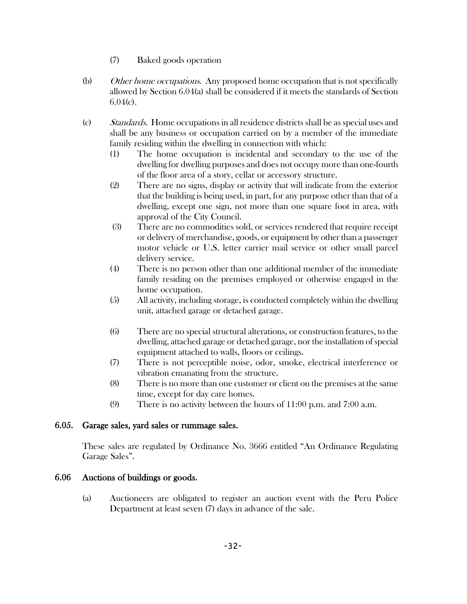- (7) Baked goods operation
- (b) Other home occupations. Any proposed home occupation that is not specifically allowed by Section 6.04(a) shall be considered if it meets the standards of Section  $6.04(c)$ .
- (c) Standards. Home occupations in all residence districts shall be as special uses and shall be any business or occupation carried on by a member of the immediate family residing within the dwelling in connection with which:
	- (1) The home occupation is incidental and secondary to the use of the dwelling for dwelling purposes and does not occupy more than one-fourth of the floor area of a story, cellar or accessory structure.
	- (2) There are no signs, display or activity that will indicate from the exterior that the building is being used, in part, for any purpose other than that of a dwelling, except one sign, not more than one square foot in area, with approval of the City Council.
	- (3) There are no commodities sold, or services rendered that require receipt or delivery of merchandise, goods, or equipment by other than a passenger motor vehicle or U.S. letter carrier mail service or other small parcel delivery service.
	- (4) There is no person other than one additional member of the immediate family residing on the premises employed or otherwise engaged in the home occupation.
	- (5) All activity, including storage, is conducted completely within the dwelling unit, attached garage or detached garage.
	- (6) There are no special structural alterations, or construction features, to the dwelling, attached garage or detached garage, nor the installation of special equipment attached to walls, floors or ceilings.
	- (7) There is not perceptible noise, odor, smoke, electrical interference or vibration emanating from the structure.
	- (8) There is no more than one customer or client on the premises at the same time, except for day care homes.
	- (9) There is no activity between the hours of 11:00 p.m. and 7:00 a.m.

### 6.05. Garage sales, yard sales or rummage sales.

These sales are regulated by Ordinance No. 3666 entitled "An Ordinance Regulating Garage Sales".

### 6.06 Auctions of buildings or goods.

(a) Auctioneers are obligated to register an auction event with the Peru Police Department at least seven (7) days in advance of the sale.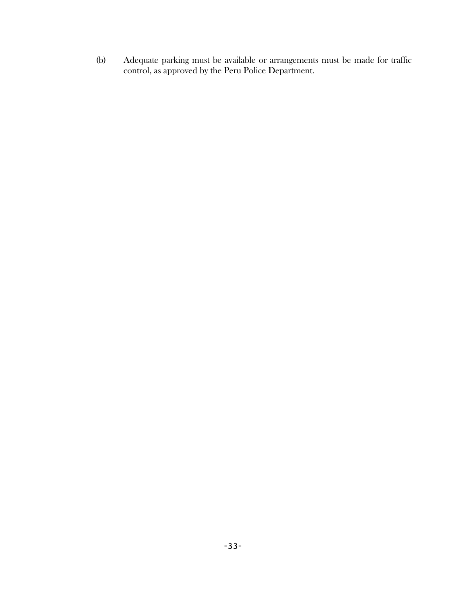(b) Adequate parking must be available or arrangements must be made for traffic control, as approved by the Peru Police Department.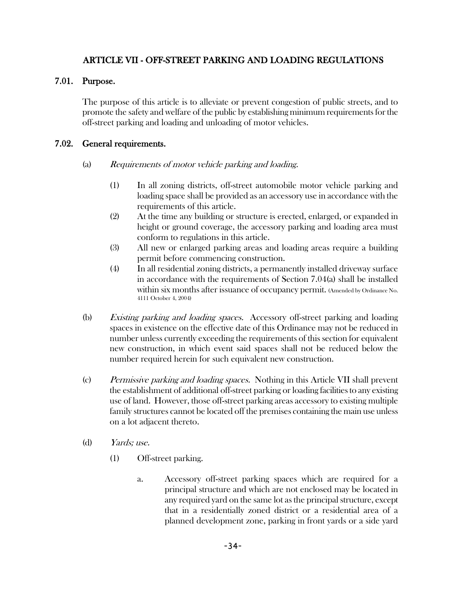## ARTICLE VII - OFF-STREET PARKING AND LOADING REGULATIONS

#### 7.01. Purpose.

The purpose of this article is to alleviate or prevent congestion of public streets, and to promote the safety and welfare of the public by establishing minimum requirements for the off-street parking and loading and unloading of motor vehicles.

#### 7.02. General requirements.

#### (a) Requirements of motor vehicle parking and loading.

- (1) In all zoning districts, off-street automobile motor vehicle parking and loading space shall be provided as an accessory use in accordance with the requirements of this article.
- (2) At the time any building or structure is erected, enlarged, or expanded in height or ground coverage, the accessory parking and loading area must conform to regulations in this article.
- (3) All new or enlarged parking areas and loading areas require a building permit before commencing construction.
- (4) In all residential zoning districts, a permanently installed driveway surface in accordance with the requirements of Section 7.04(a) shall be installed within six months after issuance of occupancy permit. (Amended by Ordinance No. 4111 October 4, 2004)
- (b) Existing parking and loading spaces. Accessory off-street parking and loading spaces in existence on the effective date of this Ordinance may not be reduced in number unless currently exceeding the requirements of this section for equivalent new construction, in which event said spaces shall not be reduced below the number required herein for such equivalent new construction.
- (c) Permissive parking and loading spaces. Nothing in this Article VII shall prevent the establishment of additional off-street parking or loading facilities to any existing use of land. However, those off-street parking areas accessory to existing multiple family structures cannot be located off the premises containing the main use unless on a lot adjacent thereto.
- (d) Yards; use.
	- (1) Off-street parking.
		- a. Accessory off-street parking spaces which are required for a principal structure and which are not enclosed may be located in any required yard on the same lot as the principal structure, except that in a residentially zoned district or a residential area of a planned development zone, parking in front yards or a side yard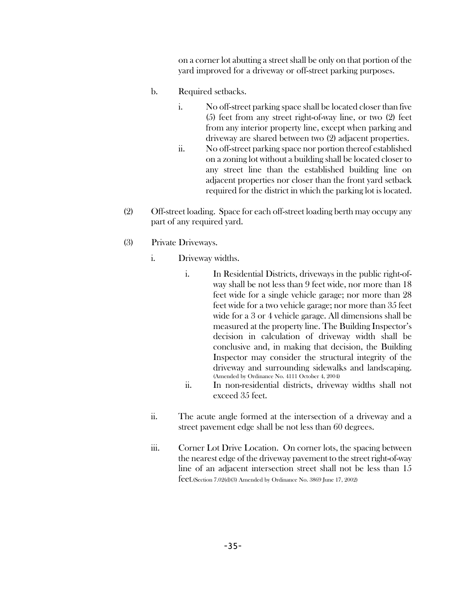on a corner lot abutting a street shall be only on that portion of the yard improved for a driveway or off-street parking purposes.

- b. Required setbacks.
	- i. No off-street parking space shall be located closer than five (5) feet from any street right-of-way line, or two (2) feet from any interior property line, except when parking and driveway are shared between two (2) adjacent properties.
	- ii. No off-street parking space nor portion thereof established on a zoning lot without a building shall be located closer to any street line than the established building line on adjacent properties nor closer than the front yard setback required for the district in which the parking lot is located.
- (2) Off-street loading. Space for each off-street loading berth may occupy any part of any required yard.
- (3) Private Driveways.
	- i. Driveway widths.
		- i. In Residential Districts, driveways in the public right-ofway shall be not less than 9 feet wide, nor more than 18 feet wide for a single vehicle garage; nor more than 28 feet wide for a two vehicle garage; nor more than 35 feet wide for a 3 or 4 vehicle garage. All dimensions shall be measured at the property line. The Building Inspector's decision in calculation of driveway width shall be conclusive and, in making that decision, the Building Inspector may consider the structural integrity of the driveway and surrounding sidewalks and landscaping. (Amended by Ordinance No. 4111 October 4, 2004)
		- ii. In non-residential districts, driveway widths shall not exceed 35 feet.
	- ii. The acute angle formed at the intersection of a driveway and a street pavement edge shall be not less than 60 degrees.
	- iii. Corner Lot Drive Location. On corner lots, the spacing between the nearest edge of the driveway pavement to the street right-of-way line of an adjacent intersection street shall not be less than 15 feet.(Section 7.02(d)(3) Amended by Ordinance No. 3869 June 17, 2002)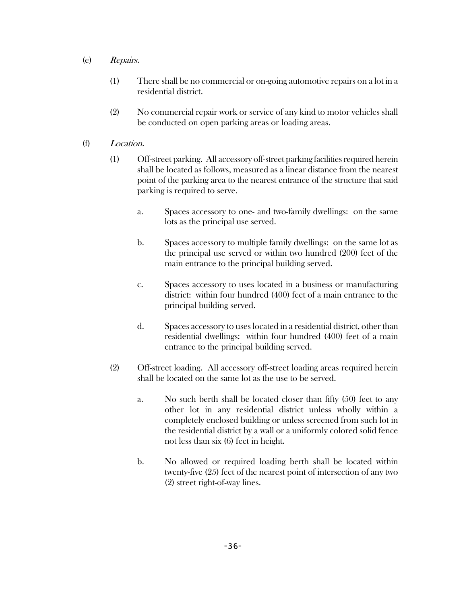- (e) Repairs.
	- (1) There shall be no commercial or on-going automotive repairs on a lot in a residential district.
	- (2) No commercial repair work or service of any kind to motor vehicles shall be conducted on open parking areas or loading areas.
- (f) Location.
	- (1) Off-street parking. All accessory off-street parking facilities required herein shall be located as follows, measured as a linear distance from the nearest point of the parking area to the nearest entrance of the structure that said parking is required to serve.
		- a. Spaces accessory to one- and two-family dwellings: on the same lots as the principal use served.
		- b. Spaces accessory to multiple family dwellings: on the same lot as the principal use served or within two hundred (200) feet of the main entrance to the principal building served.
		- c. Spaces accessory to uses located in a business or manufacturing district: within four hundred (400) feet of a main entrance to the principal building served.
		- d. Spaces accessory to uses located in a residential district, other than residential dwellings: within four hundred (400) feet of a main entrance to the principal building served.
	- (2) Off-street loading. All accessory off-street loading areas required herein shall be located on the same lot as the use to be served.
		- a. No such berth shall be located closer than fifty (50) feet to any other lot in any residential district unless wholly within a completely enclosed building or unless screened from such lot in the residential district by a wall or a uniformly colored solid fence not less than six (6) feet in height.
		- b. No allowed or required loading berth shall be located within twenty-five (25) feet of the nearest point of intersection of any two (2) street right-of-way lines.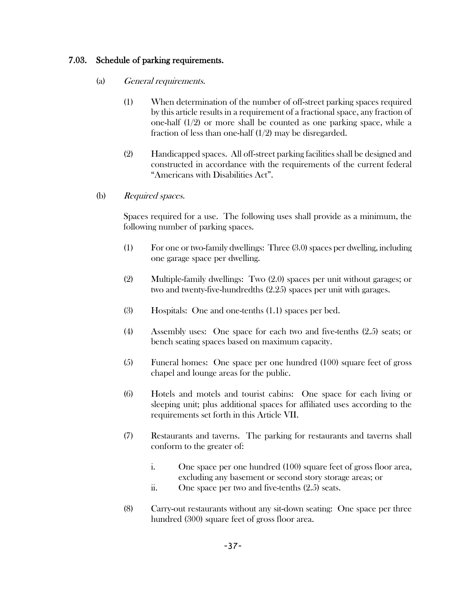### 7.03. Schedule of parking requirements.

- (a) General requirements.
	- (1) When determination of the number of off-street parking spaces required by this article results in a requirement of a fractional space, any fraction of one-half  $(1/2)$  or more shall be counted as one parking space, while a fraction of less than one-half (1/2) may be disregarded.
	- (2) Handicapped spaces. All off-street parking facilities shall be designed and constructed in accordance with the requirements of the current federal "Americans with Disabilities Act".
- (b) Required spaces.

Spaces required for a use. The following uses shall provide as a minimum, the following number of parking spaces.

- (1) For one or two-family dwellings: Three (3.0) spaces per dwelling, including one garage space per dwelling.
- (2) Multiple-family dwellings: Two (2.0) spaces per unit without garages; or two and twenty-five-hundredths (2.25) spaces per unit with garages.
- (3) Hospitals: One and one-tenths (1.1) spaces per bed.
- (4) Assembly uses: One space for each two and five-tenths (2.5) seats; or bench seating spaces based on maximum capacity.
- (5) Funeral homes: One space per one hundred (100) square feet of gross chapel and lounge areas for the public.
- (6) Hotels and motels and tourist cabins: One space for each living or sleeping unit; plus additional spaces for affiliated uses according to the requirements set forth in this Article VII.
- (7) Restaurants and taverns. The parking for restaurants and taverns shall conform to the greater of:
	- i. One space per one hundred (100) square feet of gross floor area, excluding any basement or second story storage areas; or
	- ii. One space per two and five-tenths (2.5) seats.
- (8) Carry-out restaurants without any sit-down seating: One space per three hundred (300) square feet of gross floor area.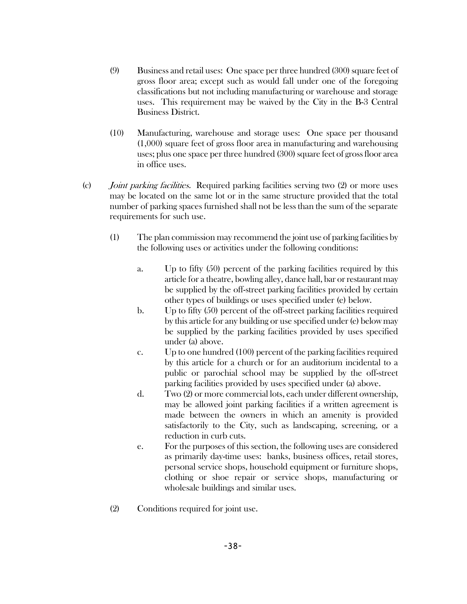- (9) Business and retail uses: One space per three hundred (300) square feet of gross floor area; except such as would fall under one of the foregoing classifications but not including manufacturing or warehouse and storage uses. This requirement may be waived by the City in the B-3 Central Business District.
- (10) Manufacturing, warehouse and storage uses: One space per thousand (1,000) square feet of gross floor area in manufacturing and warehousing uses; plus one space per three hundred (300) square feet of gross floor area in office uses.
- (c) Joint parking facilities. Required parking facilities serving two (2) or more uses may be located on the same lot or in the same structure provided that the total number of parking spaces furnished shall not be less than the sum of the separate requirements for such use.
	- (1) The plan commission may recommend the joint use of parking facilities by the following uses or activities under the following conditions:
		- a. Up to fifty (50) percent of the parking facilities required by this article for a theatre, bowling alley, dance hall, bar or restaurant may be supplied by the off-street parking facilities provided by certain other types of buildings or uses specified under (e) below.
		- b. Up to fifty (50) percent of the off-street parking facilities required by this article for any building or use specified under (e) below may be supplied by the parking facilities provided by uses specified under (a) above.
		- c. Up to one hundred (100) percent of the parking facilities required by this article for a church or for an auditorium incidental to a public or parochial school may be supplied by the off-street parking facilities provided by uses specified under (a) above.
		- d. Two (2) or more commercial lots, each under different ownership, may be allowed joint parking facilities if a written agreement is made between the owners in which an amenity is provided satisfactorily to the City, such as landscaping, screening, or a reduction in curb cuts.
		- e. For the purposes of this section, the following uses are considered as primarily day-time uses: banks, business offices, retail stores, personal service shops, household equipment or furniture shops, clothing or shoe repair or service shops, manufacturing or wholesale buildings and similar uses.
	- (2) Conditions required for joint use.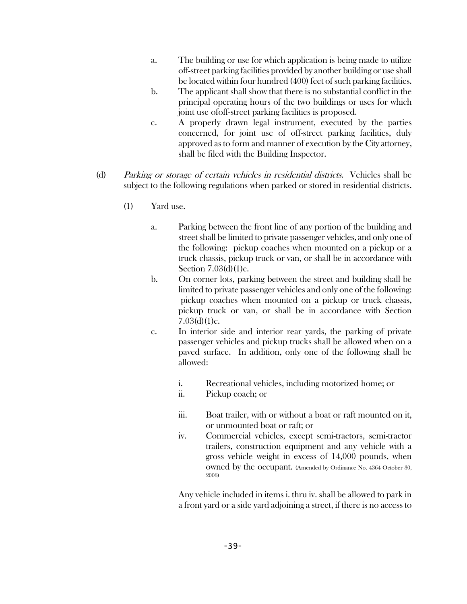- a. The building or use for which application is being made to utilize off-street parking facilities provided by another building or use shall be located within four hundred (400) feet of such parking facilities.
- b. The applicant shall show that there is no substantial conflict in the principal operating hours of the two buildings or uses for which joint use ofoff-street parking facilities is proposed.
- c. A properly drawn legal instrument, executed by the parties concerned, for joint use of off-street parking facilities, duly approved as to form and manner of execution by the City attorney, shall be filed with the Building Inspector.
- (d) Parking or storage of certain vehicles in residential districts. Vehicles shall be subject to the following regulations when parked or stored in residential districts.
	- (1) Yard use.
		- a. Parking between the front line of any portion of the building and street shall be limited to private passenger vehicles, and only one of the following: pickup coaches when mounted on a pickup or a truck chassis, pickup truck or van, or shall be in accordance with Section 7.03(d)(1)c.
		- b. On corner lots, parking between the street and building shall be limited to private passenger vehicles and only one of the following: pickup coaches when mounted on a pickup or truck chassis, pickup truck or van, or shall be in accordance with Section  $7.03(d)(1)c.$
		- c. In interior side and interior rear yards, the parking of private passenger vehicles and pickup trucks shall be allowed when on a paved surface. In addition, only one of the following shall be allowed:
			- i. Recreational vehicles, including motorized home; or
			- ii. Pickup coach; or
			- iii. Boat trailer, with or without a boat or raft mounted on it, or unmounted boat or raft; or
			- iv. Commercial vehicles, except semi-tractors, semi-tractor trailers, construction equipment and any vehicle with a gross vehicle weight in excess of 14,000 pounds, when owned by the occupant. (Amended by Ordinance No. 4364 October 30, 2006)

Any vehicle included in items i. thru iv. shall be allowed to park in a front yard or a side yard adjoining a street, if there is no access to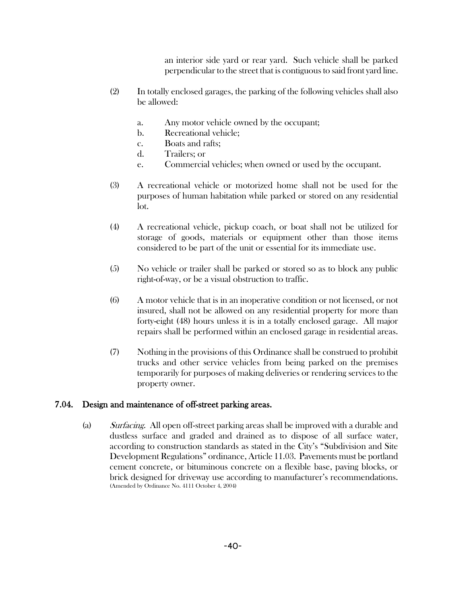an interior side yard or rear yard. Such vehicle shall be parked perpendicular to the street that is contiguous to said front yard line.

- (2) In totally enclosed garages, the parking of the following vehicles shall also be allowed:
	- a. Any motor vehicle owned by the occupant;
	- b. Recreational vehicle;
	- c. Boats and rafts;
	- d. Trailers; or
	- e. Commercial vehicles; when owned or used by the occupant.
- (3) A recreational vehicle or motorized home shall not be used for the purposes of human habitation while parked or stored on any residential lot.
- (4) A recreational vehicle, pickup coach, or boat shall not be utilized for storage of goods, materials or equipment other than those items considered to be part of the unit or essential for its immediate use.
- (5) No vehicle or trailer shall be parked or stored so as to block any public right-of-way, or be a visual obstruction to traffic.
- (6) A motor vehicle that is in an inoperative condition or not licensed, or not insured, shall not be allowed on any residential property for more than forty-eight (48) hours unless it is in a totally enclosed garage. All major repairs shall be performed within an enclosed garage in residential areas.
- (7) Nothing in the provisions of this Ordinance shall be construed to prohibit trucks and other service vehicles from being parked on the premises temporarily for purposes of making deliveries or rendering services to the property owner.

#### 7.04. Design and maintenance of off-street parking areas.

(a) Surfacing. All open off-street parking areas shall be improved with a durable and dustless surface and graded and drained as to dispose of all surface water, according to construction standards as stated in the City's "Subdivision and Site Development Regulations" ordinance, Article 11.03. Pavements must be portland cement concrete, or bituminous concrete on a flexible base, paving blocks, or brick designed for driveway use according to manufacturer's recommendations. (Amended by Ordinance No. 4111 October 4, 2004)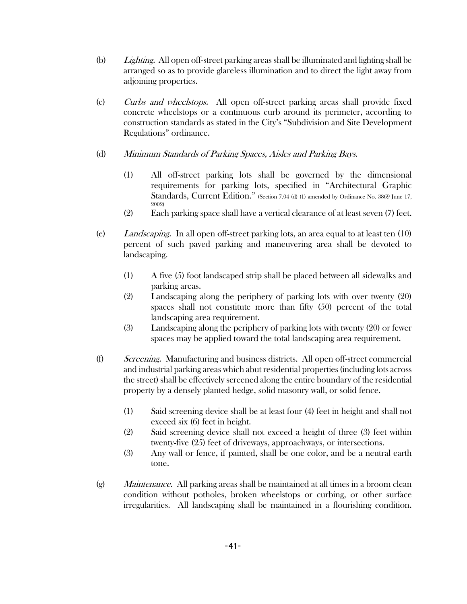- (b) Lighting. All open off-street parking areas shall be illuminated and lighting shall be arranged so as to provide glareless illumination and to direct the light away from adjoining properties.
- (c) Curbs and wheelstops. All open off-street parking areas shall provide fixed concrete wheelstops or a continuous curb around its perimeter, according to construction standards as stated in the City's "Subdivision and Site Development Regulations" ordinance.
- (d) Minimum Standards of Parking Spaces, Aisles and Parking Bays.
	- (1) All off-street parking lots shall be governed by the dimensional requirements for parking lots, specified in "Architectural Graphic Standards, Current Edition." (Section 7.04 (d) (1) amended by Ordinance No. 3869 June 17, 2002)
	- (2) Each parking space shall have a vertical clearance of at least seven (7) feet.
- (e) Landscaping. In all open off-street parking lots, an area equal to at least ten (10) percent of such paved parking and maneuvering area shall be devoted to landscaping.
	- (1) A five (5) foot landscaped strip shall be placed between all sidewalks and parking areas.
	- (2) Landscaping along the periphery of parking lots with over twenty (20) spaces shall not constitute more than fifty (50) percent of the total landscaping area requirement.
	- (3) Landscaping along the periphery of parking lots with twenty (20) or fewer spaces may be applied toward the total landscaping area requirement.
- (f) Screening. Manufacturing and business districts. All open off-street commercial and industrial parking areas which abut residential properties (including lots across the street) shall be effectively screened along the entire boundary of the residential property by a densely planted hedge, solid masonry wall, or solid fence.
	- (1) Said screening device shall be at least four (4) feet in height and shall not exceed six (6) feet in height.
	- (2) Said screening device shall not exceed a height of three (3) feet within twenty-five (25) feet of driveways, approachways, or intersections.
	- (3) Any wall or fence, if painted, shall be one color, and be a neutral earth tone.
- (g) Maintenance. All parking areas shall be maintained at all times in a broom clean condition without potholes, broken wheelstops or curbing, or other surface irregularities. All landscaping shall be maintained in a flourishing condition.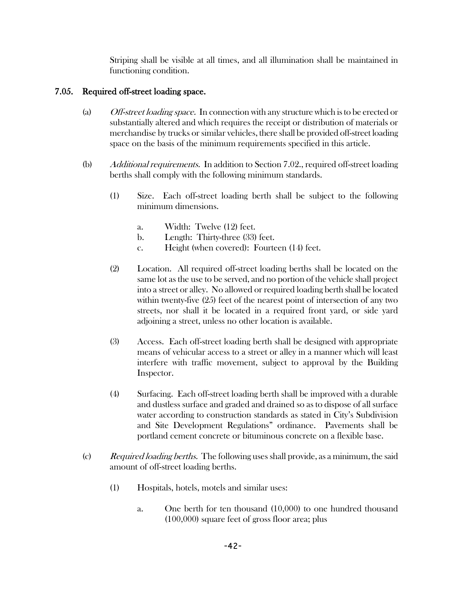Striping shall be visible at all times, and all illumination shall be maintained in functioning condition.

# 7.05. Required off-street loading space.

- (a) Off-street loading space. In connection with any structure which is to be erected or substantially altered and which requires the receipt or distribution of materials or merchandise by trucks or similar vehicles, there shall be provided off-street loading space on the basis of the minimum requirements specified in this article.
- (b) Additional requirements. In addition to Section 7.02., required off-street loading berths shall comply with the following minimum standards.
	- (1) Size. Each off-street loading berth shall be subject to the following minimum dimensions.
		- a. Width: Twelve (12) feet.
		- b. Length: Thirty-three (33) feet.
		- c. Height (when covered): Fourteen (14) feet.
	- (2) Location. All required off-street loading berths shall be located on the same lot as the use to be served, and no portion of the vehicle shall project into a street or alley. No allowed or required loading berth shall be located within twenty-five (25) feet of the nearest point of intersection of any two streets, nor shall it be located in a required front yard, or side yard adjoining a street, unless no other location is available.
	- (3) Access. Each off-street loading berth shall be designed with appropriate means of vehicular access to a street or alley in a manner which will least interfere with traffic movement, subject to approval by the Building Inspector.
	- (4) Surfacing. Each off-street loading berth shall be improved with a durable and dustless surface and graded and drained so as to dispose of all surface water according to construction standards as stated in City's Subdivision and Site Development Regulations" ordinance. Pavements shall be portland cement concrete or bituminous concrete on a flexible base.
- $\Gamma$  (c) Required loading berths. The following uses shall provide, as a minimum, the said amount of off-street loading berths.
	- (1) Hospitals, hotels, motels and similar uses:
		- a. One berth for ten thousand (10,000) to one hundred thousand (100,000) square feet of gross floor area; plus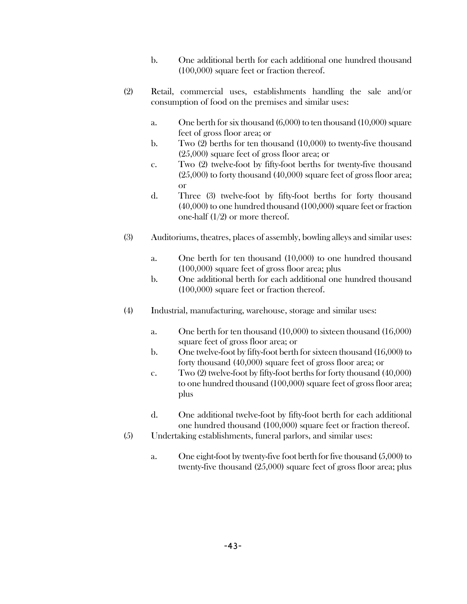- b. One additional berth for each additional one hundred thousand (100,000) square feet or fraction thereof.
- (2) Retail, commercial uses, establishments handling the sale and/or consumption of food on the premises and similar uses:
	- a. One berth for six thousand (6,000) to ten thousand (10,000) square feet of gross floor area; or
	- b. Two (2) berths for ten thousand (10,000) to twenty-five thousand (25,000) square feet of gross floor area; or
	- c. Two (2) twelve-foot by fifty-foot berths for twenty-five thousand (25,000) to forty thousand (40,000) square feet of gross floor area; or
	- d. Three (3) twelve-foot by fifty-foot berths for forty thousand (40,000) to one hundred thousand (100,000) square feet or fraction one-half (1/2) or more thereof.
- (3) Auditoriums, theatres, places of assembly, bowling alleys and similar uses:
	- a. One berth for ten thousand (10,000) to one hundred thousand (100,000) square feet of gross floor area; plus
	- b. One additional berth for each additional one hundred thousand (100,000) square feet or fraction thereof.
- (4) Industrial, manufacturing, warehouse, storage and similar uses:
	- a. One berth for ten thousand (10,000) to sixteen thousand (16,000) square feet of gross floor area; or
	- b. One twelve-foot by fifty-foot berth for sixteen thousand (16,000) to forty thousand (40,000) square feet of gross floor area; or
	- c. Two (2) twelve-foot by fifty-foot berths for forty thousand (40,000) to one hundred thousand (100,000) square feet of gross floor area; plus
	- d. One additional twelve-foot by fifty-foot berth for each additional one hundred thousand (100,000) square feet or fraction thereof.
- (5) Undertaking establishments, funeral parlors, and similar uses:
	- a. One eight-foot by twenty-five foot berth for five thousand (5,000) to twenty-five thousand (25,000) square feet of gross floor area; plus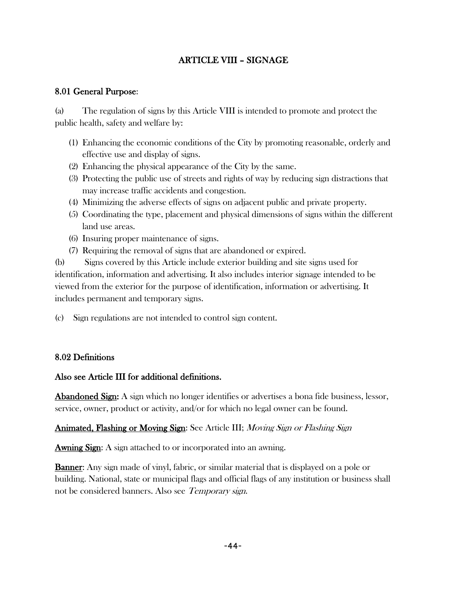# ARTICLE VIII – SIGNAGE

# 8.01 General Purpose:

(a) The regulation of signs by this Article VIII is intended to promote and protect the public health, safety and welfare by:

- (1) Enhancing the economic conditions of the City by promoting reasonable, orderly and effective use and display of signs.
- (2) Enhancing the physical appearance of the City by the same.
- (3) Protecting the public use of streets and rights of way by reducing sign distractions that may increase traffic accidents and congestion.
- (4) Minimizing the adverse effects of signs on adjacent public and private property.
- (5) Coordinating the type, placement and physical dimensions of signs within the different land use areas.
- (6) Insuring proper maintenance of signs.
- (7) Requiring the removal of signs that are abandoned or expired.

(b) Signs covered by this Article include exterior building and site signs used for identification, information and advertising. It also includes interior signage intended to be viewed from the exterior for the purpose of identification, information or advertising. It includes permanent and temporary signs.

(c) Sign regulations are not intended to control sign content.

# 8.02 Definitions

### Also see Article III for additional definitions.

**Abandoned Sign:** A sign which no longer identifies or advertises a bona fide business, lessor, service, owner, product or activity, and/or for which no legal owner can be found.

### Animated, Flashing or Moving Sign: See Article III; Moving Sign or Flashing Sign

Awning Sign: A sign attached to or incorporated into an awning.

Banner: Any sign made of vinyl, fabric, or similar material that is displayed on a pole or building. National, state or municipal flags and official flags of any institution or business shall not be considered banners. Also see Temporary sign.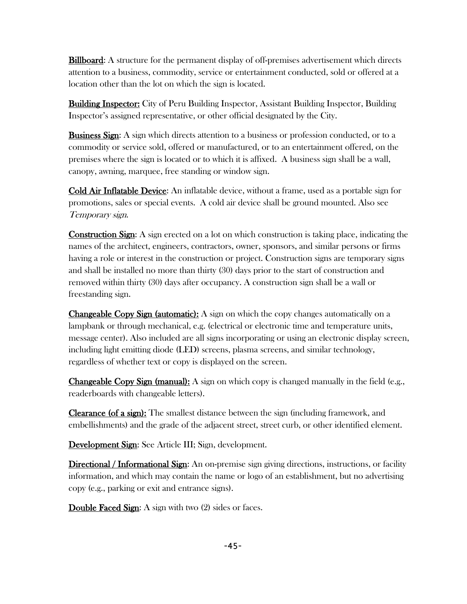**Billboard:** A structure for the permanent display of off-premises advertisement which directs attention to a business, commodity, service or entertainment conducted, sold or offered at a location other than the lot on which the sign is located.

Building Inspector: City of Peru Building Inspector, Assistant Building Inspector, Building Inspector's assigned representative, or other official designated by the City.

**Business Sign:** A sign which directs attention to a business or profession conducted, or to a commodity or service sold, offered or manufactured, or to an entertainment offered, on the premises where the sign is located or to which it is affixed. A business sign shall be a wall, canopy, awning, marquee, free standing or window sign.

Cold Air Inflatable Device: An inflatable device, without a frame, used as a portable sign for promotions, sales or special events. A cold air device shall be ground mounted. Also see Temporary sign.

**Construction Sign:** A sign erected on a lot on which construction is taking place, indicating the names of the architect, engineers, contractors, owner, sponsors, and similar persons or firms having a role or interest in the construction or project. Construction signs are temporary signs and shall be installed no more than thirty (30) days prior to the start of construction and removed within thirty (30) days after occupancy. A construction sign shall be a wall or freestanding sign.

**Changeable Copy Sign (automatic):** A sign on which the copy changes automatically on a lampbank or through mechanical, e.g. (electrical or electronic time and temperature units, message center). Also included are all signs incorporating or using an electronic display screen, including light emitting diode (LED) screens, plasma screens, and similar technology, regardless of whether text or copy is displayed on the screen.

**Changeable Copy Sign (manual):** A sign on which copy is changed manually in the field (e.g., readerboards with changeable letters).

Clearance (of a sign): The smallest distance between the sign (including framework, and embellishments) and the grade of the adjacent street, street curb, or other identified element.

Development Sign: See Article III; Sign, development.

Directional / Informational Sign: An on-premise sign giving directions, instructions, or facility information, and which may contain the name or logo of an establishment, but no advertising copy (e.g., parking or exit and entrance signs).

Double Faced Sign: A sign with two (2) sides or faces.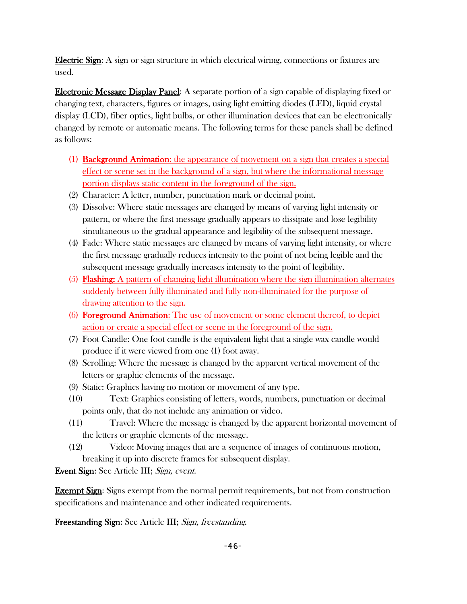Electric Sign: A sign or sign structure in which electrical wiring, connections or fixtures are used.

Electronic Message Display Panel: A separate portion of a sign capable of displaying fixed or changing text, characters, figures or images, using light emitting diodes (LED), liquid crystal display (LCD), fiber optics, light bulbs, or other illumination devices that can be electronically changed by remote or automatic means. The following terms for these panels shall be defined as follows:

- (1) Background Animation: the appearance of movement on a sign that creates a special effect or scene set in the background of a sign, but where the informational message portion displays static content in the foreground of the sign.
- (2) Character: A letter, number, punctuation mark or decimal point.
- (3) Dissolve: Where static messages are changed by means of varying light intensity or pattern, or where the first message gradually appears to dissipate and lose legibility simultaneous to the gradual appearance and legibility of the subsequent message.
- (4) Fade: Where static messages are changed by means of varying light intensity, or where the first message gradually reduces intensity to the point of not being legible and the subsequent message gradually increases intensity to the point of legibility.
- (5) Flashing: A pattern of changing light illumination where the sign illumination alternates suddenly between fully illuminated and fully non-illuminated for the purpose of drawing attention to the sign.
- (6) Foreground Animation: The use of movement or some element thereof, to depict action or create a special effect or scene in the foreground of the sign.
- (7) Foot Candle: One foot candle is the equivalent light that a single wax candle would produce if it were viewed from one (1) foot away.
- (8) Scrolling: Where the message is changed by the apparent vertical movement of the letters or graphic elements of the message.
- (9) Static: Graphics having no motion or movement of any type.
- (10) Text: Graphics consisting of letters, words, numbers, punctuation or decimal points only, that do not include any animation or video.
- (11) Travel: Where the message is changed by the apparent horizontal movement of the letters or graphic elements of the message.
- (12) Video: Moving images that are a sequence of images of continuous motion, breaking it up into discrete frames for subsequent display.

Event Sign: See Article III; Sign, event.

**Exempt Sign:** Signs exempt from the normal permit requirements, but not from construction specifications and maintenance and other indicated requirements.

Freestanding Sign: See Article III; Sign, freestanding.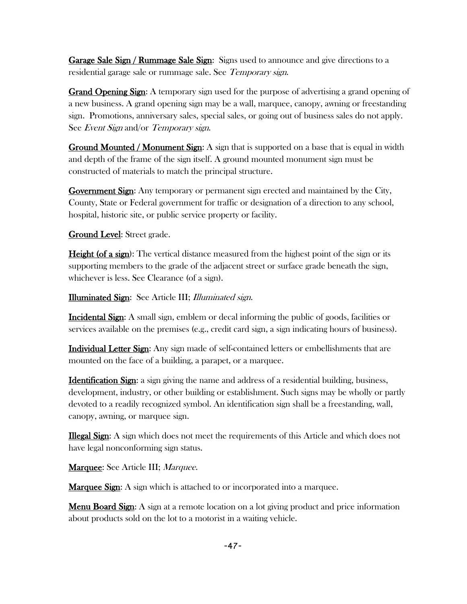Garage Sale Sign / Rummage Sale Sign: Signs used to announce and give directions to a residential garage sale or rummage sale. See Temporary sign.

Grand Opening Sign: A temporary sign used for the purpose of advertising a grand opening of a new business. A grand opening sign may be a wall, marquee, canopy, awning or freestanding sign. Promotions, anniversary sales, special sales, or going out of business sales do not apply. See Event Sign and/or Temporary sign.

**Ground Mounted / Monument Sign:** A sign that is supported on a base that is equal in width and depth of the frame of the sign itself. A ground mounted monument sign must be constructed of materials to match the principal structure.

Government Sign: Any temporary or permanent sign erected and maintained by the City, County, State or Federal government for traffic or designation of a direction to any school, hospital, historic site, or public service property or facility.

Ground Level: Street grade.

**Height (of a sign):** The vertical distance measured from the highest point of the sign or its supporting members to the grade of the adjacent street or surface grade beneath the sign, whichever is less. See Clearance (of a sign).

Illuminated Sign: See Article III; Illuminated sign.

Incidental Sign: A small sign, emblem or decal informing the public of goods, facilities or services available on the premises (e.g., credit card sign, a sign indicating hours of business).

Individual Letter Sign: Any sign made of self-contained letters or embellishments that are mounted on the face of a building, a parapet, or a marquee.

Identification Sign: a sign giving the name and address of a residential building, business, development, industry, or other building or establishment. Such signs may be wholly or partly devoted to a readily recognized symbol. An identification sign shall be a freestanding, wall, canopy, awning, or marquee sign.

Illegal Sign: A sign which does not meet the requirements of this Article and which does not have legal nonconforming sign status.

Marquee: See Article III; Marquee.

**Marquee Sign:** A sign which is attached to or incorporated into a marquee.

**Menu Board Sign:** A sign at a remote location on a lot giving product and price information about products sold on the lot to a motorist in a waiting vehicle.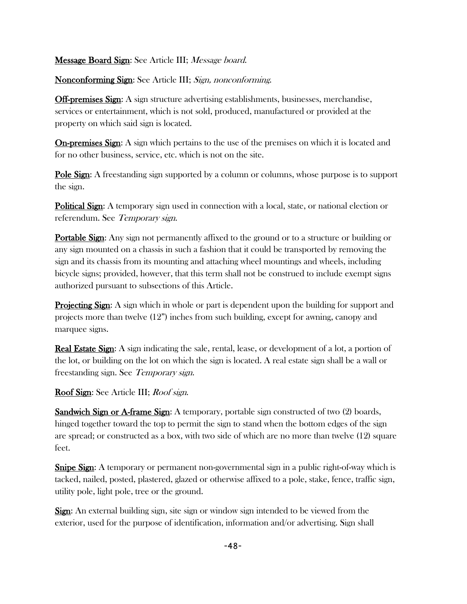#### Message Board Sign: See Article III; Message board.

Nonconforming Sign: See Article III; Sign, nonconforming.

**Off-premises Sign:** A sign structure advertising establishments, businesses, merchandise, services or entertainment, which is not sold, produced, manufactured or provided at the property on which said sign is located.

On-premises Sign: A sign which pertains to the use of the premises on which it is located and for no other business, service, etc. which is not on the site.

Pole Sign: A freestanding sign supported by a column or columns, whose purpose is to support the sign.

**Political Sign:** A temporary sign used in connection with a local, state, or national election or referendum. See Temporary sign.

Portable Sign: Any sign not permanently affixed to the ground or to a structure or building or any sign mounted on a chassis in such a fashion that it could be transported by removing the sign and its chassis from its mounting and attaching wheel mountings and wheels, including bicycle signs; provided, however, that this term shall not be construed to include exempt signs authorized pursuant to subsections of this Article.

**Projecting Sign:** A sign which in whole or part is dependent upon the building for support and projects more than twelve (12") inches from such building, except for awning, canopy and marquee signs.

Real Estate Sign: A sign indicating the sale, rental, lease, or development of a lot, a portion of the lot, or building on the lot on which the sign is located. A real estate sign shall be a wall or freestanding sign. See Temporary sign.

Roof Sign: See Article III; Roof sign.

Sandwich Sign or A-frame Sign: A temporary, portable sign constructed of two (2) boards, hinged together toward the top to permit the sign to stand when the bottom edges of the sign are spread; or constructed as a box, with two side of which are no more than twelve (12) square feet.

**Snipe Sign:** A temporary or permanent non-governmental sign in a public right-of-way which is tacked, nailed, posted, plastered, glazed or otherwise affixed to a pole, stake, fence, traffic sign, utility pole, light pole, tree or the ground.

Sign: An external building sign, site sign or window sign intended to be viewed from the exterior, used for the purpose of identification, information and/or advertising. Sign shall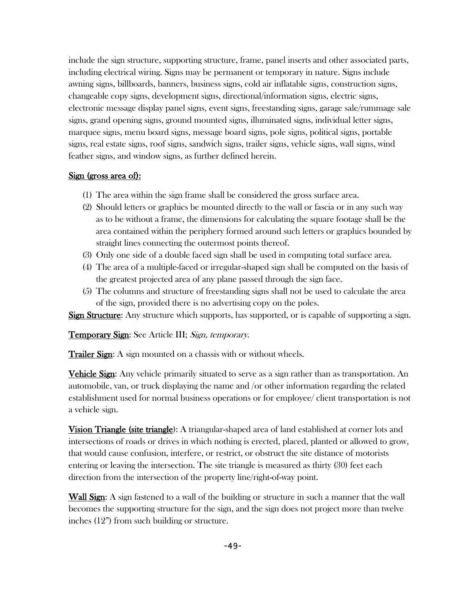include the sign structure, supporting structure, frame, panel inserts and other associated parts, including electrical wiring. Signs may be permanent or temporary in nature. Signs include awning signs, billboards, banners, business signs, cold air inflatable signs, construction signs, changeable copy signs, development signs, directional/information signs, electric signs, electronic message display panel signs, event signs, freestanding signs, garage sale/rummage sale signs, grand opening signs, ground mounted signs, illuminated signs, individual letter signs, marquee signs, menu board signs, message board signs, pole signs, political signs, portable signs, real estate signs, roof signs, sandwich signs, trailer signs, vehicle signs, wall signs, wind feather signs, and window signs, as further defined herein.

## Sign (gross area of):

- (1) The area within the sign frame shall be considered the gross surface area.
- (2) Should letters or graphics be mounted directly to the wall or fascia or in any such way as to be without a frame, the dimensions for calculating the square footage shall be the area contained within the periphery formed around such letters or graphics bounded by straight lines connecting the outermost points thereof.
- (3) Only one side of a double faced sign shall be used in computing total surface area.
- (4) The area of a multiple-faced or irregular-shaped sign shall be computed on the basis of the greatest projected area of any plane passed through the sign face.
- (5) The columns and structure of freestanding signs shall not be used to calculate the area of the sign, provided there is no advertising copy on the poles.

Sign Structure: Any structure which supports, has supported, or is capable of supporting a sign.

Temporary Sign: See Article III; Sign, temporary.

**Trailer Sign:** A sign mounted on a chassis with or without wheels.

**Vehicle Sign:** Any vehicle primarily situated to serve as a sign rather than as transportation. An automobile, van, or truck displaying the name and /or other information regarding the related establishment used for normal business operations or for employee/ client transportation is not a vehicle sign.

**Vision Triangle (site triangle):** A triangular-shaped area of land established at corner lots and intersections of roads or drives in which nothing is erected, placed, planted or allowed to grow, that would cause confusion, interfere, or restrict, or obstruct the site distance of motorists entering or leaving the intersection. The site triangle is measured as thirty (30) feet each direction from the intersection of the property line/right-of-way point.

Wall Sign: A sign fastened to a wall of the building or structure in such a manner that the wall becomes the supporting structure for the sign, and the sign does not project more than twelve inches (12") from such building or structure.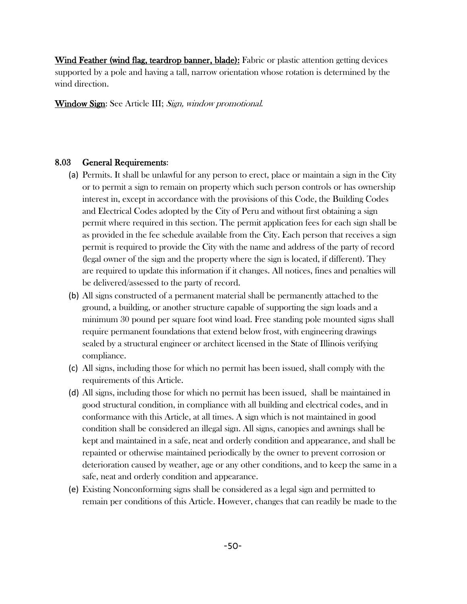Wind Feather (wind flag, teardrop banner, blade): Fabric or plastic attention getting devices supported by a pole and having a tall, narrow orientation whose rotation is determined by the wind direction.

Window Sign: See Article III; Sign, window promotional.

### 8.03 General Requirements:

- (a) Permits. It shall be unlawful for any person to erect, place or maintain a sign in the City or to permit a sign to remain on property which such person controls or has ownership interest in, except in accordance with the provisions of this Code, the Building Codes and Electrical Codes adopted by the City of Peru and without first obtaining a sign permit where required in this section. The permit application fees for each sign shall be as provided in the fee schedule available from the City. Each person that receives a sign permit is required to provide the City with the name and address of the party of record (legal owner of the sign and the property where the sign is located, if different). They are required to update this information if it changes. All notices, fines and penalties will be delivered/assessed to the party of record.
- (b) All signs constructed of a permanent material shall be permanently attached to the ground, a building, or another structure capable of supporting the sign loads and a minimum 30 pound per square foot wind load. Free standing pole mounted signs shall require permanent foundations that extend below frost, with engineering drawings sealed by a structural engineer or architect licensed in the State of Illinois verifying compliance.
- (c) All signs, including those for which no permit has been issued, shall comply with the requirements of this Article.
- (d) All signs, including those for which no permit has been issued, shall be maintained in good structural condition, in compliance with all building and electrical codes, and in conformance with this Article, at all times. A sign which is not maintained in good condition shall be considered an illegal sign. All signs, canopies and awnings shall be kept and maintained in a safe, neat and orderly condition and appearance, and shall be repainted or otherwise maintained periodically by the owner to prevent corrosion or deterioration caused by weather, age or any other conditions, and to keep the same in a safe, neat and orderly condition and appearance.
- (e) Existing Nonconforming signs shall be considered as a legal sign and permitted to remain per conditions of this Article. However, changes that can readily be made to the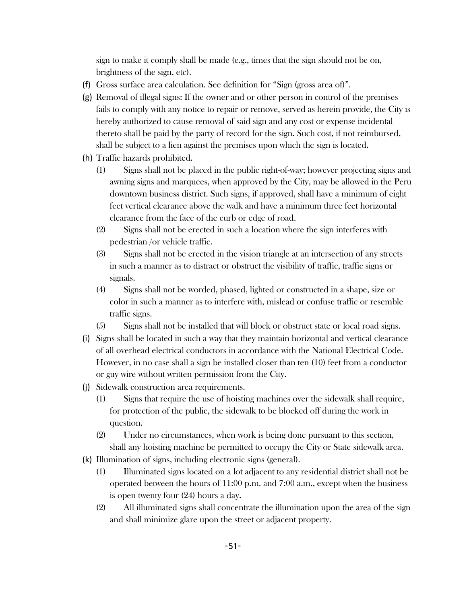sign to make it comply shall be made (e.g., times that the sign should not be on, brightness of the sign, etc).

- (f) Gross surface area calculation. See definition for "Sign (gross area of)".
- (g) Removal of illegal signs: If the owner and or other person in control of the premises fails to comply with any notice to repair or remove, served as herein provide, the City is hereby authorized to cause removal of said sign and any cost or expense incidental thereto shall be paid by the party of record for the sign. Such cost, if not reimbursed, shall be subject to a lien against the premises upon which the sign is located.
- (h) Traffic hazards prohibited.
	- (1) Signs shall not be placed in the public right-of-way; however projecting signs and awning signs and marquees, when approved by the City, may be allowed in the Peru downtown business district. Such signs, if approved, shall have a minimum of eight feet vertical clearance above the walk and have a minimum three feet horizontal clearance from the face of the curb or edge of road.
	- (2) Signs shall not be erected in such a location where the sign interferes with pedestrian /or vehicle traffic.
	- (3) Signs shall not be erected in the vision triangle at an intersection of any streets in such a manner as to distract or obstruct the visibility of traffic, traffic signs or signals.
	- (4) Signs shall not be worded, phased, lighted or constructed in a shape, size or color in such a manner as to interfere with, mislead or confuse traffic or resemble traffic signs.
	- (5) Signs shall not be installed that will block or obstruct state or local road signs.
- (i) Signs shall be located in such a way that they maintain horizontal and vertical clearance of all overhead electrical conductors in accordance with the National Electrical Code. However, in no case shall a sign be installed closer than ten (10) feet from a conductor or guy wire without written permission from the City.
- (j) Sidewalk construction area requirements.
	- (1) Signs that require the use of hoisting machines over the sidewalk shall require, for protection of the public, the sidewalk to be blocked off during the work in question.
	- (2) Under no circumstances, when work is being done pursuant to this section, shall any hoisting machine be permitted to occupy the City or State sidewalk area.
- (k) Illumination of signs, including electronic signs (general).
	- (1) Illuminated signs located on a lot adjacent to any residential district shall not be operated between the hours of 11:00 p.m. and 7:00 a.m., except when the business is open twenty four (24) hours a day.
	- (2) All illuminated signs shall concentrate the illumination upon the area of the sign and shall minimize glare upon the street or adjacent property.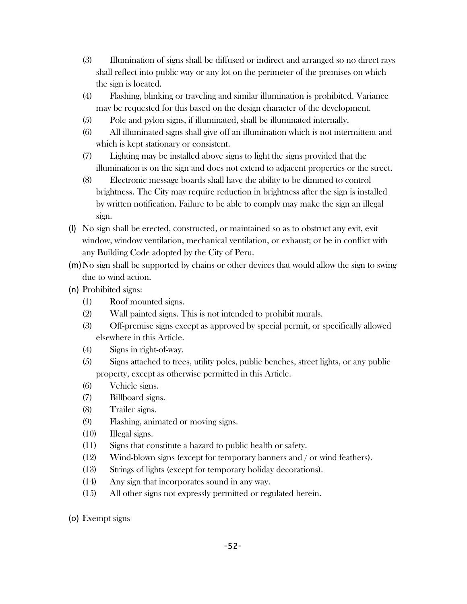- (3) Illumination of signs shall be diffused or indirect and arranged so no direct rays shall reflect into public way or any lot on the perimeter of the premises on which the sign is located.
- (4) Flashing, blinking or traveling and similar illumination is prohibited. Variance may be requested for this based on the design character of the development.
- (5) Pole and pylon signs, if illuminated, shall be illuminated internally.
- (6) All illuminated signs shall give off an illumination which is not intermittent and which is kept stationary or consistent.
- (7) Lighting may be installed above signs to light the signs provided that the illumination is on the sign and does not extend to adjacent properties or the street.
- (8) Electronic message boards shall have the ability to be dimmed to control brightness. The City may require reduction in brightness after the sign is installed by written notification. Failure to be able to comply may make the sign an illegal sign.
- (l) No sign shall be erected, constructed, or maintained so as to obstruct any exit, exit window, window ventilation, mechanical ventilation, or exhaust; or be in conflict with any Building Code adopted by the City of Peru.
- (m)No sign shall be supported by chains or other devices that would allow the sign to swing due to wind action.
- (n) Prohibited signs:
	- (1) Roof mounted signs.
	- (2) Wall painted signs. This is not intended to prohibit murals.
	- (3) Off-premise signs except as approved by special permit, or specifically allowed elsewhere in this Article.
	- (4) Signs in right-of-way.
	- (5) Signs attached to trees, utility poles, public benches, street lights, or any public property, except as otherwise permitted in this Article.
	- (6) Vehicle signs.
	- (7) Billboard signs.
	- (8) Trailer signs.
	- (9) Flashing, animated or moving signs.
	- (10) Illegal signs.
	- (11) Signs that constitute a hazard to public health or safety.
	- (12) Wind-blown signs (except for temporary banners and / or wind feathers).
	- (13) Strings of lights (except for temporary holiday decorations).
	- (14) Any sign that incorporates sound in any way.
	- (15) All other signs not expressly permitted or regulated herein.
- (o) Exempt signs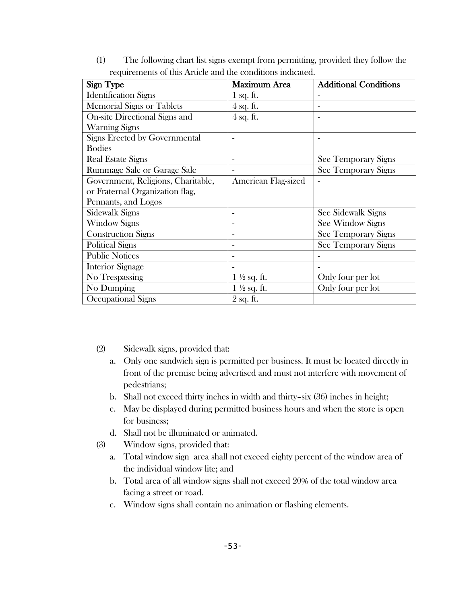| Sign Type                          | <b>Maximum Area</b>    | <b>Additional Conditions</b> |
|------------------------------------|------------------------|------------------------------|
| <b>Identification Signs</b>        | $1$ sq. ft.            |                              |
| <b>Memorial Signs or Tablets</b>   | $4$ sq. ft.            |                              |
| On-site Directional Signs and      | $4$ sq. ft.            |                              |
| <b>Warning Signs</b>               |                        |                              |
| Signs Erected by Governmental      |                        |                              |
| <b>Bodies</b>                      |                        |                              |
| <b>Real Estate Signs</b>           |                        | See Temporary Signs          |
| Rummage Sale or Garage Sale        |                        | See Temporary Signs          |
| Government, Religions, Charitable, | American Flag-sized    |                              |
| or Fraternal Organization flag,    |                        |                              |
| Pennants, and Logos                |                        |                              |
| Sidewalk Signs                     |                        | See Sidewalk Signs           |
| <b>Window Signs</b>                |                        | See Window Signs             |
| <b>Construction Signs</b>          |                        | See Temporary Signs          |
| <b>Political Signs</b>             |                        | See Temporary Signs          |
| <b>Public Notices</b>              |                        |                              |
| <b>Interior Signage</b>            |                        |                              |
| No Trespassing                     | $1\frac{1}{2}$ sq. ft. | Only four per lot            |
| No Dumping                         | $1\frac{1}{2}$ sq. ft. | Only four per lot            |
| Occupational Signs                 | $2$ sq. ft.            |                              |

(1) The following chart list signs exempt from permitting, provided they follow the requirements of this Article and the conditions indicated.

- (2) Sidewalk signs, provided that:
	- a. Only one sandwich sign is permitted per business. It must be located directly in front of the premise being advertised and must not interfere with movement of pedestrians;
	- b. Shall not exceed thirty inches in width and thirty–six (36) inches in height;
	- c. May be displayed during permitted business hours and when the store is open for business;
	- d. Shall not be illuminated or animated.
- (3) Window signs, provided that:
	- a. Total window sign area shall not exceed eighty percent of the window area of the individual window lite; and
	- b. Total area of all window signs shall not exceed 20% of the total window area facing a street or road.
	- c. Window signs shall contain no animation or flashing elements.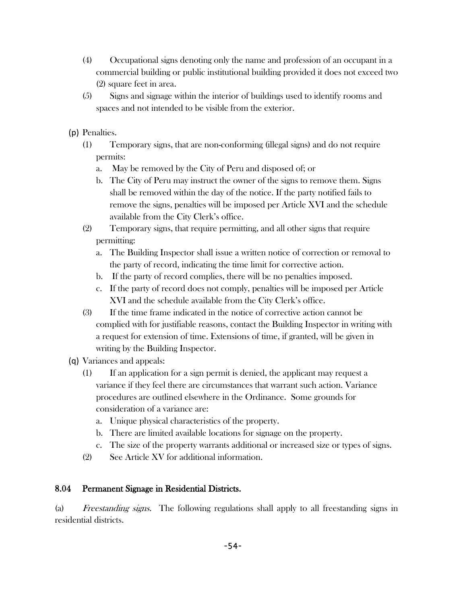- (4) Occupational signs denoting only the name and profession of an occupant in a commercial building or public institutional building provided it does not exceed two (2) square feet in area.
- (5) Signs and signage within the interior of buildings used to identify rooms and spaces and not intended to be visible from the exterior.
- (p) Penalties.
	- (1) Temporary signs, that are non-conforming (illegal signs) and do not require permits:
		- a. May be removed by the City of Peru and disposed of; or
		- b. The City of Peru may instruct the owner of the signs to remove them. Signs shall be removed within the day of the notice. If the party notified fails to remove the signs, penalties will be imposed per Article XVI and the schedule available from the City Clerk's office.
	- (2) Temporary signs, that require permitting, and all other signs that require permitting:
		- a. The Building Inspector shall issue a written notice of correction or removal to the party of record, indicating the time limit for corrective action.
		- b. If the party of record complies, there will be no penalties imposed.
		- c. If the party of record does not comply, penalties will be imposed per Article XVI and the schedule available from the City Clerk's office.
	- (3) If the time frame indicated in the notice of corrective action cannot be complied with for justifiable reasons, contact the Building Inspector in writing with a request for extension of time. Extensions of time, if granted, will be given in writing by the Building Inspector.
- (q) Variances and appeals:
	- (1) If an application for a sign permit is denied, the applicant may request a variance if they feel there are circumstances that warrant such action. Variance procedures are outlined elsewhere in the Ordinance. Some grounds for consideration of a variance are:
		- a. Unique physical characteristics of the property.
		- b. There are limited available locations for signage on the property.
		- c. The size of the property warrants additional or increased size or types of signs.
	- (2) See Article XV for additional information.

### 8.04 Permanent Signage in Residential Districts.

(a) Freestanding signs. The following regulations shall apply to all freestanding signs in residential districts.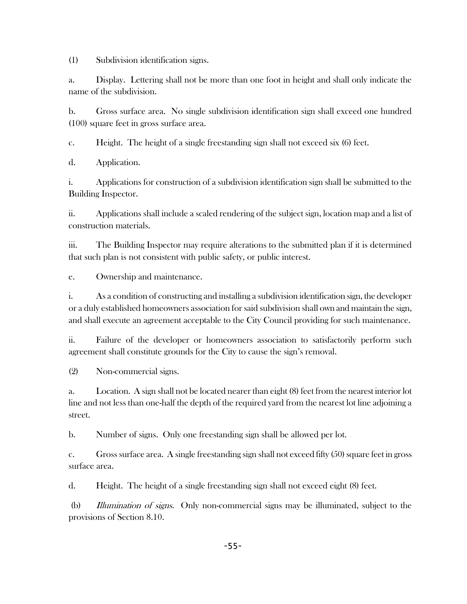(1) Subdivision identification signs.

a. Display. Lettering shall not be more than one foot in height and shall only indicate the name of the subdivision.

b. Gross surface area. No single subdivision identification sign shall exceed one hundred (100) square feet in gross surface area.

c. Height. The height of a single freestanding sign shall not exceed six (6) feet.

d. Application.

i. Applications for construction of a subdivision identification sign shall be submitted to the Building Inspector.

ii. Applications shall include a scaled rendering of the subject sign, location map and a list of construction materials.

iii. The Building Inspector may require alterations to the submitted plan if it is determined that such plan is not consistent with public safety, or public interest.

e. Ownership and maintenance.

i. As a condition of constructing and installing a subdivision identification sign, the developer or a duly established homeowners association for said subdivision shall own and maintain the sign, and shall execute an agreement acceptable to the City Council providing for such maintenance.

ii. Failure of the developer or homeowners association to satisfactorily perform such agreement shall constitute grounds for the City to cause the sign's removal.

(2) Non-commercial signs.

a. Location. A sign shall not be located nearer than eight (8) feet from the nearest interior lot line and not less than one-half the depth of the required yard from the nearest lot line adjoining a street.

b. Number of signs. Only one freestanding sign shall be allowed per lot.

c. Gross surface area. A single freestanding sign shall not exceed fifty (50) square feet in gross surface area.

d. Height. The height of a single freestanding sign shall not exceed eight (8) feet.

(b) Illumination of signs. Only non-commercial signs may be illuminated, subject to the provisions of Section 8.10.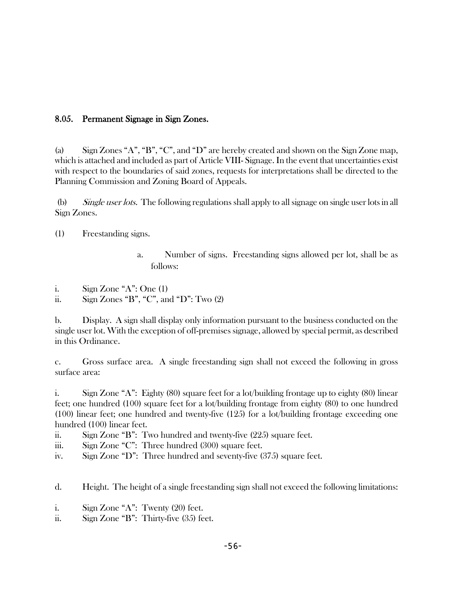### 8.05. Permanent Signage in Sign Zones.

(a) Sign Zones "A", "B", "C", and "D" are hereby created and shown on the Sign Zone map, which is attached and included as part of Article VIII- Signage. In the event that uncertainties exist with respect to the boundaries of said zones, requests for interpretations shall be directed to the Planning Commission and Zoning Board of Appeals.

(b) Single user lots. The following regulations shall apply to all signage on single user lots in all Sign Zones.

(1) Freestanding signs.

- a. Number of signs. Freestanding signs allowed per lot, shall be as follows:
- i. Sign Zone "A": One (1)
- ii. Sign Zones "B", "C", and "D": Two  $(2)$

b. Display. A sign shall display only information pursuant to the business conducted on the single user lot. With the exception of off-premises signage, allowed by special permit, as described in this Ordinance.

c. Gross surface area. A single freestanding sign shall not exceed the following in gross surface area:

i. Sign Zone "A": Eighty (80) square feet for a lot/building frontage up to eighty (80) linear feet; one hundred (100) square feet for a lot/building frontage from eighty (80) to one hundred (100) linear feet; one hundred and twenty-five (125) for a lot/building frontage exceeding one hundred (100) linear feet.

ii. Sign Zone "B": Two hundred and twenty-five (225) square feet.

iii. Sign Zone "C": Three hundred (300) square feet.

iv. Sign Zone "D": Three hundred and seventy-five (375) square feet.

d. Height. The height of a single freestanding sign shall not exceed the following limitations:

- i. Sign Zone "A": Twenty (20) feet.
- ii. Sign Zone "B": Thirty-five (35) feet.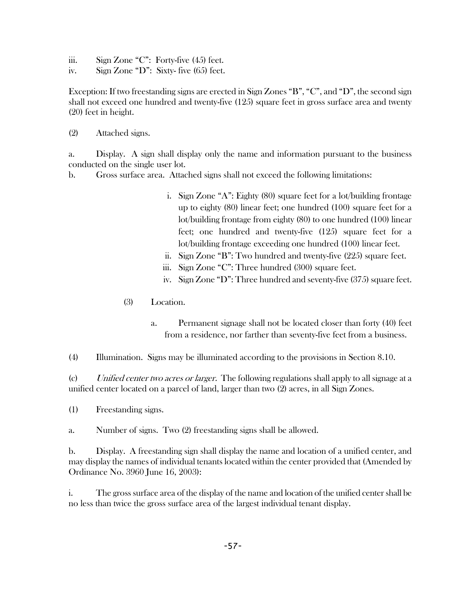- iii. Sign Zone "C": Forty-five  $(45)$  feet.
- iv. Sign Zone "D": Sixty- five (65) feet.

Exception: If two freestanding signs are erected in Sign Zones "B", "C", and "D", the second sign shall not exceed one hundred and twenty-five (125) square feet in gross surface area and twenty (20) feet in height.

(2) Attached signs.

a. Display. A sign shall display only the name and information pursuant to the business conducted on the single user lot.

b. Gross surface area. Attached signs shall not exceed the following limitations:

- i. Sign Zone "A": Eighty (80) square feet for a lot/building frontage up to eighty (80) linear feet; one hundred (100) square feet for a lot/building frontage from eighty (80) to one hundred (100) linear feet; one hundred and twenty-five (125) square feet for a lot/building frontage exceeding one hundred (100) linear feet.
- ii. Sign Zone "B": Two hundred and twenty-five (225) square feet.
- iii. Sign Zone "C": Three hundred (300) square feet.
- iv. Sign Zone "D": Three hundred and seventy-five (375) square feet.
- (3) Location.
	- a. Permanent signage shall not be located closer than forty (40) feet from a residence, nor farther than seventy-five feet from a business.

(4) Illumination. Signs may be illuminated according to the provisions in Section 8.10.

(c) Unified center two acres or larger. The following regulations shall apply to all signage at a unified center located on a parcel of land, larger than two (2) acres, in all Sign Zones.

(1) Freestanding signs.

a. Number of signs. Two (2) freestanding signs shall be allowed.

b. Display. A freestanding sign shall display the name and location of a unified center, and may display the names of individual tenants located within the center provided that (Amended by Ordinance No. 3960 June 16, 2003):

i. The gross surface area of the display of the name and location of the unified center shall be no less than twice the gross surface area of the largest individual tenant display.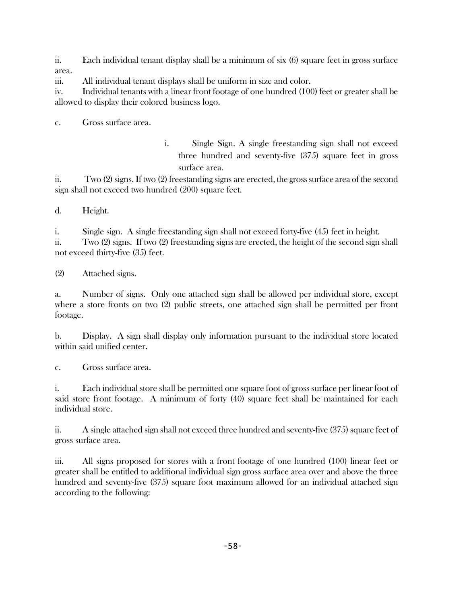ii. Each individual tenant display shall be a minimum of six (6) square feet in gross surface area.

iii. All individual tenant displays shall be uniform in size and color.

iv. Individual tenants with a linear front footage of one hundred (100) feet or greater shall be allowed to display their colored business logo.

c. Gross surface area.

i. Single Sign. A single freestanding sign shall not exceed three hundred and seventy-five (375) square feet in gross surface area.

ii. Two (2) signs. If two (2) freestanding signs are erected, the gross surface area of the second sign shall not exceed two hundred (200) square feet.

d. Height.

i. Single sign. A single freestanding sign shall not exceed forty-five (45) feet in height.

ii. Two (2) signs. If two (2) freestanding signs are erected, the height of the second sign shall not exceed thirty-five (35) feet.

(2) Attached signs.

a. Number of signs. Only one attached sign shall be allowed per individual store, except where a store fronts on two (2) public streets, one attached sign shall be permitted per front footage.

b. Display. A sign shall display only information pursuant to the individual store located within said unified center.

c. Gross surface area.

i. Each individual store shall be permitted one square foot of gross surface per linear foot of said store front footage. A minimum of forty (40) square feet shall be maintained for each individual store.

ii. A single attached sign shall not exceed three hundred and seventy-five (375) square feet of gross surface area.

iii. All signs proposed for stores with a front footage of one hundred (100) linear feet or greater shall be entitled to additional individual sign gross surface area over and above the three hundred and seventy-five (375) square foot maximum allowed for an individual attached sign according to the following: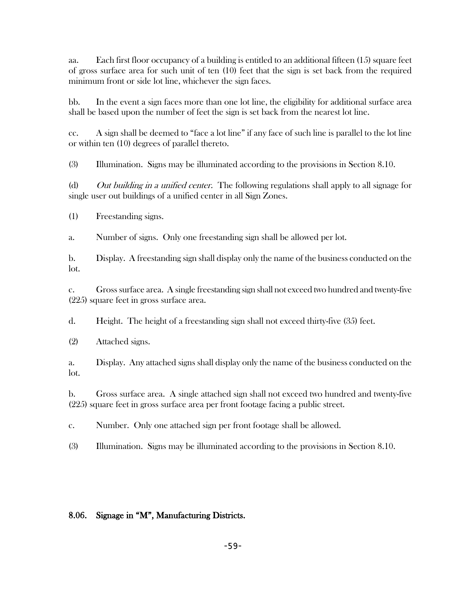aa. Each first floor occupancy of a building is entitled to an additional fifteen (15) square feet of gross surface area for such unit of ten (10) feet that the sign is set back from the required minimum front or side lot line, whichever the sign faces.

bb. In the event a sign faces more than one lot line, the eligibility for additional surface area shall be based upon the number of feet the sign is set back from the nearest lot line.

cc. A sign shall be deemed to "face a lot line" if any face of such line is parallel to the lot line or within ten (10) degrees of parallel thereto.

(3) Illumination. Signs may be illuminated according to the provisions in Section 8.10.

(d) Out building in a unified center. The following regulations shall apply to all signage for single user out buildings of a unified center in all Sign Zones.

(1) Freestanding signs.

a. Number of signs. Only one freestanding sign shall be allowed per lot.

b. Display. A freestanding sign shall display only the name of the business conducted on the lot.

c. Gross surface area. A single freestanding sign shall not exceed two hundred and twenty-five (225) square feet in gross surface area.

d. Height. The height of a freestanding sign shall not exceed thirty-five (35) feet.

(2) Attached signs.

a. Display. Any attached signs shall display only the name of the business conducted on the lot.

b. Gross surface area. A single attached sign shall not exceed two hundred and twenty-five (225) square feet in gross surface area per front footage facing a public street.

c. Number. Only one attached sign per front footage shall be allowed.

(3) Illumination. Signs may be illuminated according to the provisions in Section 8.10.

### 8.06. Signage in "M", Manufacturing Districts.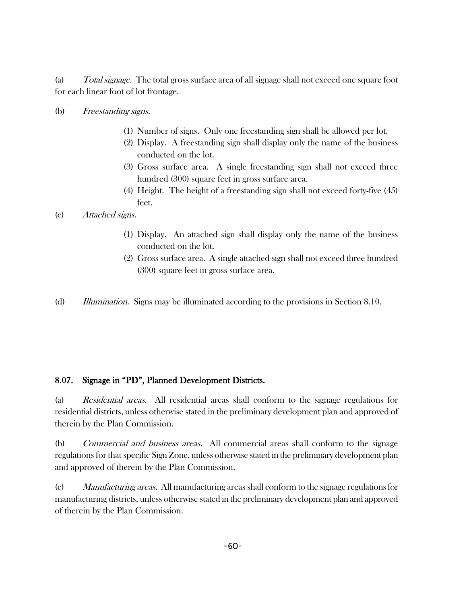(a) Total signage. The total gross surface area of all signage shall not exceed one square foot for each linear foot of lot frontage.

#### (b) Freestanding signs.

- (1) Number of signs. Only one freestanding sign shall be allowed per lot.
- (2) Display. A freestanding sign shall display only the name of the business conducted on the lot.
- (3) Gross surface area. A single freestanding sign shall not exceed three hundred (300) square feet in gross surface area.
- (4) Height. The height of a freestanding sign shall not exceed forty-five (45) feet.

### (c) Attached signs.

- (1) Display. An attached sign shall display only the name of the business conducted on the lot.
- (2) Gross surface area. A single attached sign shall not exceed three hundred (300) square feet in gross surface area.
- (d) Illumination. Signs may be illuminated according to the provisions in Section 8.10.

### 8.07. Signage in "PD", Planned Development Districts.

(a) Residential areas. All residential areas shall conform to the signage regulations for residential districts, unless otherwise stated in the preliminary development plan and approved of therein by the Plan Commission.

(b) Commercial and business areas. All commercial areas shall conform to the signage regulations for that specific Sign Zone, unless otherwise stated in the preliminary development plan and approved of therein by the Plan Commission.

(c) Manufacturing areas. All manufacturing areas shall conform to the signage regulations for manufacturing districts, unless otherwise stated in the preliminary development plan and approved of therein by the Plan Commission.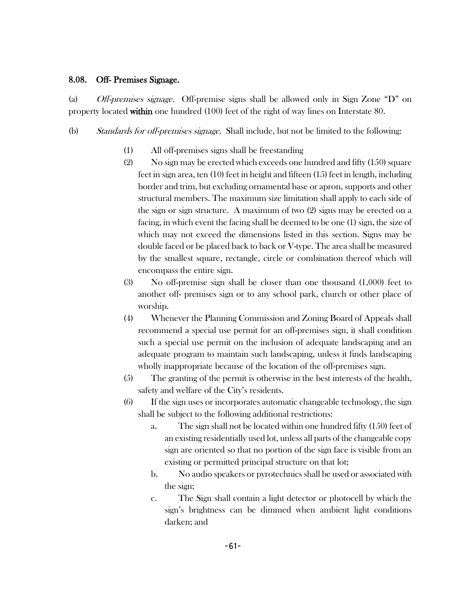#### 8.08. Off- Premises Signage.

(a) *Off-premises signage.* Off-premise signs shall be allowed only in Sign Zone "D" on property located within one hundred (100) feet of the right of way lines on Interstate 80.

- (b) Standards for off-premises signage. Shall include, but not be limited to the following:
	- (1) All off-premises signs shall be freestanding
	- (2) No sign may be erected which exceeds one hundred and fifty (150) square feet in sign area, ten (10) feet in height and fifteen (15) feet in length, including border and trim, but excluding ornamental base or apron, supports and other structural members. The maximum size limitation shall apply to each side of the sign or sign structure. A maximum of two (2) signs may be erected on a facing, in which event the facing shall be deemed to be one (1) sign, the size of which may not exceed the dimensions listed in this section. Signs may be double faced or be placed back to back or V-type. The area shall be measured by the smallest square, rectangle, circle or combination thereof which will encompass the entire sign.
	- (3) No off-premise sign shall be closer than one thousand (1,000) feet to another off- premises sign or to any school park, church or other place of worship.
	- (4) Whenever the Planning Commission and Zoning Board of Appeals shall recommend a special use permit for an off-premises sign, it shall condition such a special use permit on the inclusion of adequate landscaping and an adequate program to maintain such landscaping, unless it finds landscaping wholly inappropriate because of the location of the off-premises sign.
	- (5) The granting of the permit is otherwise in the best interests of the health, safety and welfare of the City's residents.
	- (6) If the sign uses or incorporates automatic changeable technology, the sign shall be subject to the following additional restrictions:
		- a. The sign shall not be located within one hundred fifty (150) feet of an existing residentially used lot, unless all parts of the changeable copy sign are oriented so that no portion of the sign face is visible from an existing or permitted principal structure on that lot;
		- b. No audio speakers or pyrotechnics shall be used or associated with the sign;
		- c. The Sign shall contain a light detector or photocell by which the sign's brightness can be dimmed when ambient light conditions darken; and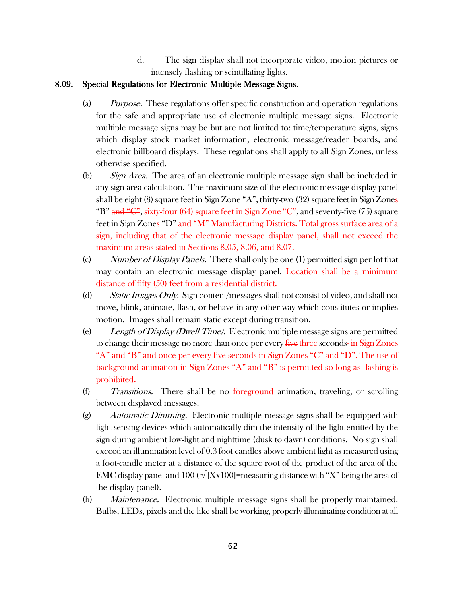d. The sign display shall not incorporate video, motion pictures or intensely flashing or scintillating lights.

# 8.09. Special Regulations for Electronic Multiple Message Signs.

- (a) Purpose. These regulations offer specific construction and operation regulations for the safe and appropriate use of electronic multiple message signs. Electronic multiple message signs may be but are not limited to: time/temperature signs, signs which display stock market information, electronic message/reader boards, and electronic billboard displays. These regulations shall apply to all Sign Zones, unless otherwise specified.
- (b) Sign Area. The area of an electronic multiple message sign shall be included in any sign area calculation. The maximum size of the electronic message display panel shall be eight (8) square feet in Sign Zone "A", thirty-two (32) square feet in Sign Zones "B" and "C", sixty-four (64) square feet in Sign Zone "C", and seventy-five (75) square feet in Sign Zones "D" and "M" Manufacturing Districts. Total gross surface area of a sign, including that of the electronic message display panel, shall not exceed the maximum areas stated in Sections 8.05, 8.06, and 8.07.
- (c) Number of Display Panels. There shall only be one (1) permitted sign per lot that may contain an electronic message display panel. Location shall be a minimum distance of fifty (50) feet from a residential district.
- (d) Static Images Only. Sign content/messages shall not consist of video, and shall not move, blink, animate, flash, or behave in any other way which constitutes or implies motion. Images shall remain static except during transition.
- (e) Length of Display (Dwell Time). Electronic multiple message signs are permitted to change their message no more than once per every <del>five</del> three seconds- in Sign Zones "A" and "B" and once per every five seconds in Sign Zones "C" and "D". The use of background animation in Sign Zones "A" and "B" is permitted so long as flashing is prohibited.
- (f) Transitions. There shall be no foreground animation, traveling, or scrolling between displayed messages.
- $(g)$  Automatic Dimming. Electronic multiple message signs shall be equipped with light sensing devices which automatically dim the intensity of the light emitted by the sign during ambient low-light and nighttime (dusk to dawn) conditions. No sign shall exceed an illumination level of 0.3 foot candles above ambient light as measured using a foot-candle meter at a distance of the square root of the product of the area of the EMC display panel and 100 ( $\sqrt{[{\rm X}x100]}$ =measuring distance with "X" being the area of the display panel).
- (h) *Maintenance*. Electronic multiple message signs shall be properly maintained. Bulbs, LEDs, pixels and the like shall be working, properly illuminating condition at all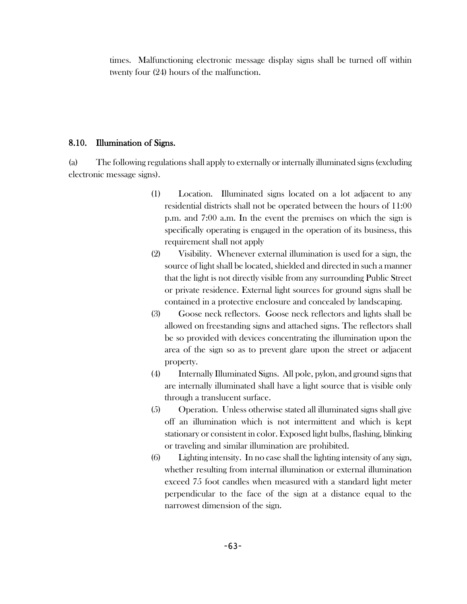times. Malfunctioning electronic message display signs shall be turned off within twenty four (24) hours of the malfunction.

### 8.10. Illumination of Signs.

(a) The following regulations shall apply to externally or internally illuminated signs (excluding electronic message signs).

- (1) Location. Illuminated signs located on a lot adjacent to any residential districts shall not be operated between the hours of 11:00 p.m. and 7:00 a.m. In the event the premises on which the sign is specifically operating is engaged in the operation of its business, this requirement shall not apply
- (2) Visibility. Whenever external illumination is used for a sign, the source of light shall be located, shielded and directed in such a manner that the light is not directly visible from any surrounding Public Street or private residence. External light sources for ground signs shall be contained in a protective enclosure and concealed by landscaping.
- (3) Goose neck reflectors. Goose neck reflectors and lights shall be allowed on freestanding signs and attached signs. The reflectors shall be so provided with devices concentrating the illumination upon the area of the sign so as to prevent glare upon the street or adjacent property.
- (4) Internally Illuminated Signs. All pole, pylon, and ground signs that are internally illuminated shall have a light source that is visible only through a translucent surface.
- (5) Operation. Unless otherwise stated all illuminated signs shall give off an illumination which is not intermittent and which is kept stationary or consistent in color. Exposed light bulbs, flashing, blinking or traveling and similar illumination are prohibited.
- (6) Lighting intensity. In no case shall the lighting intensity of any sign, whether resulting from internal illumination or external illumination exceed 75 foot candles when measured with a standard light meter perpendicular to the face of the sign at a distance equal to the narrowest dimension of the sign.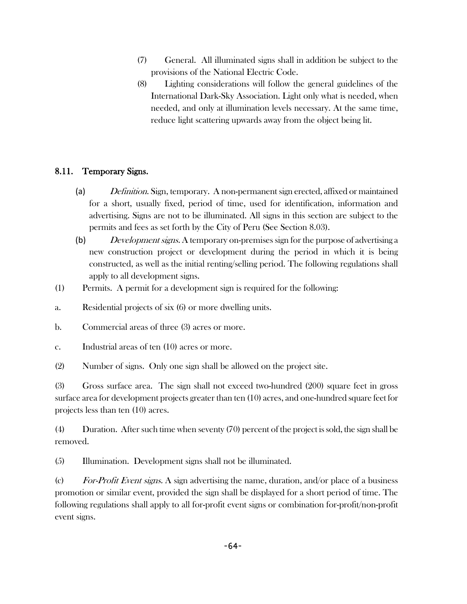- (7) General. All illuminated signs shall in addition be subject to the provisions of the National Electric Code.
- (8) Lighting considerations will follow the general guidelines of the International Dark-Sky Association. Light only what is needed, when needed, and only at illumination levels necessary. At the same time, reduce light scattering upwards away from the object being lit.

# 8.11. Temporary Signs.

- (a) Definition. Sign, temporary. A non-permanent sign erected, affixed or maintained for a short, usually fixed, period of time, used for identification, information and advertising. Signs are not to be illuminated. All signs in this section are subject to the permits and fees as set forth by the City of Peru (See Section 8.03).
- (b) Development signs. A temporary on-premises sign for the purpose of advertising a new construction project or development during the period in which it is being constructed, as well as the initial renting/selling period. The following regulations shall apply to all development signs.
- (1) Permits. A permit for a development sign is required for the following:
- a. Residential projects of six (6) or more dwelling units.
- b. Commercial areas of three (3) acres or more.
- c. Industrial areas of ten (10) acres or more.
- (2) Number of signs. Only one sign shall be allowed on the project site.

(3) Gross surface area. The sign shall not exceed two-hundred (200) square feet in gross surface area for development projects greater than ten (10) acres, and one-hundred square feet for projects less than ten (10) acres.

(4) Duration. After such time when seventy (70) percent of the project is sold, the sign shall be removed.

(5) Illumination. Development signs shall not be illuminated.

(c) For-Profit Event signs. A sign advertising the name, duration, and/or place of a business promotion or similar event, provided the sign shall be displayed for a short period of time. The following regulations shall apply to all for-profit event signs or combination for-profit/non-profit event signs.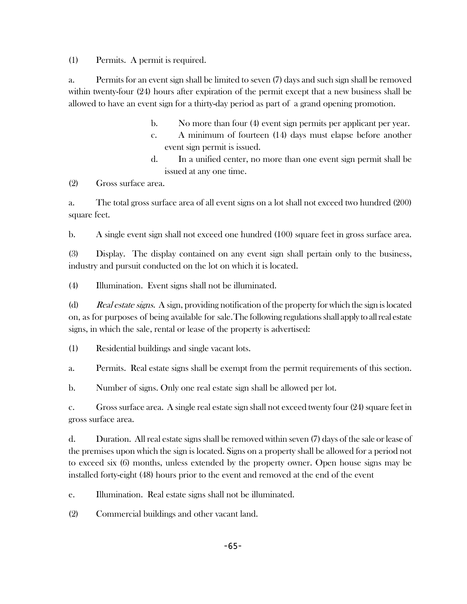(1) Permits. A permit is required.

a. Permits for an event sign shall be limited to seven (7) days and such sign shall be removed within twenty-four (24) hours after expiration of the permit except that a new business shall be allowed to have an event sign for a thirty-day period as part of a grand opening promotion.

- b. No more than four (4) event sign permits per applicant per year.
- c. A minimum of fourteen (14) days must elapse before another event sign permit is issued.
- d. In a unified center, no more than one event sign permit shall be issued at any one time.

(2) Gross surface area.

a. The total gross surface area of all event signs on a lot shall not exceed two hundred (200) square feet.

b. A single event sign shall not exceed one hundred (100) square feet in gross surface area.

(3) Display. The display contained on any event sign shall pertain only to the business, industry and pursuit conducted on the lot on which it is located.

(4) Illumination. Event signs shall not be illuminated.

(d) Real estate signs. A sign, providing notification of the property for which the sign is located on, as for purposes of being available for sale.The following regulations shall apply to all real estate signs, in which the sale, rental or lease of the property is advertised:

(1) Residential buildings and single vacant lots.

a. Permits. Real estate signs shall be exempt from the permit requirements of this section.

b. Number of signs. Only one real estate sign shall be allowed per lot.

c. Gross surface area. A single real estate sign shall not exceed twenty four (24) square feet in gross surface area.

d. Duration. All real estate signs shall be removed within seven (7) days of the sale or lease of the premises upon which the sign is located. Signs on a property shall be allowed for a period not to exceed six (6) months, unless extended by the property owner. Open house signs may be installed forty-eight (48) hours prior to the event and removed at the end of the event

e. Illumination. Real estate signs shall not be illuminated.

(2) Commercial buildings and other vacant land.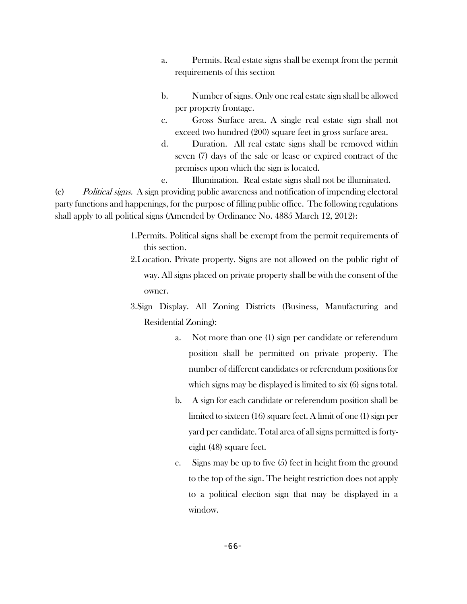- a. Permits. Real estate signs shall be exempt from the permit requirements of this section
- b. Number of signs. Only one real estate sign shall be allowed per property frontage.
- c. Gross Surface area. A single real estate sign shall not exceed two hundred (200) square feet in gross surface area.
- d. Duration. All real estate signs shall be removed within seven (7) days of the sale or lease or expired contract of the premises upon which the sign is located.
- e. Illumination. Real estate signs shall not be illuminated.

(e) Political signs. A sign providing public awareness and notification of impending electoral party functions and happenings, for the purpose of filling public office. The following regulations shall apply to all political signs (Amended by Ordinance No. 4885 March 12, 2012):

- 1.Permits. Political signs shall be exempt from the permit requirements of this section.
- 2.Location. Private property. Signs are not allowed on the public right of way. All signs placed on private property shall be with the consent of the owner.
- 3.Sign Display. All Zoning Districts (Business, Manufacturing and Residential Zoning):
	- a. Not more than one (1) sign per candidate or referendum position shall be permitted on private property. The number of different candidates or referendum positions for which signs may be displayed is limited to six (6) signs total.
	- b. A sign for each candidate or referendum position shall be limited to sixteen (16) square feet. A limit of one (1) sign per yard per candidate. Total area of all signs permitted is fortyeight (48) square feet.
	- c. Signs may be up to five (5) feet in height from the ground to the top of the sign. The height restriction does not apply to a political election sign that may be displayed in a window.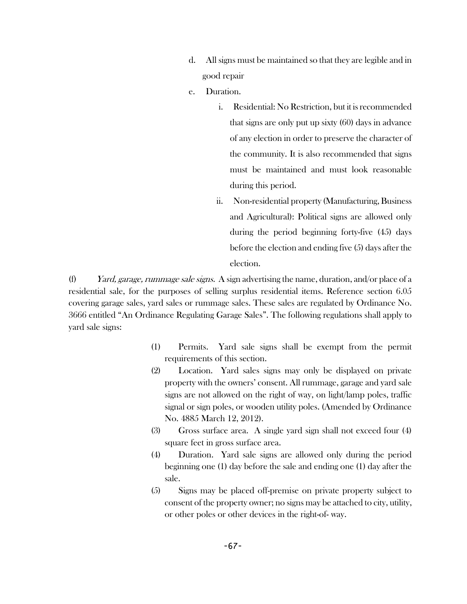- d. All signs must be maintained so that they are legible and in good repair
- e. Duration.
	- i. Residential: No Restriction, but it is recommended that signs are only put up sixty (60) days in advance of any election in order to preserve the character of the community. It is also recommended that signs must be maintained and must look reasonable during this period.
	- ii. Non-residential property (Manufacturing, Business and Agricultural): Political signs are allowed only during the period beginning forty-five (45) days before the election and ending five (5) days after the election.

(f) Yard, garage, rummage sale signs. A sign advertising the name, duration, and/or place of a residential sale, for the purposes of selling surplus residential items. Reference section 6.05 covering garage sales, yard sales or rummage sales. These sales are regulated by Ordinance No. 3666 entitled "An Ordinance Regulating Garage Sales". The following regulations shall apply to yard sale signs:

- (1) Permits. Yard sale signs shall be exempt from the permit requirements of this section.
- (2) Location. Yard sales signs may only be displayed on private property with the owners' consent. All rummage, garage and yard sale signs are not allowed on the right of way, on light/lamp poles, traffic signal or sign poles, or wooden utility poles. (Amended by Ordinance No. 4885 March 12, 2012).
- (3) Gross surface area. A single yard sign shall not exceed four (4) square feet in gross surface area.
- (4) Duration. Yard sale signs are allowed only during the period beginning one (1) day before the sale and ending one (1) day after the sale.
- (5) Signs may be placed off-premise on private property subject to consent of the property owner; no signs may be attached to city, utility, or other poles or other devices in the right-of- way.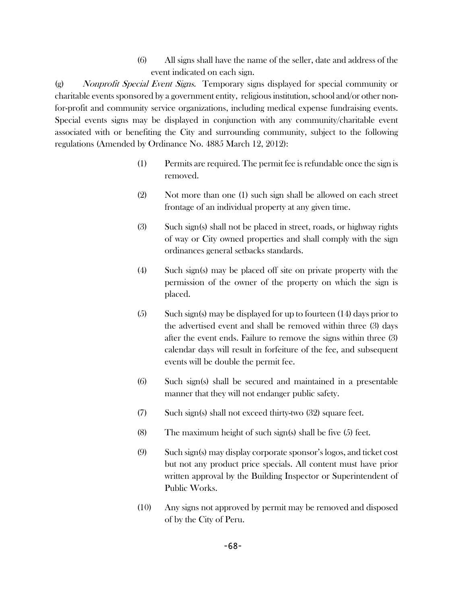(6) All signs shall have the name of the seller, date and address of the event indicated on each sign.

(g) Nonprofit Special Event Signs. Temporary signs displayed for special community or charitable events sponsored by a government entity, religious institution, school and/or other nonfor-profit and community service organizations, including medical expense fundraising events. Special events signs may be displayed in conjunction with any community/charitable event associated with or benefiting the City and surrounding community, subject to the following regulations (Amended by Ordinance No. 4885 March 12, 2012):

- (1) Permits are required. The permit fee is refundable once the sign is removed.
- (2) Not more than one (1) such sign shall be allowed on each street frontage of an individual property at any given time.
- (3) Such sign(s) shall not be placed in street, roads, or highway rights of way or City owned properties and shall comply with the sign ordinances general setbacks standards.
- (4) Such sign(s) may be placed off site on private property with the permission of the owner of the property on which the sign is placed.
- (5) Such sign(s) may be displayed for up to fourteen (14) days prior to the advertised event and shall be removed within three (3) days after the event ends. Failure to remove the signs within three (3) calendar days will result in forfeiture of the fee, and subsequent events will be double the permit fee.
- (6) Such sign(s) shall be secured and maintained in a presentable manner that they will not endanger public safety.
- (7) Such sign(s) shall not exceed thirty-two (32) square feet.
- (8) The maximum height of such sign(s) shall be five (5) feet.
- (9) Such sign(s) may display corporate sponsor's logos, and ticket cost but not any product price specials. All content must have prior written approval by the Building Inspector or Superintendent of Public Works.
- (10) Any signs not approved by permit may be removed and disposed of by the City of Peru.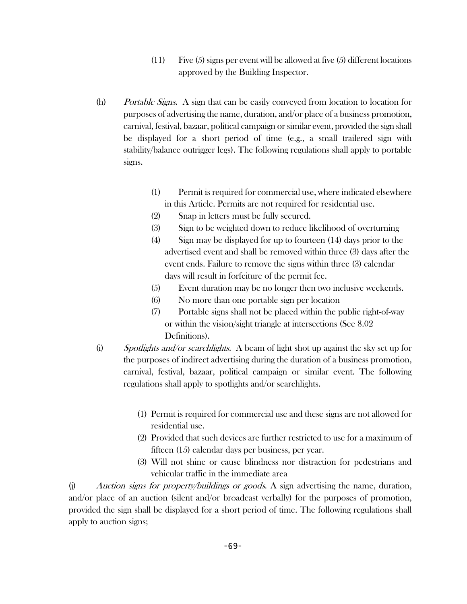- (11) Five (5) signs per event will be allowed at five (5) different locations approved by the Building Inspector.
- (h) Portable Signs. A sign that can be easily conveyed from location to location for purposes of advertising the name, duration, and/or place of a business promotion, carnival, festival, bazaar, political campaign or similar event, provided the sign shall be displayed for a short period of time (e.g., a small trailered sign with stability/balance outrigger legs). The following regulations shall apply to portable signs.
	- (1) Permit is required for commercial use, where indicated elsewhere in this Article. Permits are not required for residential use.
	- (2) Snap in letters must be fully secured.
	- (3) Sign to be weighted down to reduce likelihood of overturning
	- (4) Sign may be displayed for up to fourteen (14) days prior to the advertised event and shall be removed within three (3) days after the event ends. Failure to remove the signs within three (3) calendar days will result in forfeiture of the permit fee.
	- (5) Event duration may be no longer then two inclusive weekends.
	- (6) No more than one portable sign per location
	- (7) Portable signs shall not be placed within the public right-of-way or within the vision/sight triangle at intersections (See 8.02 Definitions).
- (i) Spotlights and/or searchlights. A beam of light shot up against the sky set up for the purposes of indirect advertising during the duration of a business promotion, carnival, festival, bazaar, political campaign or similar event. The following regulations shall apply to spotlights and/or searchlights.
	- (1) Permit is required for commercial use and these signs are not allowed for residential use.
	- (2) Provided that such devices are further restricted to use for a maximum of fifteen (15) calendar days per business, per year.
	- (3) Will not shine or cause blindness nor distraction for pedestrians and vehicular traffic in the immediate area

 $(i)$  Auction signs for property/buildings or goods. A sign advertising the name, duration, and/or place of an auction (silent and/or broadcast verbally) for the purposes of promotion, provided the sign shall be displayed for a short period of time. The following regulations shall apply to auction signs;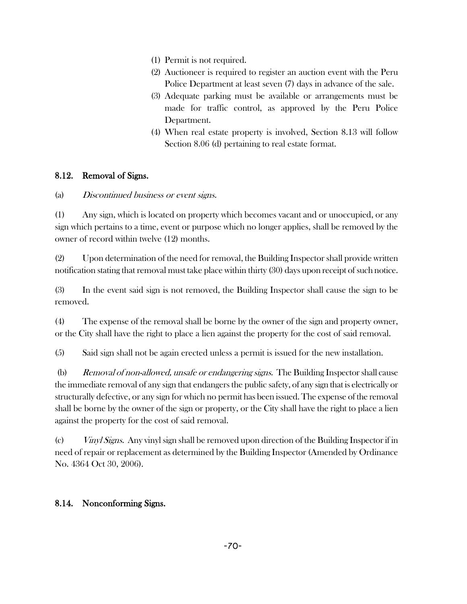- (1) Permit is not required.
- (2) Auctioneer is required to register an auction event with the Peru Police Department at least seven (7) days in advance of the sale.
- (3) Adequate parking must be available or arrangements must be made for traffic control, as approved by the Peru Police Department.
- (4) When real estate property is involved, Section 8.13 will follow Section 8.06 (d) pertaining to real estate format.

## 8.12. Removal of Signs.

## (a) Discontinued business or event signs.

(1) Any sign, which is located on property which becomes vacant and or unoccupied, or any sign which pertains to a time, event or purpose which no longer applies, shall be removed by the owner of record within twelve (12) months.

(2) Upon determination of the need for removal, the Building Inspector shall provide written notification stating that removal must take place within thirty (30) days upon receipt of such notice.

(3) In the event said sign is not removed, the Building Inspector shall cause the sign to be removed.

(4) The expense of the removal shall be borne by the owner of the sign and property owner, or the City shall have the right to place a lien against the property for the cost of said removal.

(5) Said sign shall not be again erected unless a permit is issued for the new installation.

(b) Removal of non-allowed, unsafe or endangering signs. The Building Inspector shall cause the immediate removal of any sign that endangers the public safety, of any sign that is electrically or structurally defective, or any sign for which no permit has been issued. The expense of the removal shall be borne by the owner of the sign or property, or the City shall have the right to place a lien against the property for the cost of said removal.

(c) Vinyl Signs. Any vinyl sign shall be removed upon direction of the Building Inspector if in need of repair or replacement as determined by the Building Inspector (Amended by Ordinance No. 4364 Oct 30, 2006).

## 8.14. Nonconforming Signs.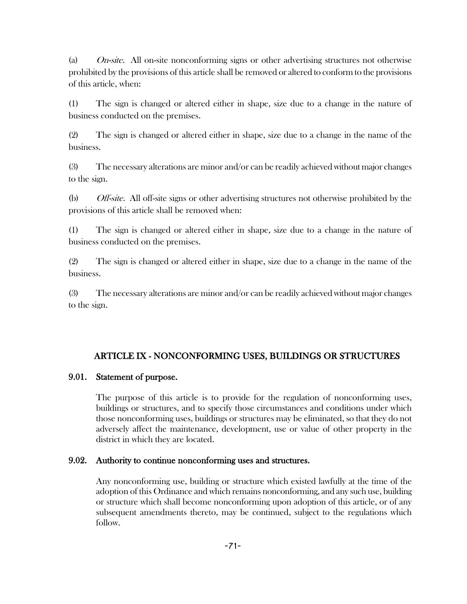(a)  $On-site.$  All on-site nonconforming signs or other advertising structures not otherwise prohibited by the provisions of this article shall be removed or altered to conform to the provisions of this article, when:

(1) The sign is changed or altered either in shape, size due to a change in the nature of business conducted on the premises.

(2) The sign is changed or altered either in shape, size due to a change in the name of the business.

(3) The necessary alterations are minor and/or can be readily achieved without major changes to the sign.

(b) Off-site. All off-site signs or other advertising structures not otherwise prohibited by the provisions of this article shall be removed when:

(1) The sign is changed or altered either in shape, size due to a change in the nature of business conducted on the premises.

(2) The sign is changed or altered either in shape, size due to a change in the name of the business.

(3) The necessary alterations are minor and/or can be readily achieved without major changes to the sign.

# ARTICLE IX - NONCONFORMING USES, BUILDINGS OR STRUCTURES

## 9.01. Statement of purpose.

The purpose of this article is to provide for the regulation of nonconforming uses, buildings or structures, and to specify those circumstances and conditions under which those nonconforming uses, buildings or structures may be eliminated, so that they do not adversely affect the maintenance, development, use or value of other property in the district in which they are located.

## 9.02. Authority to continue nonconforming uses and structures.

Any nonconforming use, building or structure which existed lawfully at the time of the adoption of this Ordinance and which remains nonconforming, and any such use, building or structure which shall become nonconforming upon adoption of this article, or of any subsequent amendments thereto, may be continued, subject to the regulations which follow.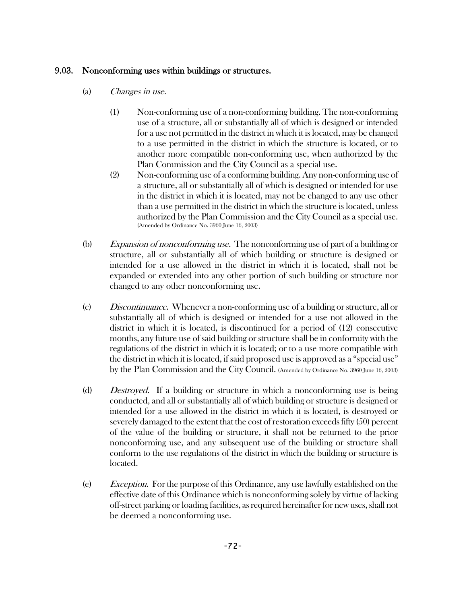## 9.03. Nonconforming uses within buildings or structures.

- (a) Changes in use.
	- (1) Non-conforming use of a non-conforming building. The non-conforming use of a structure, all or substantially all of which is designed or intended for a use not permitted in the district in which it is located, may be changed to a use permitted in the district in which the structure is located, or to another more compatible non-conforming use, when authorized by the Plan Commission and the City Council as a special use.
	- (2) Non-conforming use of a conforming building. Any non-conforming use of a structure, all or substantially all of which is designed or intended for use in the district in which it is located, may not be changed to any use other than a use permitted in the district in which the structure is located, unless authorized by the Plan Commission and the City Council as a special use. (Amended by Ordinance No. 3960 June 16, 2003)
- (b) Expansion of nonconforming use. The nonconforming use of part of a building or structure, all or substantially all of which building or structure is designed or intended for a use allowed in the district in which it is located, shall not be expanded or extended into any other portion of such building or structure nor changed to any other nonconforming use.
- (c) Discontinuance. Whenever a non-conforming use of a building or structure, all or substantially all of which is designed or intended for a use not allowed in the district in which it is located, is discontinued for a period of (12) consecutive months, any future use of said building or structure shall be in conformity with the regulations of the district in which it is located; or to a use more compatible with the district in which it is located, if said proposed use is approved as a "special use" by the Plan Commission and the City Council. (Amended by Ordinance No. 3960 June 16, 2003)
- (d) Destroyed. If a building or structure in which a nonconforming use is being conducted, and all or substantially all of which building or structure is designed or intended for a use allowed in the district in which it is located, is destroyed or severely damaged to the extent that the cost of restoration exceeds fifty (50) percent of the value of the building or structure, it shall not be returned to the prior nonconforming use, and any subsequent use of the building or structure shall conform to the use regulations of the district in which the building or structure is located.
- (e) Exception. For the purpose of this Ordinance, any use lawfully established on the effective date of this Ordinance which is nonconforming solely by virtue of lacking off-street parking or loading facilities, as required hereinafter for new uses, shall not be deemed a nonconforming use.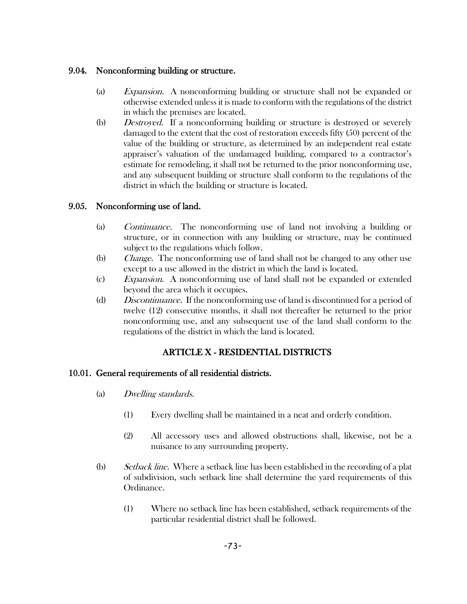## 9.04. Nonconforming building or structure.

- (a) Expansion. A nonconforming building or structure shall not be expanded or otherwise extended unless it is made to conform with the regulations of the district in which the premises are located.
- (b) Destroyed. If a nonconforming building or structure is destroyed or severely damaged to the extent that the cost of restoration exceeds fifty (50) percent of the value of the building or structure, as determined by an independent real estate appraiser's valuation of the undamaged building, compared to a contractor's estimate for remodeling, it shall not be returned to the prior nonconforming use, and any subsequent building or structure shall conform to the regulations of the district in which the building or structure is located.

## 9.05. Nonconforming use of land.

- (a) Continuance. The nonconforming use of land not involving a building or structure, or in connection with any building or structure, may be continued subject to the regulations which follow.
- (b) Change. The nonconforming use of land shall not be changed to any other use except to a use allowed in the district in which the land is located.
- (c) Expansion. A nonconforming use of land shall not be expanded or extended beyond the area which it occupies.
- (d) Discontinuance. If the nonconforming use of land is discontinued for a period of twelve (12) consecutive months, it shall not thereafter be returned to the prior nonconforming use, and any subsequent use of the land shall conform to the regulations of the district in which the land is located.

# ARTICLE X - RESIDENTIAL DISTRICTS

## 10.01. General requirements of all residential districts.

- (a) Dwelling standards.
	- (1) Every dwelling shall be maintained in a neat and orderly condition.
	- (2) All accessory uses and allowed obstructions shall, likewise, not be a nuisance to any surrounding property.
- (b) Setback line. Where a setback line has been established in the recording of a plat of subdivision, such setback line shall determine the yard requirements of this Ordinance.
	- (1) Where no setback line has been established, setback requirements of the particular residential district shall be followed.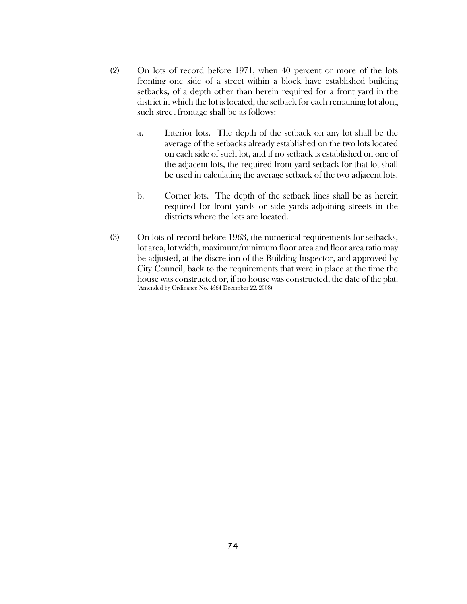- (2) On lots of record before 1971, when 40 percent or more of the lots fronting one side of a street within a block have established building setbacks, of a depth other than herein required for a front yard in the district in which the lot is located, the setback for each remaining lot along such street frontage shall be as follows:
	- a. Interior lots. The depth of the setback on any lot shall be the average of the setbacks already established on the two lots located on each side of such lot, and if no setback is established on one of the adjacent lots, the required front yard setback for that lot shall be used in calculating the average setback of the two adjacent lots.
	- b. Corner lots. The depth of the setback lines shall be as herein required for front yards or side yards adjoining streets in the districts where the lots are located.
- (3) On lots of record before 1963, the numerical requirements for setbacks, lot area, lot width, maximum/minimum floor area and floor area ratio may be adjusted, at the discretion of the Building Inspector, and approved by City Council, back to the requirements that were in place at the time the house was constructed or, if no house was constructed, the date of the plat. (Amended by Ordinance No. 4564 December 22, 2008)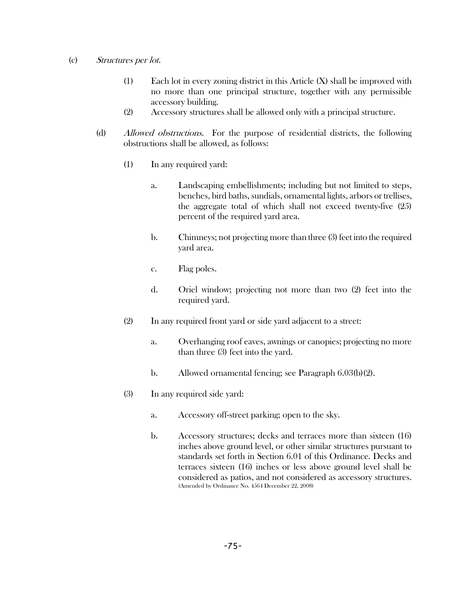### (c) Structures per lot.

- (1) Each lot in every zoning district in this Article (X) shall be improved with no more than one principal structure, together with any permissible accessory building.
- (2) Accessory structures shall be allowed only with a principal structure.
- (d) Allowed obstructions. For the purpose of residential districts, the following obstructions shall be allowed, as follows:
	- (1) In any required yard:
		- a. Landscaping embellishments; including but not limited to steps, benches, bird baths, sundials, ornamental lights, arbors or trellises, the aggregate total of which shall not exceed twenty-five (25) percent of the required yard area.
		- b. Chimneys; not projecting more than three (3) feet into the required yard area.
		- c. Flag poles.
		- d. Oriel window; projecting not more than two (2) feet into the required yard.
	- (2) In any required front yard or side yard adjacent to a street:
		- a. Overhanging roof eaves, awnings or canopies; projecting no more than three (3) feet into the yard.
		- b. Allowed ornamental fencing; see Paragraph 6.03(b)(2).
	- (3) In any required side yard:
		- a. Accessory off-street parking; open to the sky.
		- b. Accessory structures; decks and terraces more than sixteen (16) inches above ground level, or other similar structures pursuant to standards set forth in Section 6.01 of this Ordinance. Decks and terraces sixteen (16) inches or less above ground level shall be considered as patios, and not considered as accessory structures. (Amended by Ordinance No. 4564 December 22, 2008)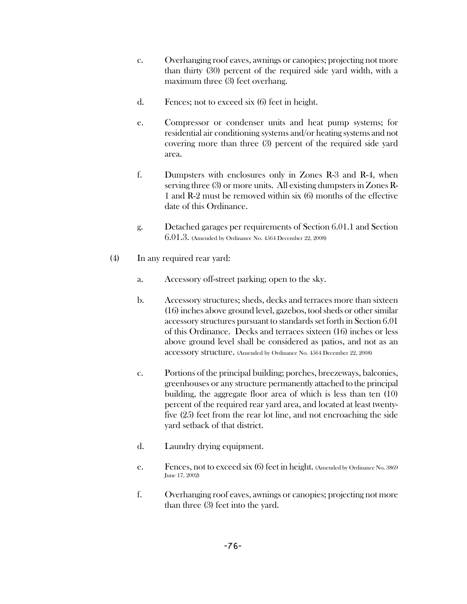- c. Overhanging roof eaves, awnings or canopies; projecting not more than thirty (30) percent of the required side yard width, with a maximum three (3) feet overhang.
- d. Fences; not to exceed six (6) feet in height.
- e. Compressor or condenser units and heat pump systems; for residential air conditioning systems and/or heating systems and not covering more than three (3) percent of the required side yard area.
- f. Dumpsters with enclosures only in Zones R-3 and R-4, when serving three (3) or more units. All existing dumpsters in Zones R-1 and R-2 must be removed within six (6) months of the effective date of this Ordinance.
- g. Detached garages per requirements of Section 6.01.1 and Section 6.01.3. (Amended by Ordinance No. 4564 December 22, 2008)
- (4) In any required rear yard:
	- a. Accessory off-street parking; open to the sky.
	- b. Accessory structures; sheds, decks and terraces more than sixteen (16) inches above ground level, gazebos, toolsheds or other similar accessory structures pursuant to standards set forth in Section 6.01 of this Ordinance. Decks and terraces sixteen (16) inches or less above ground level shall be considered as patios, and not as an accessory structure. (Amended by Ordinance No. 4564 December 22, 2008)
	- c. Portions of the principal building; porches, breezeways, balconies, greenhouses or any structure permanently attached to the principal building, the aggregate floor area of which is less than ten (10) percent of the required rear yard area, and located at least twentyfive (25) feet from the rear lot line, and not encroaching the side yard setback of that district.
	- d. Laundry drying equipment.
	- e. Fences, not to exceed six (6) feet in height. (Amended by Ordinance No. 3869 June 17, 2002)
	- f. Overhanging roof eaves, awnings or canopies; projecting not more than three (3) feet into the yard.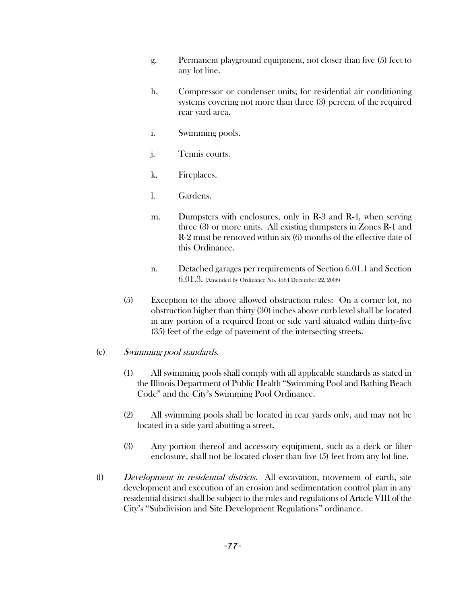- g. Permanent playground equipment, not closer than five (5) feet to any lot line.
- h. Compressor or condenser units; for residential air conditioning systems covering not more than three (3) percent of the required rear yard area.
- i. Swimming pools.
- j. Tennis courts.
- k. Fireplaces.
- l. Gardens.
- m. Dumpsters with enclosures, only in R-3 and R-4, when serving three (3) or more units. All existing dumpsters in Zones R-1 and R-2 must be removed within six (6) months of the effective date of this Ordinance.
- n. Detached garages per requirements of Section 6.01.1 and Section 6.01.3. (Amended by Ordinance No. 4564 December 22, 2008)
- (5) Exception to the above allowed obstruction rules: On a corner lot, no obstruction higher than thirty (30) inches above curb level shall be located in any portion of a required front or side yard situated within thirty-five (35) feet of the edge of pavement of the intersecting streets.

### (e) Swimming pool standards.

- (1) All swimming pools shall comply with all applicable standards as stated in the Illinois Department of Public Health "Swimming Pool and Bathing Beach Code" and the City's Swimming Pool Ordinance.
- (2) All swimming pools shall be located in rear yards only, and may not be located in a side yard abutting a street.
- (3) Any portion thereof and accessory equipment, such as a deck or filter enclosure, shall not be located closer than five (5) feet from any lot line.
- (f) Development in residential districts. All excavation, movement of earth, site development and execution of an erosion and sedimentation control plan in any residential district shall be subject to the rules and regulations of Article VIII of the City's "Subdivision and Site Development Regulations" ordinance.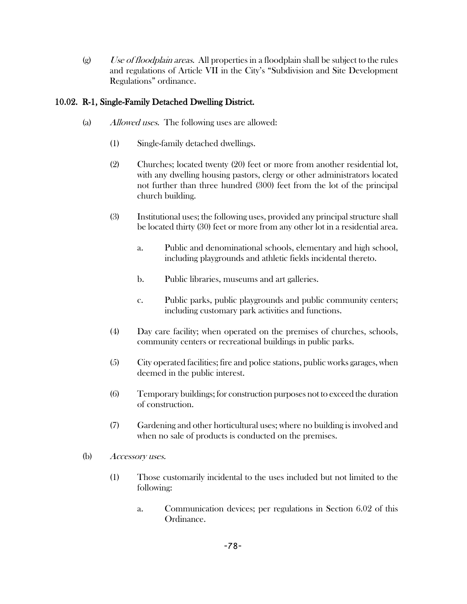$(g)$  Use of floodplain areas. All properties in a floodplain shall be subject to the rules and regulations of Article VII in the City's "Subdivision and Site Development Regulations" ordinance.

# 10.02. R-1, Single-Family Detached Dwelling District.

- (a) Allowed uses. The following uses are allowed:
	- (1) Single-family detached dwellings.
	- (2) Churches; located twenty (20) feet or more from another residential lot, with any dwelling housing pastors, clergy or other administrators located not further than three hundred (300) feet from the lot of the principal church building.
	- (3) Institutional uses; the following uses, provided any principal structure shall be located thirty (30) feet or more from any other lot in a residential area.
		- a. Public and denominational schools, elementary and high school, including playgrounds and athletic fields incidental thereto.
		- b. Public libraries, museums and art galleries.
		- c. Public parks, public playgrounds and public community centers; including customary park activities and functions.
	- (4) Day care facility; when operated on the premises of churches, schools, community centers or recreational buildings in public parks.
	- (5) City operated facilities; fire and police stations, public works garages, when deemed in the public interest.
	- (6) Temporary buildings; for construction purposes not to exceed the duration of construction.
	- (7) Gardening and other horticultural uses; where no building is involved and when no sale of products is conducted on the premises.
- (b) Accessory uses.
	- (1) Those customarily incidental to the uses included but not limited to the following:
		- a. Communication devices; per regulations in Section 6.02 of this Ordinance.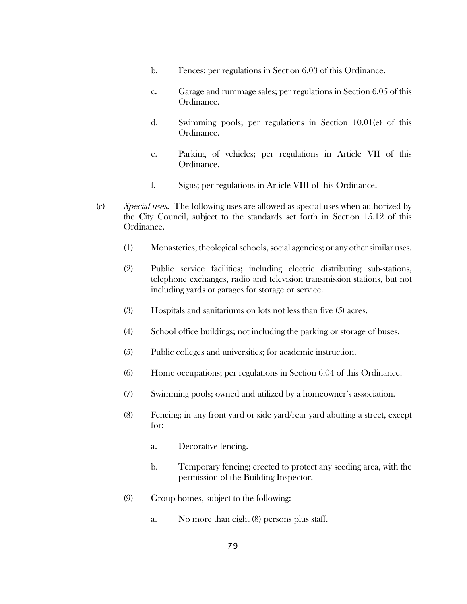- b. Fences; per regulations in Section 6.03 of this Ordinance.
- c. Garage and rummage sales; per regulations in Section 6.05 of this Ordinance.
- d. Swimming pools; per regulations in Section 10.01(e) of this Ordinance.
- e. Parking of vehicles; per regulations in Article VII of this Ordinance.
- f. Signs; per regulations in Article VIII of this Ordinance.
- (c) Special uses. The following uses are allowed as special uses when authorized by the City Council, subject to the standards set forth in Section 15.12 of this Ordinance.
	- (1) Monasteries, theological schools, social agencies; or any other similar uses.
	- (2) Public service facilities; including electric distributing sub-stations, telephone exchanges, radio and television transmission stations, but not including yards or garages for storage or service.
	- (3) Hospitals and sanitariums on lots not less than five (5) acres.
	- (4) School office buildings; not including the parking or storage of buses.
	- (5) Public colleges and universities; for academic instruction.
	- (6) Home occupations; per regulations in Section 6.04 of this Ordinance.
	- (7) Swimming pools; owned and utilized by a homeowner's association.
	- (8) Fencing; in any front yard or side yard/rear yard abutting a street, except for:
		- a. Decorative fencing.
		- b. Temporary fencing; erected to protect any seeding area, with the permission of the Building Inspector.
	- (9) Group homes, subject to the following:
		- a. No more than eight (8) persons plus staff.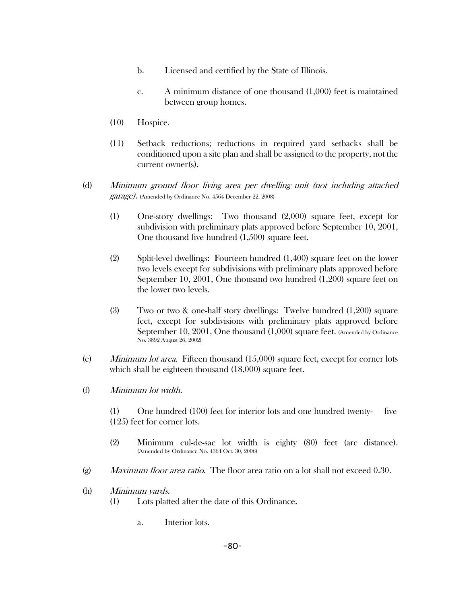- b. Licensed and certified by the State of Illinois.
- c. A minimum distance of one thousand (1,000) feet is maintained between group homes.
- (10) Hospice.
- (11) Setback reductions; reductions in required yard setbacks shall be conditioned upon a site plan and shall be assigned to the property, not the current owner(s).
- (d) Minimum ground floor living area per dwelling unit (not including attached garage). (Amended by Ordinance No. 4564 December 22, 2008)
	- (1) One-story dwellings: Two thousand (2,000) square feet, except for subdivision with preliminary plats approved before September 10, 2001, One thousand five hundred (1,500) square feet.
	- (2) Split-level dwellings: Fourteen hundred (1,400) square feet on the lower two levels except for subdivisions with preliminary plats approved before September 10, 2001, One thousand two hundred (1,200) square feet on the lower two levels.
	- (3) Two or two & one-half story dwellings: Twelve hundred (1,200) square feet, except for subdivisions with preliminary plats approved before September 10, 2001, One thousand (1,000) square feet. (Amended by Ordinance No. 3892 August 26, 2002)
- (e) *Minimum lot area.* Fifteen thousand  $(15,000)$  square feet, except for corner lots which shall be eighteen thousand (18,000) square feet.
- (f) Minimum lot width.
	- (1) One hundred (100) feet for interior lots and one hundred twenty- five (125) feet for corner lots.
	- (2) Minimum cul-de-sac lot width is eighty (80) feet (arc distance). (Amended by Ordinance No. 4364 Oct. 30, 2006)
- (g) *Maximum floor area ratio.* The floor area ratio on a lot shall not exceed  $0.30$ .
- (h) Minimum yards.
	- (1) Lots platted after the date of this Ordinance.
		- a. Interior lots.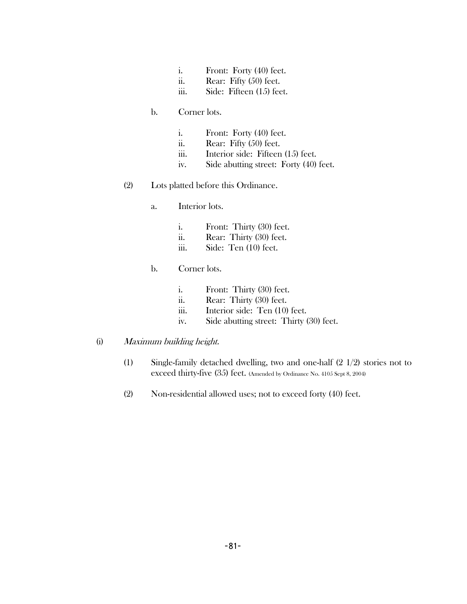- i. Front: Forty (40) feet.
- ii. Rear: Fifty (50) feet.
- iii. Side: Fifteen (15) feet.

#### b. Corner lots.

- i. Front: Forty (40) feet.
- ii. Rear: Fifty (50) feet.
- iii. Interior side: Fifteen (15) feet.
- iv. Side abutting street: Forty (40) feet.
- (2) Lots platted before this Ordinance.
	- a. Interior lots.
		- i. Front: Thirty (30) feet.
		- ii. Rear: Thirty (30) feet.
		- iii. Side: Ten (10) feet.

### b. Corner lots.

- i. Front: Thirty (30) feet.
- ii. Rear: Thirty (30) feet.
- iii. Interior side: Ten (10) feet.
- iv. Side abutting street: Thirty (30) feet.
- (i) Maximum building height.
	- (1) Single-family detached dwelling, two and one-half (2 1/2) stories not to exceed thirty-five (35) feet. (Amended by Ordinance No. 4105 Sept 8, 2004)
	- (2) Non-residential allowed uses; not to exceed forty (40) feet.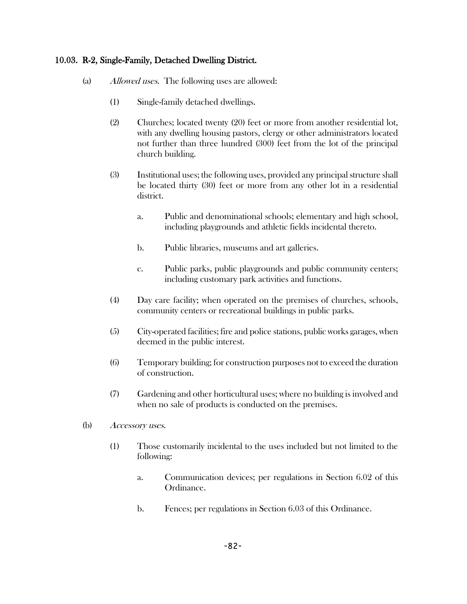### 10.03. R-2, Single-Family, Detached Dwelling District.

- (a) Allowed uses. The following uses are allowed:
	- (1) Single-family detached dwellings.
	- (2) Churches; located twenty (20) feet or more from another residential lot, with any dwelling housing pastors, clergy or other administrators located not further than three hundred (300) feet from the lot of the principal church building.
	- (3) Institutional uses; the following uses, provided any principal structure shall be located thirty (30) feet or more from any other lot in a residential district.
		- a. Public and denominational schools; elementary and high school, including playgrounds and athletic fields incidental thereto.
		- b. Public libraries, museums and art galleries.
		- c. Public parks, public playgrounds and public community centers; including customary park activities and functions.
	- (4) Day care facility; when operated on the premises of churches, schools, community centers or recreational buildings in public parks.
	- (5) City-operated facilities; fire and police stations, public works garages, when deemed in the public interest.
	- (6) Temporary building; for construction purposes not to exceed the duration of construction.
	- (7) Gardening and other horticultural uses; where no building is involved and when no sale of products is conducted on the premises.
- (b) Accessory uses.
	- (1) Those customarily incidental to the uses included but not limited to the following:
		- a. Communication devices; per regulations in Section 6.02 of this Ordinance.
		- b. Fences; per regulations in Section 6.03 of this Ordinance.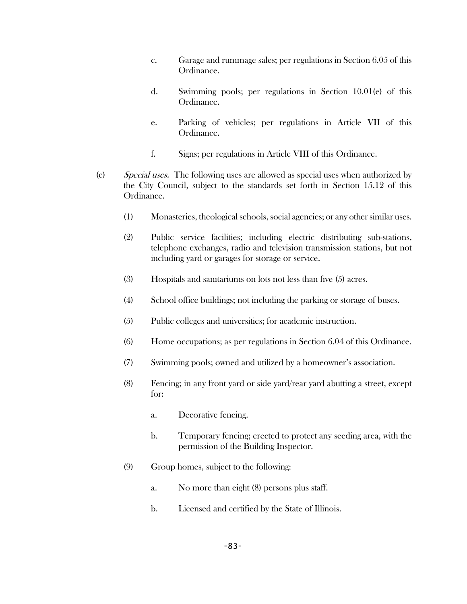- c. Garage and rummage sales; per regulations in Section 6.05 of this Ordinance.
- d. Swimming pools; per regulations in Section 10.01(e) of this Ordinance.
- e. Parking of vehicles; per regulations in Article VII of this Ordinance.
- f. Signs; per regulations in Article VIII of this Ordinance.
- (c) Special uses. The following uses are allowed as special uses when authorized by the City Council, subject to the standards set forth in Section 15.12 of this Ordinance.
	- (1) Monasteries, theological schools, social agencies; or any other similar uses.
	- (2) Public service facilities; including electric distributing sub-stations, telephone exchanges, radio and television transmission stations, but not including yard or garages for storage or service.
	- (3) Hospitals and sanitariums on lots not less than five (5) acres.
	- (4) School office buildings; not including the parking or storage of buses.
	- (5) Public colleges and universities; for academic instruction.
	- (6) Home occupations; as per regulations in Section 6.04 of this Ordinance.
	- (7) Swimming pools; owned and utilized by a homeowner's association.
	- (8) Fencing; in any front yard or side yard/rear yard abutting a street, except for:
		- a. Decorative fencing.
		- b. Temporary fencing; erected to protect any seeding area, with the permission of the Building Inspector.
	- (9) Group homes, subject to the following:
		- a. No more than eight (8) persons plus staff.
		- b. Licensed and certified by the State of Illinois.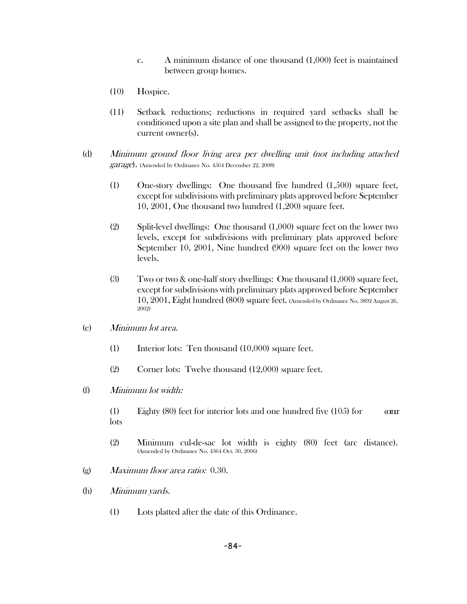- c. A minimum distance of one thousand (1,000) feet is maintained between group homes.
- (10) Hospice.
- (11) Setback reductions; reductions in required yard setbacks shall be conditioned upon a site plan and shall be assigned to the property, not the current owner(s).
- (d) Minimum ground floor living area per dwelling unit (not including attached garage). (Amended by Ordinance No. 4564 December 22, 2008)
	- (1) One-story dwellings: One thousand five hundred (1,500) square feet, except for subdivisions with preliminary plats approved before September 10, 2001, One thousand two hundred (1,200) square feet.
	- (2) Split-level dwellings: One thousand (1,000) square feet on the lower two levels, except for subdivisions with preliminary plats approved before September 10, 2001, Nine hundred (900) square feet on the lower two levels.
	- (3) Two or two & one-half story dwellings: One thousand (1,000) square feet, except for subdivisions with preliminary plats approved before September 10, 2001, Eight hundred (800) square feet. (Amended by Ordinance No. 3892 August 26, 2002)
- (e) Minimum lot area.
	- (1) Interior lots: Ten thousand (10,000) square feet.
	- (2) Corner lots: Twelve thousand (12,000) square feet.
- (f) Minimum lot width:
	- (1) Eighty  $(80)$  feet for interior lots and one hundred five  $(105)$  for comer lots
	- (2) Minimum cul-de-sac lot width is eighty (80) feet (arc distance). (Amended by Ordinance No. 4364 Oct. 30, 2006)
- (g) Maximum floor area ratio: 0.30.
- (h) Minimum yards.
	- (1) Lots platted after the date of this Ordinance.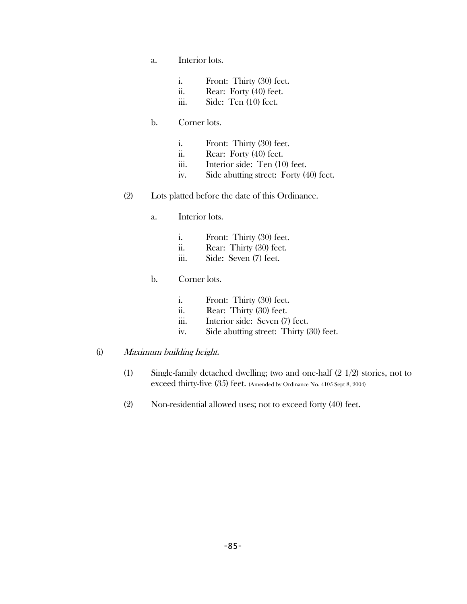- a. Interior lots.
	- i. Front: Thirty (30) feet.
	- ii. Rear: Forty (40) feet.
	- iii. Side: Ten (10) feet.

### b. Corner lots.

- i. Front: Thirty (30) feet.
- ii. Rear: Forty (40) feet.
- iii. Interior side: Ten (10) feet.
- iv. Side abutting street: Forty (40) feet.
- (2) Lots platted before the date of this Ordinance.
	- a. Interior lots.
		- i. Front: Thirty (30) feet.
		- ii. Rear: Thirty (30) feet.
		- iii. Side: Seven (7) feet.
	- b. Corner lots.
		- i. Front: Thirty (30) feet.
		- ii. Rear: Thirty (30) feet.
		- iii. Interior side: Seven (7) feet.
		- iv. Side abutting street: Thirty (30) feet.

#### (i) Maximum building height.

- (1) Single-family detached dwelling; two and one-half (2 1/2) stories, not to exceed thirty-five (35) feet. (Amended by Ordinance No. 4105 Sept 8, 2004)
- (2) Non-residential allowed uses; not to exceed forty (40) feet.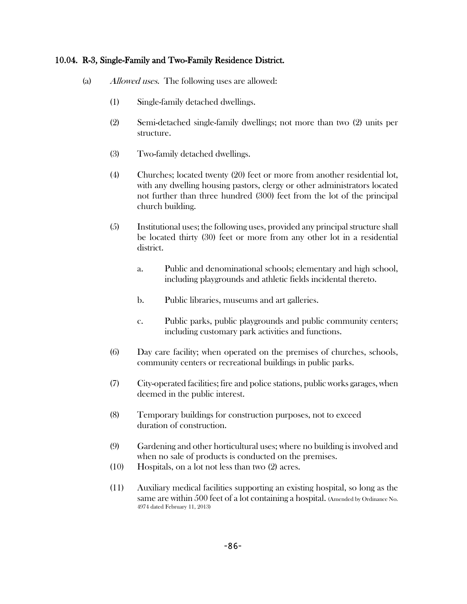### 10.04. R-3, Single-Family and Two-Family Residence District.

- (a) Allowed uses. The following uses are allowed:
	- (1) Single-family detached dwellings.
	- (2) Semi-detached single-family dwellings; not more than two (2) units per structure.
	- (3) Two-family detached dwellings.
	- (4) Churches; located twenty (20) feet or more from another residential lot, with any dwelling housing pastors, clergy or other administrators located not further than three hundred (300) feet from the lot of the principal church building.
	- (5) Institutional uses; the following uses, provided any principal structure shall be located thirty (30) feet or more from any other lot in a residential district.
		- a. Public and denominational schools; elementary and high school, including playgrounds and athletic fields incidental thereto.
		- b. Public libraries, museums and art galleries.
		- c. Public parks, public playgrounds and public community centers; including customary park activities and functions.
	- (6) Day care facility; when operated on the premises of churches, schools, community centers or recreational buildings in public parks.
	- (7) City-operated facilities; fire and police stations, public works garages, when deemed in the public interest.
	- (8) Temporary buildings for construction purposes, not to exceed duration of construction.
	- (9) Gardening and other horticultural uses; where no building is involved and when no sale of products is conducted on the premises.
	- (10) Hospitals, on a lot not less than two (2) acres.
	- (11) Auxiliary medical facilities supporting an existing hospital, so long as the same are within 500 feet of a lot containing a hospital. (Amended by Ordinance No. 4974 dated February 11, 2013)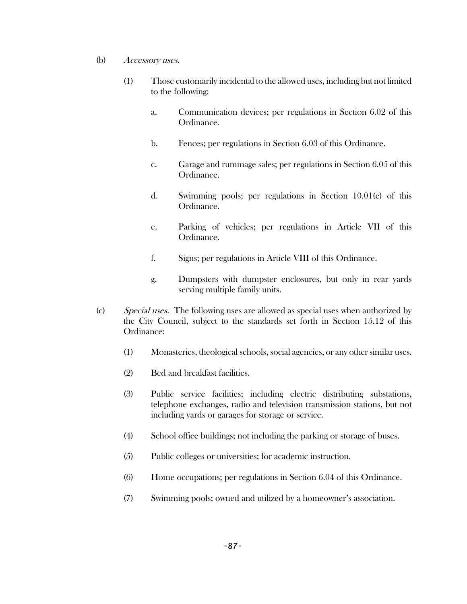- (b) Accessory uses.
	- (1) Those customarily incidental to the allowed uses, including but not limited to the following:
		- a. Communication devices; per regulations in Section 6.02 of this Ordinance.
		- b. Fences; per regulations in Section 6.03 of this Ordinance.
		- c. Garage and rummage sales; per regulations in Section 6.05 of this Ordinance.
		- d. Swimming pools; per regulations in Section 10.01(e) of this Ordinance.
		- e. Parking of vehicles; per regulations in Article VII of this Ordinance.
		- f. Signs; per regulations in Article VIII of this Ordinance.
		- g. Dumpsters with dumpster enclosures, but only in rear yards serving multiple family units.
- (c) Special uses. The following uses are allowed as special uses when authorized by the City Council, subject to the standards set forth in Section 15.12 of this Ordinance:
	- (1) Monasteries, theological schools, social agencies, or any other similar uses.
	- (2) Bed and breakfast facilities.
	- (3) Public service facilities; including electric distributing substations, telephone exchanges, radio and television transmission stations, but not including yards or garages for storage or service.
	- (4) School office buildings; not including the parking or storage of buses.
	- (5) Public colleges or universities; for academic instruction.
	- (6) Home occupations; per regulations in Section 6.04 of this Ordinance.
	- (7) Swimming pools; owned and utilized by a homeowner's association.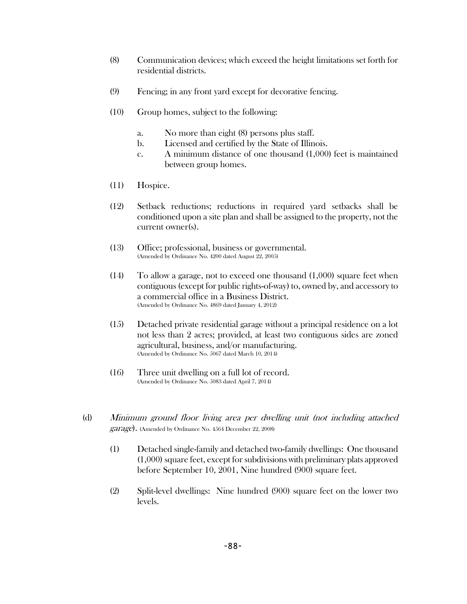- (8) Communication devices; which exceed the height limitations set forth for residential districts.
- (9) Fencing; in any front yard except for decorative fencing.
- (10) Group homes, subject to the following:
	- a. No more than eight (8) persons plus staff.
	- b. Licensed and certified by the State of Illinois.
	- c. A minimum distance of one thousand (1,000) feet is maintained between group homes.
- (11) Hospice.
- (12) Setback reductions; reductions in required yard setbacks shall be conditioned upon a site plan and shall be assigned to the property, not the current owner(s).
- (13) Office; professional, business or governmental. (Amended by Ordinance No. 4200 dated August 22, 2005)
- (14) To allow a garage, not to exceed one thousand (1,000) square feet when contiguous (except for public rights-of-way) to, owned by, and accessory to a commercial office in a Business District. (Amended by Ordinance No. 4869 dated January 4, 2012)
- (15) Detached private residential garage without a principal residence on a lot not less than 2 acres; provided, at least two contiguous sides are zoned agricultural, business, and/or manufacturing. (Amended by Ordinance No. 5067 dated March 10, 2014)
- (16) Three unit dwelling on a full lot of record. (Amended by Ordinance No. 5083 dated April 7, 2014)
- (d) Minimum ground floor living area per dwelling unit (not including attached garage). (Amended by Ordinance No. 4564 December 22, 2008)
	- (1) Detached single-family and detached two-family dwellings: One thousand (1,000) square feet, except for subdivisions with preliminary plats approved before September 10, 2001, Nine hundred (900) square feet.
	- (2) Split-level dwellings: Nine hundred (900) square feet on the lower two levels.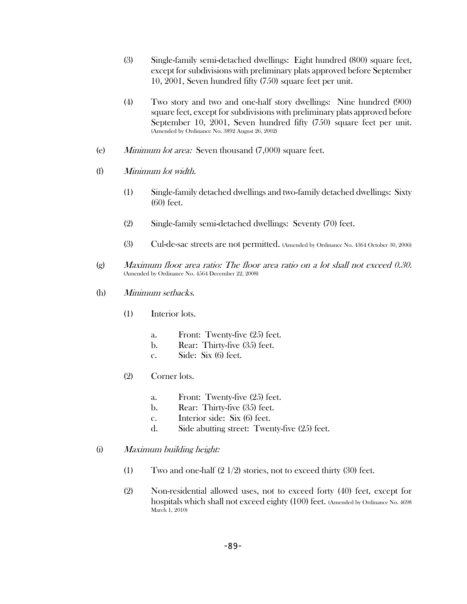- (3) Single-family semi-detached dwellings: Eight hundred (800) square feet, except for subdivisions with preliminary plats approved before September 10, 2001, Seven hundred fifty (750) square feet per unit.
- (4) Two story and two and one-half story dwellings: Nine hundred (900) square feet, except for subdivisions with preliminary plats approved before September 10, 2001, Seven hundred fifty (750) square feet per unit. (Amended by Ordinance No. 3892 August 26, 2002)
- (e) Minimum lot area: Seven thousand (7,000) square feet.
- (f) Minimum lot width.
	- (1) Single-family detached dwellings and two-family detached dwellings: Sixty (60) feet.
	- (2) Single-family semi-detached dwellings: Seventy (70) feet.
	- (3) Cul-de-sac streets are not permitted. (Amended by Ordinance No. 4364 October 30, 2006)
- (g) Maximum floor area ratio: The floor area ratio on a lot shall not exceed 0.30. (Amended by Ordinance No. 4564 December 22, 2008)
- (h) Minimum setbacks.
	- (1) Interior lots.
		- a. Front: Twenty-five (25) feet.
		- b. Rear: Thirty-five (35) feet.
		- c. Side: Six (6) feet.
	- (2) Corner lots.
		- a. Front: Twenty-five (25) feet.
		- b. Rear: Thirty-five (35) feet.
		- c. Interior side: Six (6) feet.
		- d. Side abutting street: Twenty-five (25) feet.
- (i) Maximum building height:
	- (1) Two and one-half (2 1/2) stories, not to exceed thirty (30) feet.
	- (2) Non-residential allowed uses, not to exceed forty (40) feet, except for hospitals which shall not exceed eighty (100) feet. (Amended by Ordinance No. 4698 March 1, 2010)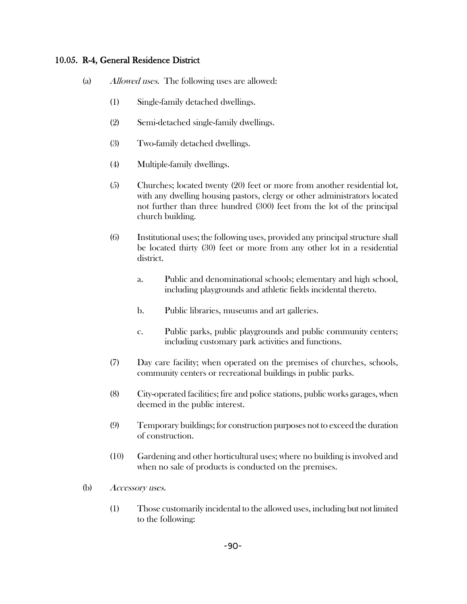### 10.05. R-4, General Residence District

- (a) Allowed uses. The following uses are allowed:
	- (1) Single-family detached dwellings.
	- (2) Semi-detached single-family dwellings.
	- (3) Two-family detached dwellings.
	- (4) Multiple-family dwellings.
	- (5) Churches; located twenty (20) feet or more from another residential lot, with any dwelling housing pastors, clergy or other administrators located not further than three hundred (300) feet from the lot of the principal church building.
	- (6) Institutional uses; the following uses, provided any principal structure shall be located thirty (30) feet or more from any other lot in a residential district.
		- a. Public and denominational schools; elementary and high school, including playgrounds and athletic fields incidental thereto.
		- b. Public libraries, museums and art galleries.
		- c. Public parks, public playgrounds and public community centers; including customary park activities and functions.
	- (7) Day care facility; when operated on the premises of churches, schools, community centers or recreational buildings in public parks.
	- (8) City-operated facilities; fire and police stations, public works garages, when deemed in the public interest.
	- (9) Temporary buildings; for construction purposes not to exceed the duration of construction.
	- (10) Gardening and other horticultural uses; where no building is involved and when no sale of products is conducted on the premises.
- (b) Accessory uses.
	- (1) Those customarily incidental to the allowed uses, including but not limited to the following: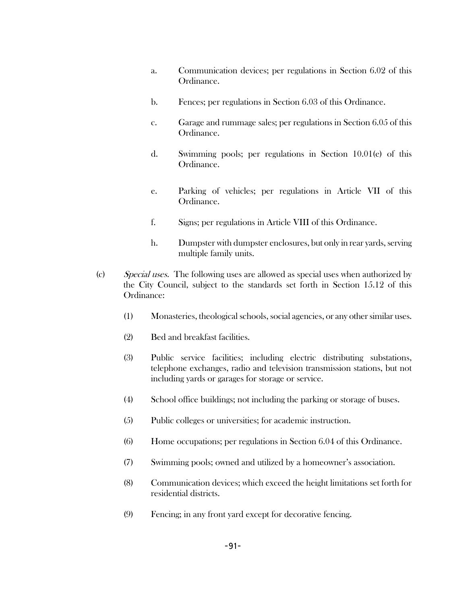- a. Communication devices; per regulations in Section 6.02 of this Ordinance.
- b. Fences; per regulations in Section 6.03 of this Ordinance.
- c. Garage and rummage sales; per regulations in Section 6.05 of this Ordinance.
- d. Swimming pools; per regulations in Section 10.01(e) of this Ordinance.
- e. Parking of vehicles; per regulations in Article VII of this Ordinance.
- f. Signs; per regulations in Article VIII of this Ordinance.
- h. Dumpster with dumpster enclosures, but only in rear yards, serving multiple family units.
- (c) Special uses. The following uses are allowed as special uses when authorized by the City Council, subject to the standards set forth in Section 15.12 of this Ordinance:
	- (1) Monasteries, theological schools, social agencies, or any other similar uses.
	- (2) Bed and breakfast facilities.
	- (3) Public service facilities; including electric distributing substations, telephone exchanges, radio and television transmission stations, but not including yards or garages for storage or service.
	- (4) School office buildings; not including the parking or storage of buses.
	- (5) Public colleges or universities; for academic instruction.
	- (6) Home occupations; per regulations in Section 6.04 of this Ordinance.
	- (7) Swimming pools; owned and utilized by a homeowner's association.
	- (8) Communication devices; which exceed the height limitations set forth for residential districts.
	- (9) Fencing; in any front yard except for decorative fencing.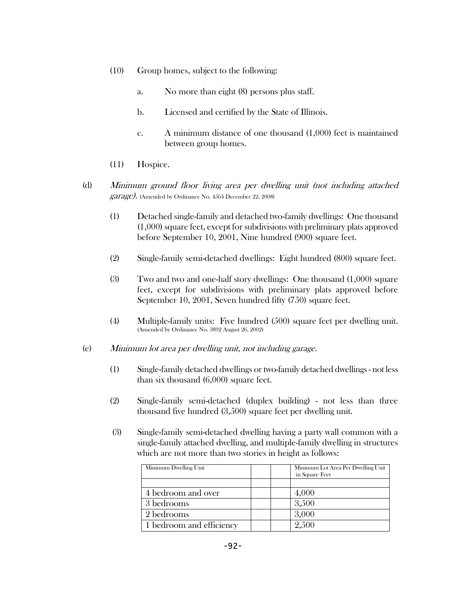- (10) Group homes, subject to the following:
	- a. No more than eight (8) persons plus staff.
	- b. Licensed and certified by the State of Illinois.
	- c. A minimum distance of one thousand (1,000) feet is maintained between group homes.
- (11) Hospice.
- (d) Minimum ground floor living area per dwelling unit (not including attached garage). (Amended by Ordinance No. 4564 December 22, 2008)
	- (1) Detached single-family and detached two-family dwellings: One thousand (1,000) square feet, except for subdivisions with preliminary plats approved before September 10, 2001, Nine hundred (900) square feet.
	- (2) Single-family semi-detached dwellings: Eight hundred (800) square feet.
	- (3) Two and two and one-half story dwellings: One thousand (1,000) square feet, except for subdivisions with preliminary plats approved before September 10, 2001, Seven hundred fifty (750) square feet.
	- (4) Multiple-family units: Five hundred (500) square feet per dwelling unit. (Amended by Ordinance No. 3892 August 26, 2002)
- (e) Minimum lot area per dwelling unit, not including garage.
	- (1) Single-family detached dwellings or two-family detached dwellings not less than six thousand (6,000) square feet.
	- (2) Single-family semi-detached (duplex building) not less than three thousand five hundred (3,500) square feet per dwelling unit.
	- (3) Single-family semi-detached dwelling having a party wall common with a single-family attached dwelling, and multiple-family dwelling in structures which are not more than two stories in height as follows:

| Minimum Dwelling Unit    | Minimum Lot Area Per Dwelling Unit<br>in Square Feet |
|--------------------------|------------------------------------------------------|
|                          |                                                      |
| 4 bedroom and over       | 4,000                                                |
| 3 bedrooms               | 3,500                                                |
| 2 bedrooms               | 3,000                                                |
| 1 bedroom and efficiency | 2,500                                                |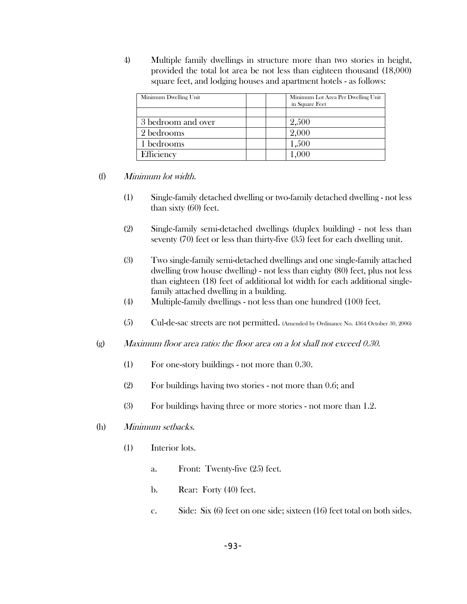4) Multiple family dwellings in structure more than two stories in height, provided the total lot area be not less than eighteen thousand (18,000) square feet, and lodging houses and apartment hotels - as follows:

| Minimum Dwelling Unit | Minimum Lot Area Per Dwelling Unit<br>in Square Feet |
|-----------------------|------------------------------------------------------|
|                       |                                                      |
| 3 bedroom and over    | 2,500                                                |
| 2 bedrooms            | 2,000                                                |
| 1 bedrooms            | 1,500                                                |
| Efficiency            | 1,000                                                |

### (f) Minimum lot width.

- (1) Single-family detached dwelling or two-family detached dwelling not less than sixty (60) feet.
- (2) Single-family semi-detached dwellings (duplex building) not less than seventy (70) feet or less than thirty-five (35) feet for each dwelling unit.
- (3) Two single-family semi-detached dwellings and one single-family attached dwelling (row house dwelling) - not less than eighty (80) feet, plus not less than eighteen (18) feet of additional lot width for each additional singlefamily attached dwelling in a building.
- (4) Multiple-family dwellings not less than one hundred (100) feet.
- (5) Cul-de-sac streets are not permitted. (Amended by Ordinance No. 4364 October 30, 2006)
- (g) Maximum floor area ratio: the floor area on a lot shall not exceed 0.30.
	- (1) For one-story buildings not more than 0.30.
	- (2) For buildings having two stories not more than 0.6; and
	- (3) For buildings having three or more stories not more than 1.2.
- (h) Minimum setbacks.
	- (1) Interior lots.
		- a. Front: Twenty-five (25) feet.
		- b. Rear: Forty (40) feet.
		- c. Side: Six (6) feet on one side; sixteen (16) feet total on both sides.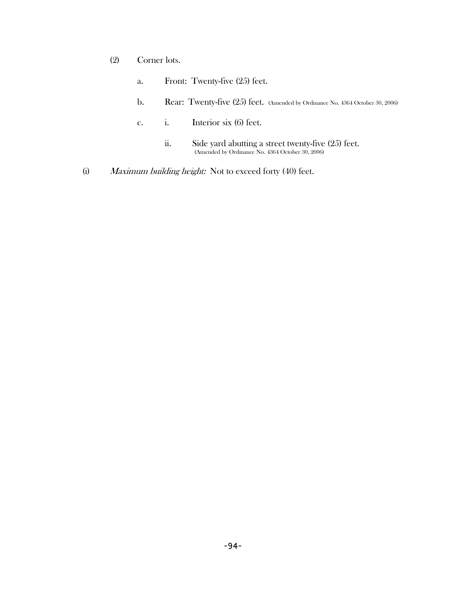- (2) Corner lots.
	- a. Front: Twenty-five (25) feet.
	- b. Rear: Twenty-five (25) feet. (Amended by Ordinance No. 4364 October 30, 2006)
	- c. i. Interior six (6) feet.
		- ii. Side yard abutting a street twenty-five (25) feet. (Amended by Ordinance No. 4364 October 30, 2006)
- (i) Maximum building height: Not to exceed forty (40) feet.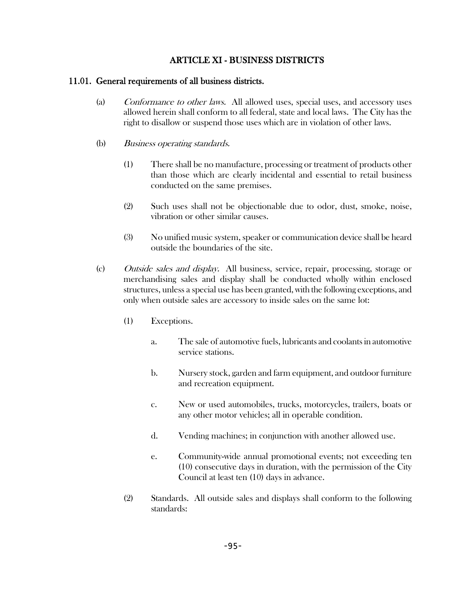# ARTICLE XI - BUSINESS DISTRICTS

### 11.01. General requirements of all business districts.

- (a) Conformance to other laws. All allowed uses, special uses, and accessory uses allowed herein shall conform to all federal, state and local laws. The City has the right to disallow or suspend those uses which are in violation of other laws.
- (b) Business operating standards.
	- (1) There shall be no manufacture, processing or treatment of products other than those which are clearly incidental and essential to retail business conducted on the same premises.
	- (2) Such uses shall not be objectionable due to odor, dust, smoke, noise, vibration or other similar causes.
	- (3) No unified music system, speaker or communication device shall be heard outside the boundaries of the site.
- (c) Outside sales and display. All business, service, repair, processing, storage or merchandising sales and display shall be conducted wholly within enclosed structures, unless a special use has been granted, with the following exceptions, and only when outside sales are accessory to inside sales on the same lot:
	- (1) Exceptions.
		- a. The sale of automotive fuels, lubricants and coolants in automotive service stations.
		- b. Nursery stock, garden and farm equipment, and outdoor furniture and recreation equipment.
		- c. New or used automobiles, trucks, motorcycles, trailers, boats or any other motor vehicles; all in operable condition.
		- d. Vending machines; in conjunction with another allowed use.
		- e. Community-wide annual promotional events; not exceeding ten (10) consecutive days in duration, with the permission of the City Council at least ten (10) days in advance.
	- (2) Standards. All outside sales and displays shall conform to the following standards: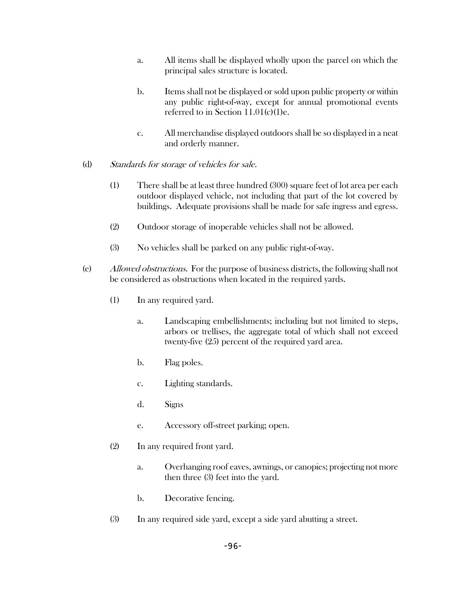- a. All items shall be displayed wholly upon the parcel on which the principal sales structure is located.
- b. Items shall not be displayed or sold upon public property or within any public right-of-way, except for annual promotional events referred to in Section 11.01(c)(1)e.
- c. All merchandise displayed outdoors shall be so displayed in a neat and orderly manner.

### (d) Standards for storage of vehicles for sale.

- (1) There shall be at least three hundred (300) square feet of lot area per each outdoor displayed vehicle, not including that part of the lot covered by buildings. Adequate provisions shall be made for safe ingress and egress.
- (2) Outdoor storage of inoperable vehicles shall not be allowed.
- (3) No vehicles shall be parked on any public right-of-way.
- (e) Allowed obstructions. For the purpose of business districts, the following shall not be considered as obstructions when located in the required yards.
	- (1) In any required yard.
		- a. Landscaping embellishments; including but not limited to steps, arbors or trellises, the aggregate total of which shall not exceed twenty-five (25) percent of the required yard area.
		- b. Flag poles.
		- c. Lighting standards.
		- d. Signs
		- e. Accessory off-street parking; open.
	- (2) In any required front yard.
		- a. Overhanging roof eaves, awnings, or canopies; projecting not more then three (3) feet into the yard.
		- b. Decorative fencing.
	- (3) In any required side yard, except a side yard abutting a street.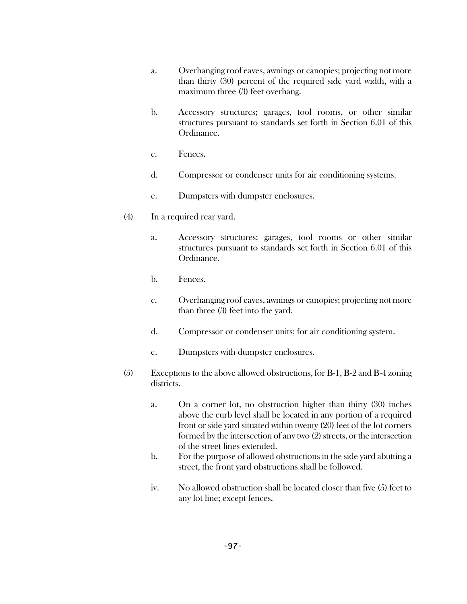- a. Overhanging roof eaves, awnings or canopies; projecting not more than thirty (30) percent of the required side yard width, with a maximum three (3) feet overhang.
- b. Accessory structures; garages, tool rooms, or other similar structures pursuant to standards set forth in Section 6.01 of this Ordinance.
- c. Fences.
- d. Compressor or condenser units for air conditioning systems.
- e. Dumpsters with dumpster enclosures.
- (4) In a required rear yard.
	- a. Accessory structures; garages, tool rooms or other similar structures pursuant to standards set forth in Section 6.01 of this Ordinance.
	- b. Fences.
	- c. Overhanging roof eaves, awnings or canopies; projecting not more than three (3) feet into the yard.
	- d. Compressor or condenser units; for air conditioning system.
	- e. Dumpsters with dumpster enclosures.
- (5) Exceptions to the above allowed obstructions, for B-1, B-2 and B-4 zoning districts.
	- a. On a corner lot, no obstruction higher than thirty (30) inches above the curb level shall be located in any portion of a required front or side yard situated within twenty (20) feet of the lot corners formed by the intersection of any two (2) streets, or the intersection of the street lines extended.
	- b. For the purpose of allowed obstructions in the side yard abutting a street, the front yard obstructions shall be followed.
	- iv. No allowed obstruction shall be located closer than five (5) feet to any lot line; except fences.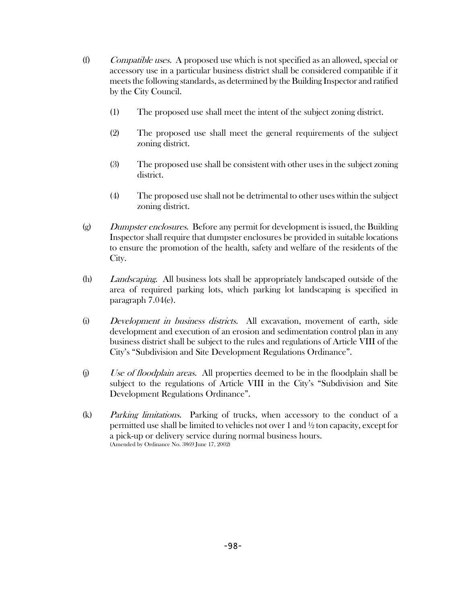- (f) Compatible uses. A proposed use which is not specified as an allowed, special or accessory use in a particular business district shall be considered compatible if it meets the following standards, as determined by the Building Inspector and ratified by the City Council.
	- (1) The proposed use shall meet the intent of the subject zoning district.
	- (2) The proposed use shall meet the general requirements of the subject zoning district.
	- (3) The proposed use shall be consistent with other uses in the subject zoning district.
	- (4) The proposed use shall not be detrimental to other uses within the subject zoning district.
- $(g)$  Dumpster enclosures. Before any permit for development is issued, the Building Inspector shall require that dumpster enclosures be provided in suitable locations to ensure the promotion of the health, safety and welfare of the residents of the City.
- (h) Landscaping. All business lots shall be appropriately landscaped outside of the area of required parking lots, which parking lot landscaping is specified in paragraph 7.04(e).
- (i) Development in business districts. All excavation, movement of earth, side development and execution of an erosion and sedimentation control plan in any business district shall be subject to the rules and regulations of Article VIII of the City's "Subdivision and Site Development Regulations Ordinance".
- $(i)$  Use of floodplain areas. All properties deemed to be in the floodplain shall be subject to the regulations of Article VIII in the City's "Subdivision and Site Development Regulations Ordinance".
- (k) Parking limitations. Parking of trucks, when accessory to the conduct of a permitted use shall be limited to vehicles not over 1 and ½ ton capacity, except for a pick-up or delivery service during normal business hours. (Amended by Ordinance No. 3869 June 17, 2002)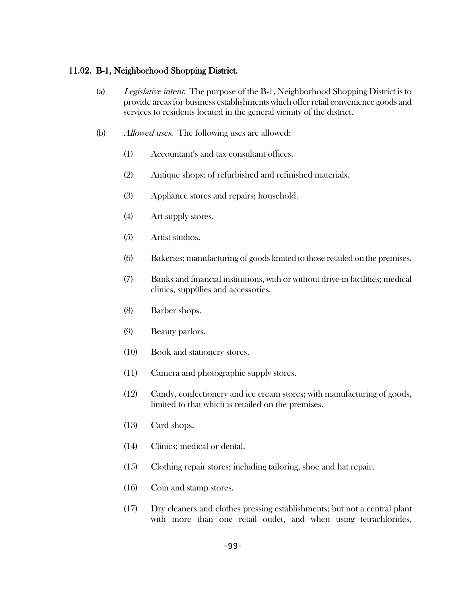### 11.02. B-1, Neighborhood Shopping District.

- (a) Legislative intent. The purpose of the B-1, Neighborhood Shopping District is to provide areas for business establishments which offer retail convenience goods and services to residents located in the general vicinity of the district.
- (b) Allowed uses. The following uses are allowed:
	- (1) Accountant's and tax consultant offices.
	- (2) Antique shops; of refurbished and refinished materials.
	- (3) Appliance stores and repairs; household.
	- (4) Art supply stores.
	- (5) Artist studios.
	- (6) Bakeries; manufacturing of goods limited to those retailed on the premises.
	- (7) Banks and financial institutions, with or without drive-in facilities; medical clinics, supp0lies and accessories.
	- (8) Barber shops.
	- (9) Beauty parlors.
	- (10) Book and stationery stores.
	- (11) Camera and photographic supply stores.
	- (12) Candy, confectionery and ice cream stores; with manufacturing of goods, limited to that which is retailed on the premises.
	- (13) Card shops.
	- (14) Clinics; medical or dental.
	- (15) Clothing repair stores; including tailoring, shoe and hat repair.
	- (16) Coin and stamp stores.
	- (17) Dry cleaners and clothes pressing establishments; but not a central plant with more than one retail outlet, and when using tetrachlorides,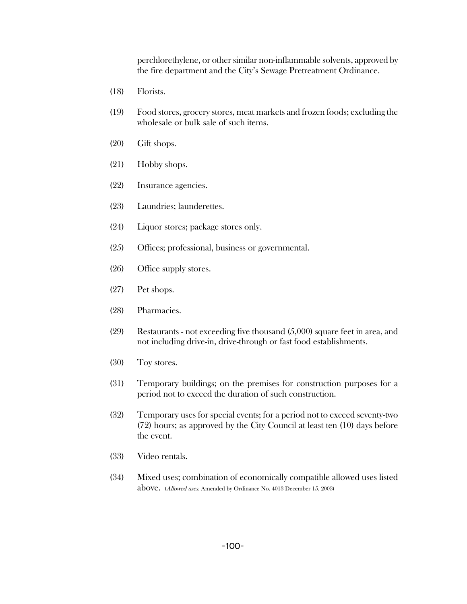perchlorethylene, or other similar non-inflammable solvents, approved by the fire department and the City's Sewage Pretreatment Ordinance.

- (18) Florists.
- (19) Food stores, grocery stores, meat markets and frozen foods; excluding the wholesale or bulk sale of such items.
- (20) Gift shops.
- (21) Hobby shops.
- (22) Insurance agencies.
- (23) Laundries; launderettes.
- (24) Liquor stores; package stores only.
- (25) Offices; professional, business or governmental.
- (26) Office supply stores.
- (27) Pet shops.
- (28) Pharmacies.
- (29) Restaurants not exceeding five thousand (5,000) square feet in area, and not including drive-in, drive-through or fast food establishments.
- (30) Toy stores.
- (31) Temporary buildings; on the premises for construction purposes for a period not to exceed the duration of such construction.
- (32) Temporary uses for special events; for a period not to exceed seventy-two (72) hours; as approved by the City Council at least ten (10) days before the event.
- (33) Video rentals.
- (34) Mixed uses; combination of economically compatible allowed uses listed above. (Allowed uses. Amended by Ordinance No. 4013 December 15, 2003)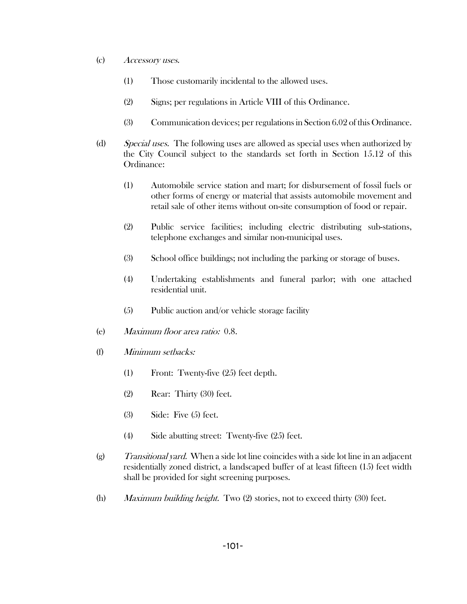- (c) Accessory uses.
	- (1) Those customarily incidental to the allowed uses.
	- (2) Signs; per regulations in Article VIII of this Ordinance.
	- (3) Communication devices; per regulations in Section 6.02 of this Ordinance.
- (d) Special uses. The following uses are allowed as special uses when authorized by the City Council subject to the standards set forth in Section 15.12 of this Ordinance:
	- (1) Automobile service station and mart; for disbursement of fossil fuels or other forms of energy or material that assists automobile movement and retail sale of other items without on-site consumption of food or repair.
	- (2) Public service facilities; including electric distributing sub-stations, telephone exchanges and similar non-municipal uses.
	- (3) School office buildings; not including the parking or storage of buses.
	- (4) Undertaking establishments and funeral parlor; with one attached residential unit.
	- (5) Public auction and/or vehicle storage facility
- (e) Maximum floor area ratio: 0.8.
- (f) Minimum setbacks:
	- (1) Front: Twenty-five (25) feet depth.
	- (2) Rear: Thirty (30) feet.
	- (3) Side: Five (5) feet.
	- (4) Side abutting street: Twenty-five (25) feet.
- $(g)$  Transitional yard. When a side lot line coincides with a side lot line in an adjacent residentially zoned district, a landscaped buffer of at least fifteen (15) feet width shall be provided for sight screening purposes.
- (h) *Maximum building height.* Two  $(2)$  stories, not to exceed thirty  $(30)$  feet.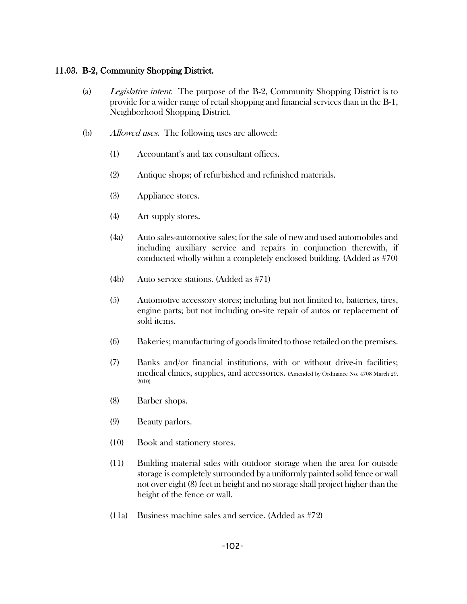## 11.03. B-2, Community Shopping District.

- (a) Legislative intent. The purpose of the B-2, Community Shopping District is to provide for a wider range of retail shopping and financial services than in the B-1, Neighborhood Shopping District.
- (b) *Allowed uses.* The following uses are allowed:
	- (1) Accountant's and tax consultant offices.
	- (2) Antique shops; of refurbished and refinished materials.
	- (3) Appliance stores.
	- (4) Art supply stores.
	- (4a) Auto sales-automotive sales; for the sale of new and used automobiles and including auxiliary service and repairs in conjunction therewith, if conducted wholly within a completely enclosed building. (Added as #70)
	- (4b) Auto service stations. (Added as #71)
	- (5) Automotive accessory stores; including but not limited to, batteries, tires, engine parts; but not including on-site repair of autos or replacement of sold items.
	- (6) Bakeries; manufacturing of goods limited to those retailed on the premises.
	- (7) Banks and/or financial institutions, with or without drive-in facilities; medical clinics, supplies, and accessories. (Amended by Ordinance No. 4708 March 29, 2010)
	- (8) Barber shops.
	- (9) Beauty parlors.
	- (10) Book and stationery stores.
	- (11) Building material sales with outdoor storage when the area for outside storage is completely surrounded by a uniformly painted solid fence or wall not over eight (8) feet in height and no storage shall project higher than the height of the fence or wall.
	- (11a) Business machine sales and service. (Added as #72)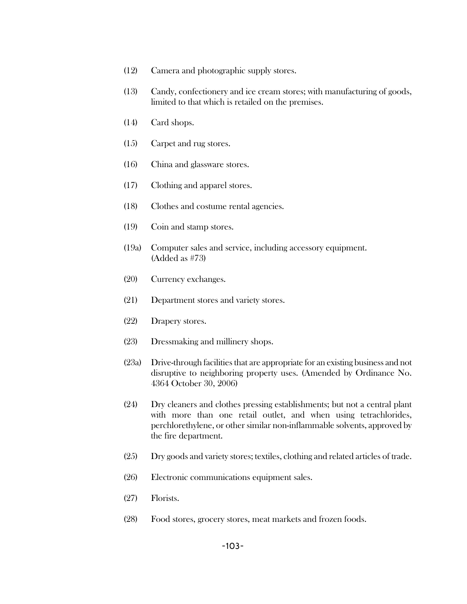- (12) Camera and photographic supply stores.
- (13) Candy, confectionery and ice cream stores; with manufacturing of goods, limited to that which is retailed on the premises.
- (14) Card shops.
- (15) Carpet and rug stores.
- (16) China and glassware stores.
- (17) Clothing and apparel stores.
- (18) Clothes and costume rental agencies.
- (19) Coin and stamp stores.
- (19a) Computer sales and service, including accessory equipment. (Added as #73)
- (20) Currency exchanges.
- (21) Department stores and variety stores.
- (22) Drapery stores.
- (23) Dressmaking and millinery shops.
- (23a) Drive-through facilities that are appropriate for an existing business and not disruptive to neighboring property uses. (Amended by Ordinance No. 4364 October 30, 2006)
- (24) Dry cleaners and clothes pressing establishments; but not a central plant with more than one retail outlet, and when using tetrachlorides, perchlorethylene, or other similar non-inflammable solvents, approved by the fire department.
- (25) Dry goods and variety stores; textiles, clothing and related articles of trade.
- (26) Electronic communications equipment sales.
- (27) Florists.
- (28) Food stores, grocery stores, meat markets and frozen foods.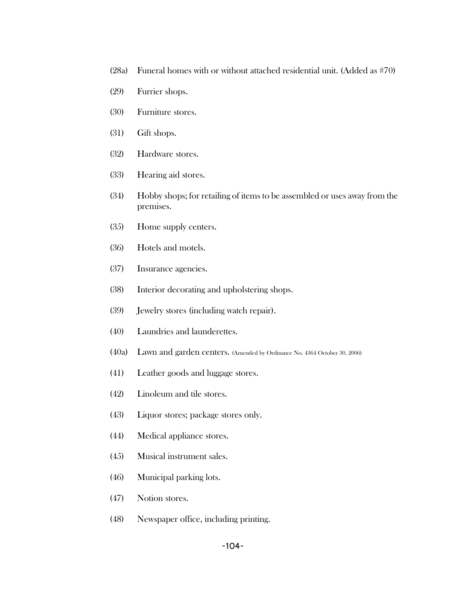- (28a) Funeral homes with or without attached residential unit. (Added as #70)
- (29) Furrier shops.
- (30) Furniture stores.
- (31) Gift shops.
- (32) Hardware stores.
- (33) Hearing aid stores.
- (34) Hobby shops; for retailing of items to be assembled or uses away from the premises.
- (35) Home supply centers.
- (36) Hotels and motels.
- (37) Insurance agencies.
- (38) Interior decorating and upholstering shops.
- (39) Jewelry stores (including watch repair).
- (40) Laundries and launderettes.
- (40a) Lawn and garden centers. (Amended by Ordinance No. 4364 October 30, 2006)
- (41) Leather goods and luggage stores.
- (42) Linoleum and tile stores.
- (43) Liquor stores; package stores only.
- (44) Medical appliance stores.
- (45) Musical instrument sales.
- (46) Municipal parking lots.
- (47) Notion stores.
- (48) Newspaper office, including printing.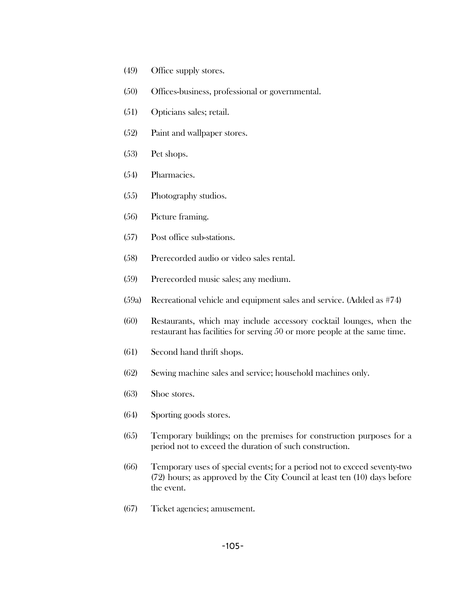- (49) Office supply stores.
- (50) Offices-business, professional or governmental.
- (51) Opticians sales; retail.
- (52) Paint and wallpaper stores.
- (53) Pet shops.
- (54) Pharmacies.
- (55) Photography studios.
- (56) Picture framing.
- (57) Post office sub-stations.
- (58) Prerecorded audio or video sales rental.
- (59) Prerecorded music sales; any medium.
- (59a) Recreational vehicle and equipment sales and service. (Added as #74)
- (60) Restaurants, which may include accessory cocktail lounges, when the restaurant has facilities for serving 50 or more people at the same time.
- (61) Second hand thrift shops.
- (62) Sewing machine sales and service; household machines only.
- (63) Shoe stores.
- (64) Sporting goods stores.
- (65) Temporary buildings; on the premises for construction purposes for a period not to exceed the duration of such construction.
- (66) Temporary uses of special events; for a period not to exceed seventy-two (72) hours; as approved by the City Council at least ten (10) days before the event.
- (67) Ticket agencies; amusement.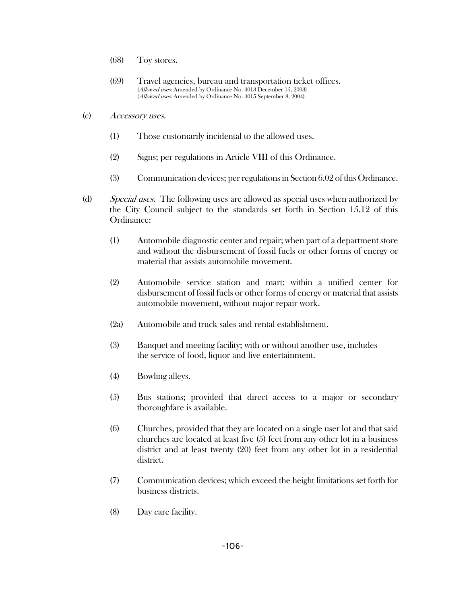- (68) Toy stores.
- (69) Travel agencies, bureau and transportation ticket offices. (Allowed uses: Amended by Ordinance No. 4013 December 15, 2003) (Allowed uses: Amended by Ordinance No. 4015 September 8, 2004)
- (c) Accessory uses.
	- (1) Those customarily incidental to the allowed uses.
	- (2) Signs; per regulations in Article VIII of this Ordinance.
	- (3) Communication devices; per regulations in Section 6.02 of this Ordinance.
- (d) Special uses. The following uses are allowed as special uses when authorized by the City Council subject to the standards set forth in Section 15.12 of this Ordinance:
	- (1) Automobile diagnostic center and repair; when part of a department store and without the disbursement of fossil fuels or other forms of energy or material that assists automobile movement.
	- (2) Automobile service station and mart; within a unified center for disbursement of fossil fuels or other forms of energy or material that assists automobile movement, without major repair work.
	- (2a) Automobile and truck sales and rental establishment.
	- (3) Banquet and meeting facility; with or without another use, includes the service of food, liquor and live entertainment.
	- (4) Bowling alleys.
	- (5) Bus stations; provided that direct access to a major or secondary thoroughfare is available.
	- (6) Churches, provided that they are located on a single user lot and that said churches are located at least five (5) feet from any other lot in a business district and at least twenty (20) feet from any other lot in a residential district.
	- (7) Communication devices; which exceed the height limitations set forth for business districts.
	- (8) Day care facility.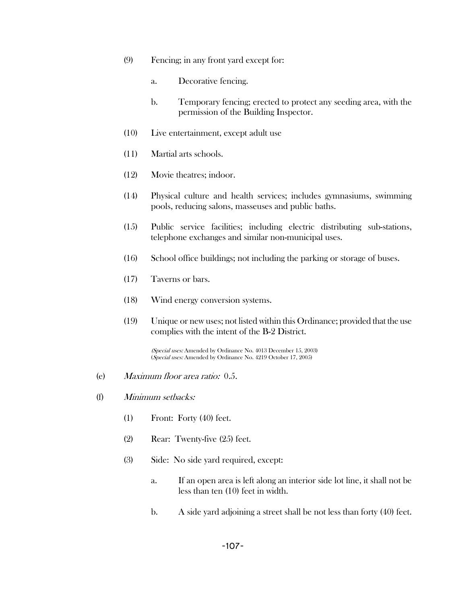- (9) Fencing; in any front yard except for:
	- a. Decorative fencing.
	- b. Temporary fencing; erected to protect any seeding area, with the permission of the Building Inspector.
- (10) Live entertainment, except adult use
- (11) Martial arts schools.
- (12) Movie theatres; indoor.
- (14) Physical culture and health services; includes gymnasiums, swimming pools, reducing salons, masseuses and public baths.
- (15) Public service facilities; including electric distributing sub-stations, telephone exchanges and similar non-municipal uses.
- (16) School office buildings; not including the parking or storage of buses.
- (17) Taverns or bars.
- (18) Wind energy conversion systems.
- (19) Unique or new uses; not listed within this Ordinance; provided that the use complies with the intent of the B-2 District.

(Special uses: Amended by Ordinance No. 4013 December 15, 2003) (Special uses: Amended by Ordinance No. 4219 October 17, 2005)

- (e) Maximum floor area ratio: 0.5.
- (f) Minimum setbacks:
	- (1) Front: Forty (40) feet.
	- (2) Rear: Twenty-five (25) feet.
	- (3) Side: No side yard required, except:
		- a. If an open area is left along an interior side lot line, it shall not be less than ten (10) feet in width.
		- b. A side yard adjoining a street shall be not less than forty (40) feet.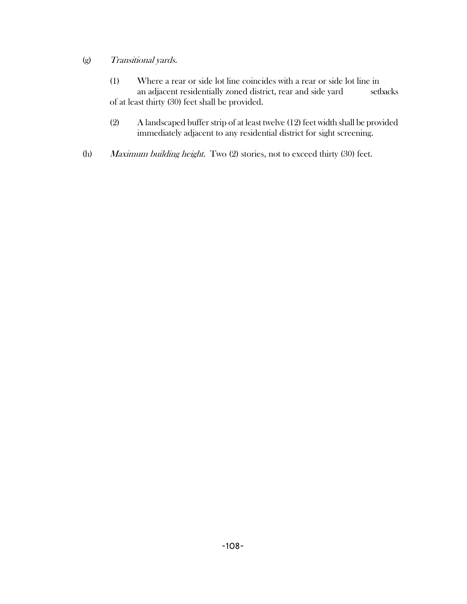### (g) Transitional yards.

- (1) Where a rear or side lot line coincides with a rear or side lot line in an adjacent residentially zoned district, rear and side yard setbacks of at least thirty (30) feet shall be provided.
- (2) A landscaped buffer strip of at least twelve (12) feet width shall be provided immediately adjacent to any residential district for sight screening.
- (h) Maximum building height. Two (2) stories, not to exceed thirty (30) feet.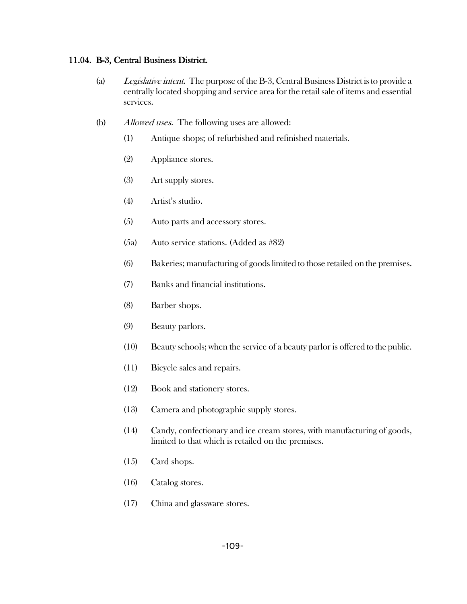#### 11.04. B-3, Central Business District.

- (a) Legislative intent. The purpose of the B-3, Central Business District is to provide a centrally located shopping and service area for the retail sale of items and essential services.
- (b) Allowed uses. The following uses are allowed:
	- (1) Antique shops; of refurbished and refinished materials.
	- (2) Appliance stores.
	- (3) Art supply stores.
	- (4) Artist's studio.
	- (5) Auto parts and accessory stores.
	- (5a) Auto service stations. (Added as #82)
	- (6) Bakeries; manufacturing of goods limited to those retailed on the premises.
	- (7) Banks and financial institutions.
	- (8) Barber shops.
	- (9) Beauty parlors.
	- (10) Beauty schools; when the service of a beauty parlor is offered to the public.
	- (11) Bicycle sales and repairs.
	- (12) Book and stationery stores.
	- (13) Camera and photographic supply stores.
	- (14) Candy, confectionary and ice cream stores, with manufacturing of goods, limited to that which is retailed on the premises.
	- (15) Card shops.
	- (16) Catalog stores.
	- (17) China and glassware stores.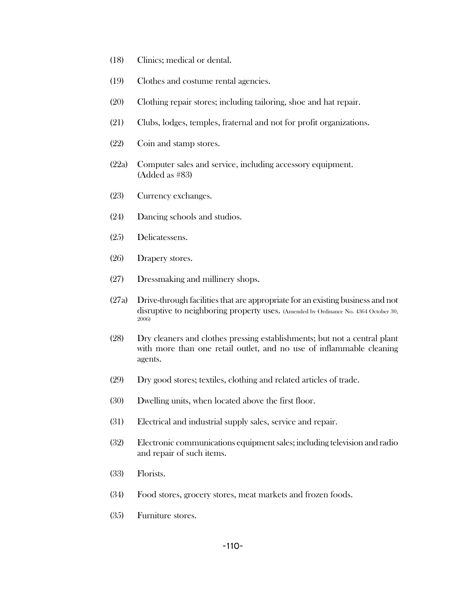- (18) Clinics; medical or dental.
- (19) Clothes and costume rental agencies.
- (20) Clothing repair stores; including tailoring, shoe and hat repair.
- (21) Clubs, lodges, temples, fraternal and not for profit organizations.
- (22) Coin and stamp stores.
- (22a) Computer sales and service, including accessory equipment. (Added as #83)
- (23) Currency exchanges.
- (24) Dancing schools and studios.
- (25) Delicatessens.
- (26) Drapery stores.
- (27) Dressmaking and millinery shops.
- (27a) Drive-through facilities that are appropriate for an existing business and not disruptive to neighboring property uses. (Amended by Ordinance No. 4364 October 30, 2006)
- (28) Dry cleaners and clothes pressing establishments; but not a central plant with more than one retail outlet, and no use of inflammable cleaning agents.
- (29) Dry good stores; textiles, clothing and related articles of trade.
- (30) Dwelling units, when located above the first floor.
- (31) Electrical and industrial supply sales, service and repair.
- (32) Electronic communications equipment sales; including television and radio and repair of such items.
- (33) Florists.
- (34) Food stores, grocery stores, meat markets and frozen foods.
- (35) Furniture stores.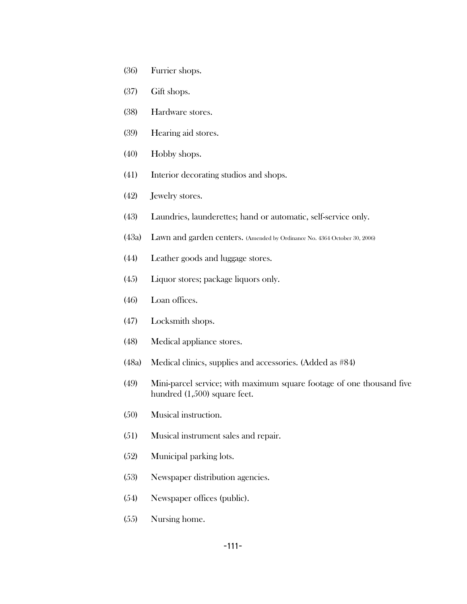- (36) Furrier shops.
- (37) Gift shops.
- (38) Hardware stores.
- (39) Hearing aid stores.
- (40) Hobby shops.
- (41) Interior decorating studios and shops.
- (42) Jewelry stores.
- (43) Laundries, launderettes; hand or automatic, self-service only.
- (43a) Lawn and garden centers. (Amended by Ordinance No. 4364 October 30, 2006)
- (44) Leather goods and luggage stores.
- (45) Liquor stores; package liquors only.
- (46) Loan offices.
- (47) Locksmith shops.
- (48) Medical appliance stores.
- (48a) Medical clinics, supplies and accessories. (Added as #84)
- (49) Mini-parcel service; with maximum square footage of one thousand five hundred (1,500) square feet.
- (50) Musical instruction.
- (51) Musical instrument sales and repair.
- (52) Municipal parking lots.
- (53) Newspaper distribution agencies.
- (54) Newspaper offices (public).
- (55) Nursing home.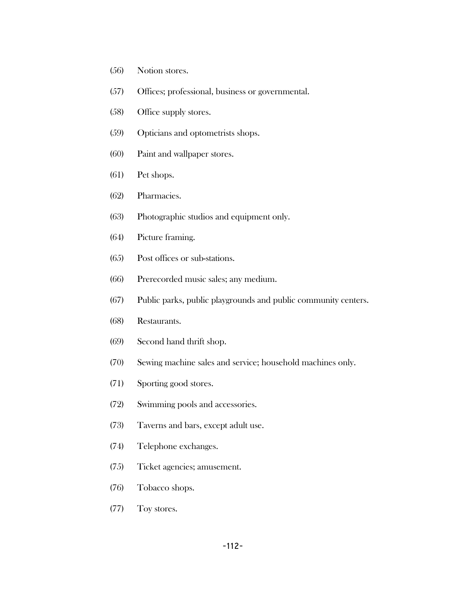- (56) Notion stores.
- (57) Offices; professional, business or governmental.
- (58) Office supply stores.
- (59) Opticians and optometrists shops.
- (60) Paint and wallpaper stores.
- (61) Pet shops.
- (62) Pharmacies.
- (63) Photographic studios and equipment only.
- (64) Picture framing.
- (65) Post offices or sub-stations.
- (66) Prerecorded music sales; any medium.
- (67) Public parks, public playgrounds and public community centers.
- (68) Restaurants.
- (69) Second hand thrift shop.
- (70) Sewing machine sales and service; household machines only.
- (71) Sporting good stores.
- (72) Swimming pools and accessories.
- (73) Taverns and bars, except adult use.
- (74) Telephone exchanges.
- (75) Ticket agencies; amusement.
- (76) Tobacco shops.
- (77) Toy stores.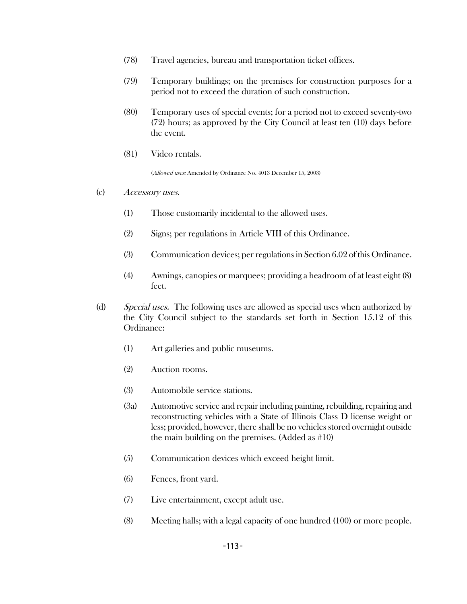- (78) Travel agencies, bureau and transportation ticket offices.
- (79) Temporary buildings; on the premises for construction purposes for a period not to exceed the duration of such construction.
- (80) Temporary uses of special events; for a period not to exceed seventy-two (72) hours; as approved by the City Council at least ten (10) days before the event.
- (81) Video rentals.

(Allowed uses: Amended by Ordinance No. 4013 December 15, 2003)

- (c) Accessory uses.
	- (1) Those customarily incidental to the allowed uses.
	- (2) Signs; per regulations in Article VIII of this Ordinance.
	- (3) Communication devices; per regulations in Section 6.02 of this Ordinance.
	- (4) Awnings, canopies or marquees; providing a headroom of at least eight (8) feet.
- (d) Special uses. The following uses are allowed as special uses when authorized by the City Council subject to the standards set forth in Section 15.12 of this Ordinance:
	- (1) Art galleries and public museums.
	- (2) Auction rooms.
	- (3) Automobile service stations.
	- (3a) Automotive service and repair including painting, rebuilding, repairing and reconstructing vehicles with a State of Illinois Class D license weight or less; provided, however, there shall be no vehicles stored overnight outside the main building on the premises. (Added as #10)
	- (5) Communication devices which exceed height limit.
	- (6) Fences, front yard.
	- (7) Live entertainment, except adult use.
	- (8) Meeting halls; with a legal capacity of one hundred (100) or more people.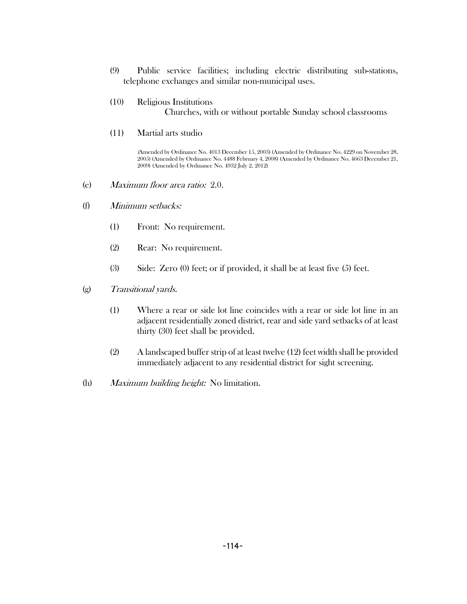- (9) Public service facilities; including electric distributing sub-stations, telephone exchanges and similar non-municipal uses.
- (10) Religious Institutions Churches, with or without portable Sunday school classrooms
- (11) Martial arts studio

(Amended by Ordinance No. 4013 December 15, 2003) (Amended by Ordinance No. 4229 on November 28, 2005) (Amended by Ordinance No. 4488 February 4, 2008) (Amended by Ordinance No. 4663 December 21, 2009) (Amended by Ordinance No. 4932 July 2, 2012)

- (e) Maximum floor area ratio: 2.0.
- (f) Minimum setbacks:
	- (1) Front: No requirement.
	- (2) Rear: No requirement.
	- (3) Side: Zero (0) feet; or if provided, it shall be at least five (5) feet.
- (g) Transitional yards.
	- (1) Where a rear or side lot line coincides with a rear or side lot line in an adjacent residentially zoned district, rear and side yard setbacks of at least thirty (30) feet shall be provided.
	- (2) A landscaped buffer strip of at least twelve (12) feet width shall be provided immediately adjacent to any residential district for sight screening.
- (h) Maximum building height: No limitation.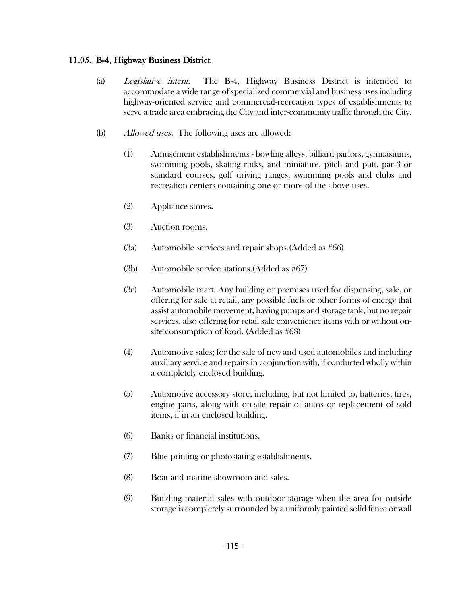## 11.05. B-4, Highway Business District

- (a) Legislative intent. The B-4, Highway Business District is intended to accommodate a wide range of specialized commercial and business uses including highway-oriented service and commercial-recreation types of establishments to serve a trade area embracing the City and inter-community traffic through the City.
- (b) Allowed uses. The following uses are allowed:
	- (1) Amusement establishments bowling alleys, billiard parlors, gymnasiums, swimming pools, skating rinks, and miniature, pitch and putt, par-3 or standard courses, golf driving ranges, swimming pools and clubs and recreation centers containing one or more of the above uses.
	- (2) Appliance stores.
	- (3) Auction rooms.
	- (3a) Automobile services and repair shops.(Added as #66)
	- (3b) Automobile service stations.(Added as #67)
	- (3c) Automobile mart. Any building or premises used for dispensing, sale, or offering for sale at retail, any possible fuels or other forms of energy that assist automobile movement, having pumps and storage tank, but no repair services, also offering for retail sale convenience items with or without onsite consumption of food. (Added as #68)
	- (4) Automotive sales; for the sale of new and used automobiles and including auxiliary service and repairs in conjunction with, if conducted wholly within a completely enclosed building.
	- (5) Automotive accessory store, including, but not limited to, batteries, tires, engine parts, along with on-site repair of autos or replacement of sold items, if in an enclosed building.
	- (6) Banks or financial institutions.
	- (7) Blue printing or photostating establishments.
	- (8) Boat and marine showroom and sales.
	- (9) Building material sales with outdoor storage when the area for outside storage is completely surrounded by a uniformly painted solid fence or wall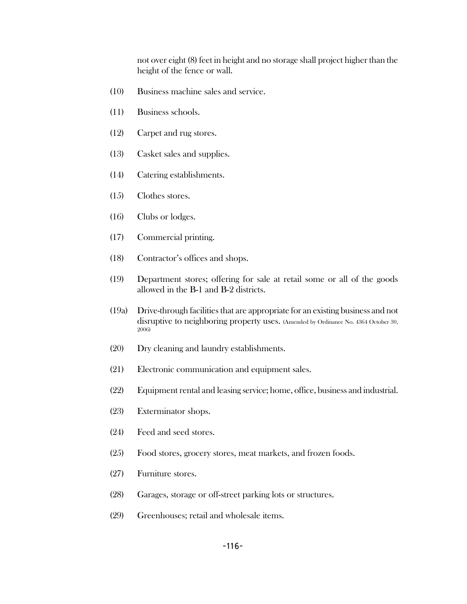not over eight (8) feet in height and no storage shall project higher than the height of the fence or wall.

- (10) Business machine sales and service.
- (11) Business schools.
- (12) Carpet and rug stores.
- (13) Casket sales and supplies.
- (14) Catering establishments.
- (15) Clothes stores.
- (16) Clubs or lodges.
- (17) Commercial printing.
- (18) Contractor's offices and shops.
- (19) Department stores; offering for sale at retail some or all of the goods allowed in the B-1 and B-2 districts.
- (19a) Drive-through facilities that are appropriate for an existing business and not disruptive to neighboring property uses. (Amended by Ordinance No. 4364 October 30, 2006)
- (20) Dry cleaning and laundry establishments.
- (21) Electronic communication and equipment sales.
- (22) Equipment rental and leasing service; home, office, business and industrial.
- (23) Exterminator shops.
- (24) Feed and seed stores.
- (25) Food stores, grocery stores, meat markets, and frozen foods.
- (27) Furniture stores.
- (28) Garages, storage or off-street parking lots or structures.
- (29) Greenhouses; retail and wholesale items.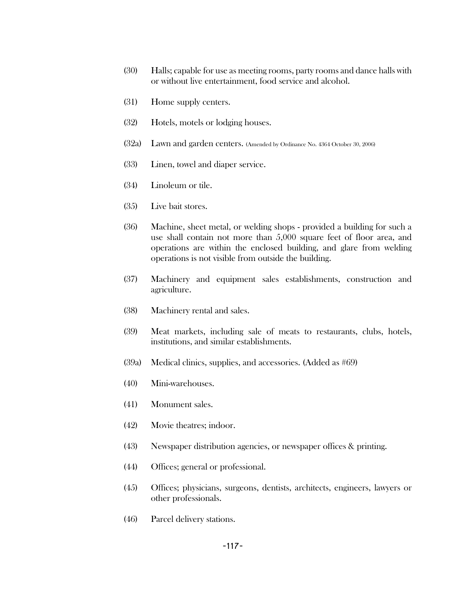- (30) Halls; capable for use as meeting rooms, party rooms and dance halls with or without live entertainment, food service and alcohol.
- (31) Home supply centers.
- (32) Hotels, motels or lodging houses.
- (32a) Lawn and garden centers. (Amended by Ordinance No. 4364 October 30, 2006)
- (33) Linen, towel and diaper service.
- (34) Linoleum or tile.
- (35) Live bait stores.
- (36) Machine, sheet metal, or welding shops provided a building for such a use shall contain not more than 5,000 square feet of floor area, and operations are within the enclosed building, and glare from welding operations is not visible from outside the building.
- (37) Machinery and equipment sales establishments, construction and agriculture.
- (38) Machinery rental and sales.
- (39) Meat markets, including sale of meats to restaurants, clubs, hotels, institutions, and similar establishments.
- (39a) Medical clinics, supplies, and accessories. (Added as #69)
- (40) Mini-warehouses.
- (41) Monument sales.
- (42) Movie theatres; indoor.
- (43) Newspaper distribution agencies, or newspaper offices & printing.
- (44) Offices; general or professional.
- (45) Offices; physicians, surgeons, dentists, architects, engineers, lawyers or other professionals.
- (46) Parcel delivery stations.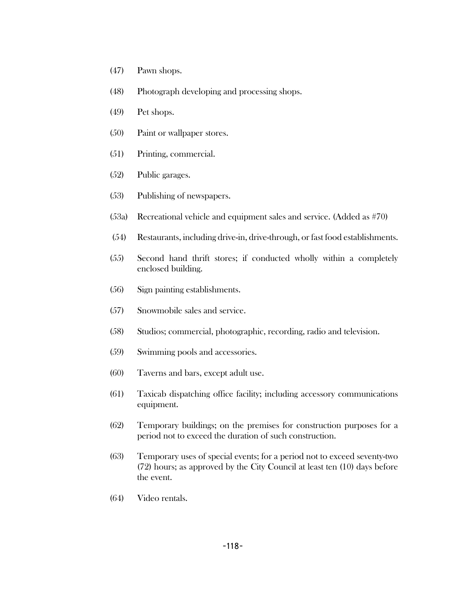- (47) Pawn shops.
- (48) Photograph developing and processing shops.
- (49) Pet shops.
- (50) Paint or wallpaper stores.
- (51) Printing, commercial.
- (52) Public garages.
- (53) Publishing of newspapers.
- (53a) Recreational vehicle and equipment sales and service. (Added as #70)
- (54) Restaurants, including drive-in, drive-through, or fast food establishments.
- (55) Second hand thrift stores; if conducted wholly within a completely enclosed building.
- (56) Sign painting establishments.
- (57) Snowmobile sales and service.
- (58) Studios; commercial, photographic, recording, radio and television.
- (59) Swimming pools and accessories.
- (60) Taverns and bars, except adult use.
- (61) Taxicab dispatching office facility; including accessory communications equipment.
- (62) Temporary buildings; on the premises for construction purposes for a period not to exceed the duration of such construction.
- (63) Temporary uses of special events; for a period not to exceed seventy-two (72) hours; as approved by the City Council at least ten (10) days before the event.
- (64) Video rentals.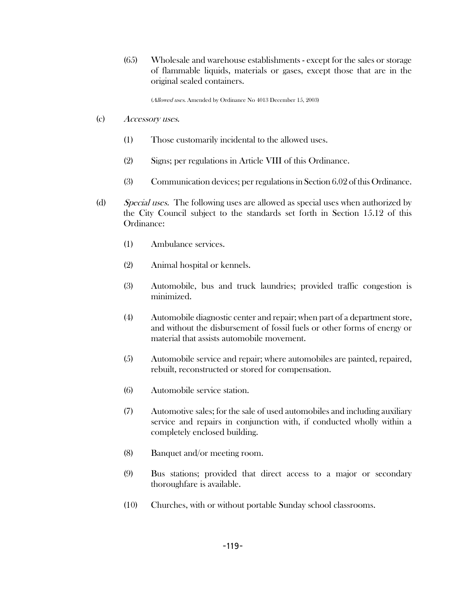(65) Wholesale and warehouse establishments - except for the sales or storage of flammable liquids, materials or gases, except those that are in the original sealed containers.

(Allowed uses. Amended by Ordinance No 4013 December 15, 2003)

- (c) Accessory uses.
	- (1) Those customarily incidental to the allowed uses.
	- (2) Signs; per regulations in Article VIII of this Ordinance.
	- (3) Communication devices; per regulations in Section 6.02 of this Ordinance.
- (d) Special uses. The following uses are allowed as special uses when authorized by the City Council subject to the standards set forth in Section 15.12 of this Ordinance:
	- (1) Ambulance services.
	- (2) Animal hospital or kennels.
	- (3) Automobile, bus and truck laundries; provided traffic congestion is minimized.
	- (4) Automobile diagnostic center and repair; when part of a department store, and without the disbursement of fossil fuels or other forms of energy or material that assists automobile movement.
	- (5) Automobile service and repair; where automobiles are painted, repaired, rebuilt, reconstructed or stored for compensation.
	- (6) Automobile service station.
	- (7) Automotive sales; for the sale of used automobiles and including auxiliary service and repairs in conjunction with, if conducted wholly within a completely enclosed building.
	- (8) Banquet and/or meeting room.
	- (9) Bus stations; provided that direct access to a major or secondary thoroughfare is available.
	- (10) Churches, with or without portable Sunday school classrooms.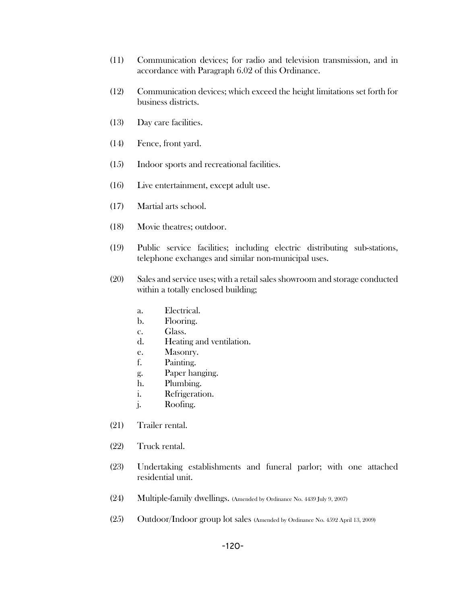- (11) Communication devices; for radio and television transmission, and in accordance with Paragraph 6.02 of this Ordinance.
- (12) Communication devices; which exceed the height limitations set forth for business districts.
- (13) Day care facilities.
- (14) Fence, front yard.
- (15) Indoor sports and recreational facilities.
- (16) Live entertainment, except adult use.
- (17) Martial arts school.
- (18) Movie theatres; outdoor.
- (19) Public service facilities; including electric distributing sub-stations, telephone exchanges and similar non-municipal uses.
- (20) Sales and service uses; with a retail sales showroom and storage conducted within a totally enclosed building;
	- a. Electrical.
	- b. Flooring.
	- c. Glass.
	- d. Heating and ventilation.
	- e. Masonry.
	- f. Painting.
	- g. Paper hanging.
	- h. Plumbing.
	- i. Refrigeration.
	- j. Roofing.
- (21) Trailer rental.
- (22) Truck rental.
- (23) Undertaking establishments and funeral parlor; with one attached residential unit.
- (24) Multiple-family dwellings. (Amended by Ordinance No. 4439 July 9, 2007)
- (25) Outdoor/Indoor group lot sales (Amended by Ordinance No. 4592 April 13, 2009)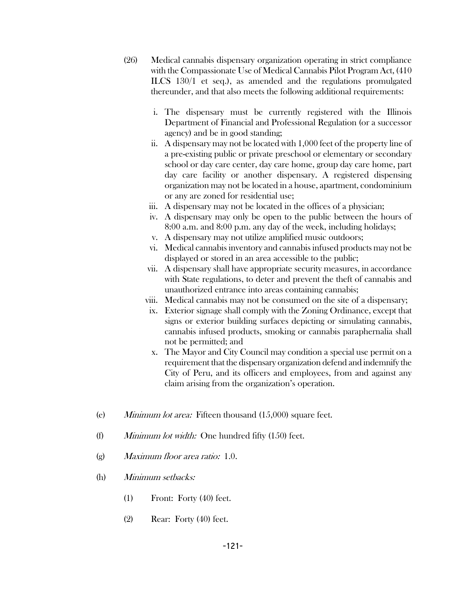- (26) Medical cannabis dispensary organization operating in strict compliance with the Compassionate Use of Medical Cannabis Pilot Program Act, (410 ILCS 130/1 et seq.), as amended and the regulations promulgated thereunder, and that also meets the following additional requirements:
	- i. The dispensary must be currently registered with the Illinois Department of Financial and Professional Regulation (or a successor agency) and be in good standing;
	- ii. A dispensary may not be located with 1,000 feet of the property line of a pre-existing public or private preschool or elementary or secondary school or day care center, day care home, group day care home, part day care facility or another dispensary. A registered dispensing organization may not be located in a house, apartment, condominium or any are zoned for residential use;
	- iii. A dispensary may not be located in the offices of a physician;
	- iv. A dispensary may only be open to the public between the hours of 8:00 a.m. and 8:00 p.m. any day of the week, including holidays;
	- v. A dispensary may not utilize amplified music outdoors;
	- vi. Medical cannabis inventory and cannabis infused products may not be displayed or stored in an area accessible to the public;
	- vii. A dispensary shall have appropriate security measures, in accordance with State regulations, to deter and prevent the theft of cannabis and unauthorized entrance into areas containing cannabis;
	- viii. Medical cannabis may not be consumed on the site of a dispensary;
	- ix. Exterior signage shall comply with the Zoning Ordinance, except that signs or exterior building surfaces depicting or simulating cannabis, cannabis infused products, smoking or cannabis paraphernalia shall not be permitted; and
	- x. The Mayor and City Council may condition a special use permit on a requirement that the dispensary organization defend and indemnify the City of Peru, and its officers and employees, from and against any claim arising from the organization's operation.
- (e) Minimum lot area: Fifteen thousand (15,000) square feet.
- (f) Minimum lot width: One hundred fifty  $(150)$  feet.
- (g) Maximum floor area ratio: 1.0.
- (h) Minimum setbacks:
	- (1) Front: Forty (40) feet.
	- (2) Rear: Forty (40) feet.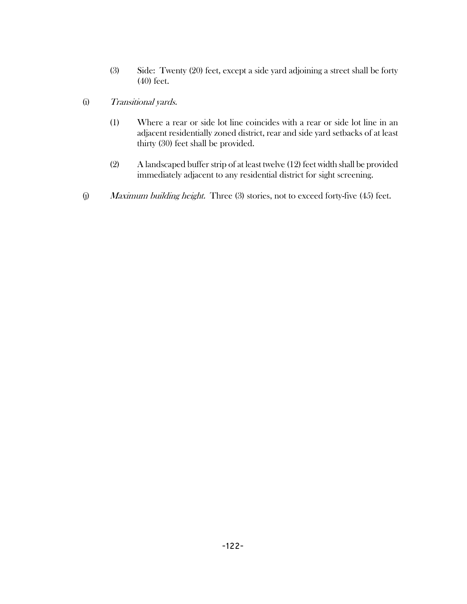- (3) Side: Twenty (20) feet, except a side yard adjoining a street shall be forty (40) feet.
- (i) Transitional yards.
	- (1) Where a rear or side lot line coincides with a rear or side lot line in an adjacent residentially zoned district, rear and side yard setbacks of at least thirty (30) feet shall be provided.
	- (2) A landscaped buffer strip of at least twelve (12) feet width shall be provided immediately adjacent to any residential district for sight screening.
- (j) Maximum building height. Three (3) stories, not to exceed forty-five (45) feet.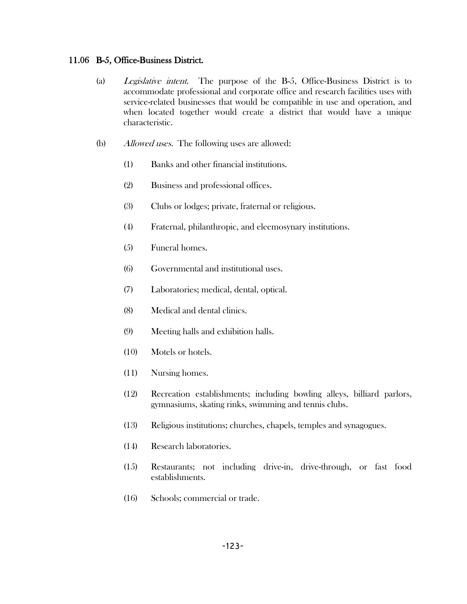#### 11.06 B-5, Office-Business District.

- (a) Legislative intent. The purpose of the B-5, Office-Business District is to accommodate professional and corporate office and research facilities uses with service-related businesses that would be compatible in use and operation, and when located together would create a district that would have a unique characteristic.
- (b) Allowed uses. The following uses are allowed:
	- (1) Banks and other financial institutions.
	- (2) Business and professional offices.
	- (3) Clubs or lodges; private, fraternal or religious.
	- (4) Fraternal, philanthropic, and eleemosynary institutions.
	- (5) Funeral homes.
	- (6) Governmental and institutional uses.
	- (7) Laboratories; medical, dental, optical.
	- (8) Medical and dental clinics.
	- (9) Meeting halls and exhibition halls.
	- (10) Motels or hotels.
	- (11) Nursing homes.
	- (12) Recreation establishments; including bowling alleys, billiard parlors, gymnasiums, skating rinks, swimming and tennis clubs.
	- (13) Religious institutions; churches, chapels, temples and synagogues.
	- (14) Research laboratories.
	- (15) Restaurants; not including drive-in, drive-through, or fast food establishments.
	- (16) Schools; commercial or trade.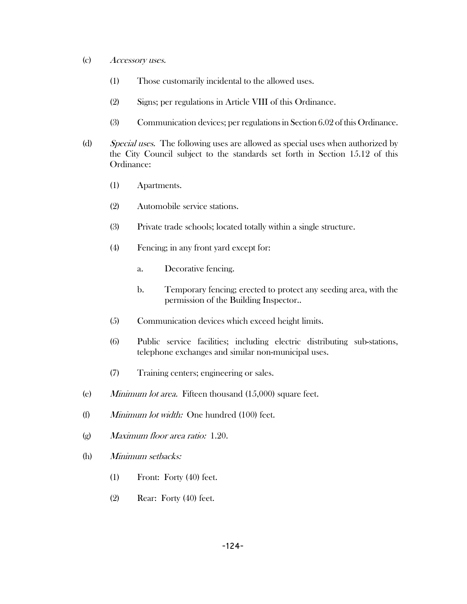- (c) Accessory uses.
	- (1) Those customarily incidental to the allowed uses.
	- (2) Signs; per regulations in Article VIII of this Ordinance.
	- (3) Communication devices; per regulations in Section 6.02 of this Ordinance.
- (d) Special uses. The following uses are allowed as special uses when authorized by the City Council subject to the standards set forth in Section 15.12 of this Ordinance:
	- (1) Apartments.
	- (2) Automobile service stations.
	- (3) Private trade schools; located totally within a single structure.
	- (4) Fencing; in any front yard except for:
		- a. Decorative fencing.
		- b. Temporary fencing; erected to protect any seeding area, with the permission of the Building Inspector..
	- (5) Communication devices which exceed height limits.
	- (6) Public service facilities; including electric distributing sub-stations, telephone exchanges and similar non-municipal uses.
	- (7) Training centers; engineering or sales.
- (e) Minimum lot area. Fifteen thousand (15,000) square feet.
- (f) Minimum lot width: One hundred (100) feet.
- (g) Maximum floor area ratio: 1.20.
- (h) Minimum setbacks:
	- (1) Front: Forty (40) feet.
	- (2) Rear: Forty (40) feet.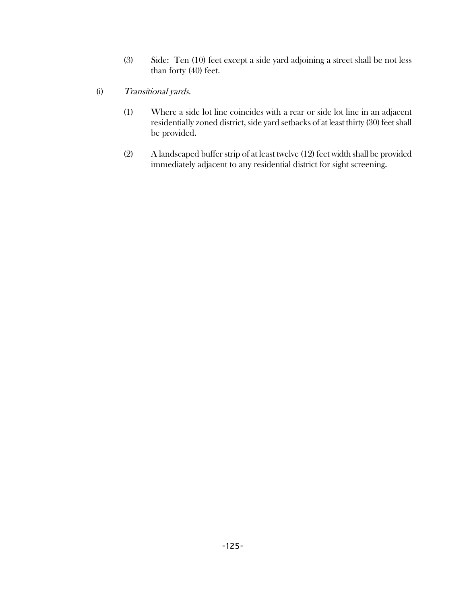- (3) Side: Ten (10) feet except a side yard adjoining a street shall be not less than forty (40) feet.
- (i) Transitional yards.
	- (1) Where a side lot line coincides with a rear or side lot line in an adjacent residentially zoned district, side yard setbacks of at least thirty (30) feet shall be provided.
	- (2) A landscaped buffer strip of at least twelve (12) feet width shall be provided immediately adjacent to any residential district for sight screening.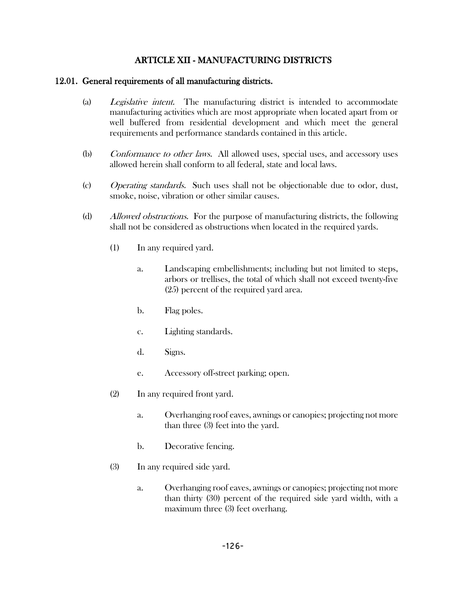## ARTICLE XII - MANUFACTURING DISTRICTS

### 12.01. General requirements of all manufacturing districts.

- (a) Legislative intent. The manufacturing district is intended to accommodate manufacturing activities which are most appropriate when located apart from or well buffered from residential development and which meet the general requirements and performance standards contained in this article.
- (b) Conformance to other laws. All allowed uses, special uses, and accessory uses allowed herein shall conform to all federal, state and local laws.
- (c) Operating standards. Such uses shall not be objectionable due to odor, dust, smoke, noise, vibration or other similar causes.
- (d) Allowed obstructions. For the purpose of manufacturing districts, the following shall not be considered as obstructions when located in the required yards.
	- (1) In any required yard.
		- a. Landscaping embellishments; including but not limited to steps, arbors or trellises, the total of which shall not exceed twenty-five (25) percent of the required yard area.
		- b. Flag poles.
		- c. Lighting standards.
		- d. Signs.
		- e. Accessory off-street parking; open.
	- (2) In any required front yard.
		- a. Overhanging roof eaves, awnings or canopies; projecting not more than three (3) feet into the yard.
		- b. Decorative fencing.
	- (3) In any required side yard.
		- a. Overhanging roof eaves, awnings or canopies; projecting not more than thirty (30) percent of the required side yard width, with a maximum three (3) feet overhang.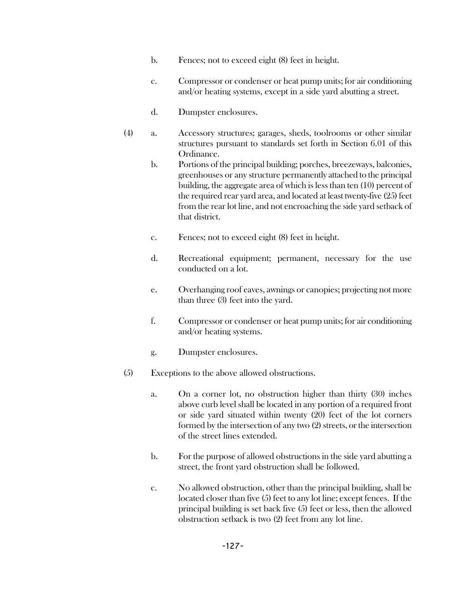- b. Fences; not to exceed eight (8) feet in height.
- c. Compressor or condenser or heat pump units; for air conditioning and/or heating systems, except in a side yard abutting a street.
- d. Dumpster enclosures.
- (4) a. Accessory structures; garages, sheds, toolrooms or other similar structures pursuant to standards set forth in Section 6.01 of this Ordinance.
	- b. Portions of the principal building; porches, breezeways, balconies, greenhouses or any structure permanently attached to the principal building, the aggregate area of which is less than ten (10) percent of the required rear yard area, and located at least twenty-five (25) feet from the rear lot line, and not encroaching the side yard setback of that district.
	- c. Fences; not to exceed eight (8) feet in height.
	- d. Recreational equipment; permanent, necessary for the use conducted on a lot.
	- e. Overhanging roof eaves, awnings or canopies; projecting not more than three (3) feet into the yard.
	- f. Compressor or condenser or heat pump units; for air conditioning and/or heating systems.
	- g. Dumpster enclosures.
- (5) Exceptions to the above allowed obstructions.
	- a. On a corner lot, no obstruction higher than thirty (30) inches above curb level shall be located in any portion of a required front or side yard situated within twenty (20) feet of the lot corners formed by the intersection of any two (2) streets, or the intersection of the street lines extended.
	- b. For the purpose of allowed obstructions in the side yard abutting a street, the front yard obstruction shall be followed.
	- c. No allowed obstruction, other than the principal building, shall be located closer than five (5) feet to any lot line; except fences. If the principal building is set back five (5) feet or less, then the allowed obstruction setback is two (2) feet from any lot line.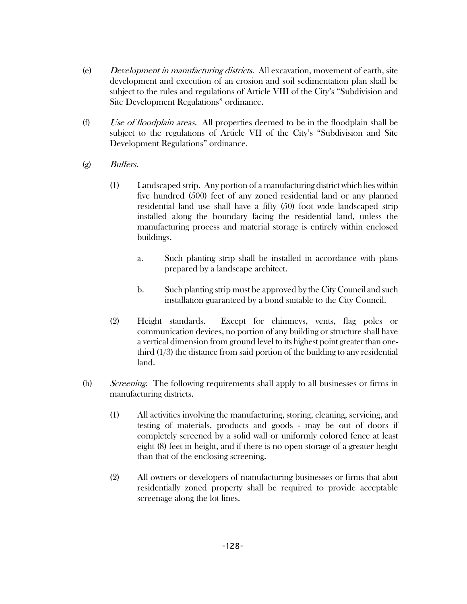- (e) Development in manufacturing districts. All excavation, movement of earth, site development and execution of an erosion and soil sedimentation plan shall be subject to the rules and regulations of Article VIII of the City's "Subdivision and Site Development Regulations" ordinance.
- (f) Use of floodplain areas. All properties deemed to be in the floodplain shall be subject to the regulations of Article VII of the City's "Subdivision and Site Development Regulations" ordinance.
- (g) Buffers.
	- (1) Landscaped strip. Any portion of a manufacturing district which lies within five hundred (500) feet of any zoned residential land or any planned residential land use shall have a fifty (50) foot wide landscaped strip installed along the boundary facing the residential land, unless the manufacturing process and material storage is entirely within enclosed buildings.
		- a. Such planting strip shall be installed in accordance with plans prepared by a landscape architect.
		- b. Such planting strip must be approved by the City Council and such installation guaranteed by a bond suitable to the City Council.
	- (2) Height standards. Except for chimneys, vents, flag poles or communication devices, no portion of any building or structure shall have a vertical dimension from ground level to its highest point greater than onethird  $(1/3)$  the distance from said portion of the building to any residential land.
- (h) Screening. The following requirements shall apply to all businesses or firms in manufacturing districts.
	- (1) All activities involving the manufacturing, storing, cleaning, servicing, and testing of materials, products and goods - may be out of doors if completely screened by a solid wall or uniformly colored fence at least eight (8) feet in height, and if there is no open storage of a greater height than that of the enclosing screening.
	- (2) All owners or developers of manufacturing businesses or firms that abut residentially zoned property shall be required to provide acceptable screenage along the lot lines.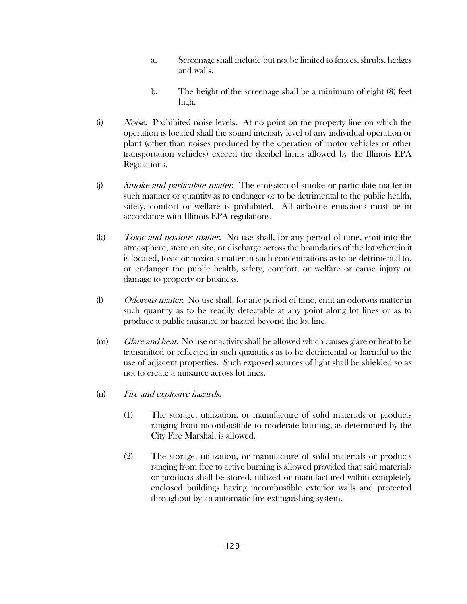- a. Screenage shall include but not be limited to fences, shrubs, hedges and walls.
- b. The height of the screenage shall be a minimum of eight (8) feet high.
- (i) Noise. Prohibited noise levels. At no point on the property line on which the operation is located shall the sound intensity level of any individual operation or plant (other than noises produced by the operation of motor vehicles or other transportation vehicles) exceed the decibel limits allowed by the Illinois EPA Regulations.
- (j) Smoke and particulate matter. The emission of smoke or particulate matter in such manner or quantity as to endanger or to be detrimental to the public health, safety, comfort or welfare is prohibited. All airborne emissions must be in accordance with Illinois EPA regulations.
- (k) Toxic and noxious matter. No use shall, for any period of time, emit into the atmosphere, store on site, or discharge across the boundaries of the lot wherein it is located, toxic or noxious matter in such concentrations as to be detrimental to, or endanger the public health, safety, comfort, or welfare or cause injury or damage to property or business.
- (l) *Odorous matter.* No use shall, for any period of time, emit an odorous matter in such quantity as to be readily detectable at any point along lot lines or as to produce a public nuisance or hazard beyond the lot line.
- (m) Glare and heat. No use or activity shall be allowed which causes glare or heat to be transmitted or reflected in such quantities as to be detrimental or harmful to the use of adjacent properties. Such exposed sources of light shall be shielded so as not to create a nuisance across lot lines.
- (n) Fire and explosive hazards.
	- (1) The storage, utilization, or manufacture of solid materials or products ranging from incombustible to moderate burning, as determined by the City Fire Marshal, is allowed.
	- (2) The storage, utilization, or manufacture of solid materials or products ranging from free to active burning is allowed provided that said materials or products shall be stored, utilized or manufactured within completely enclosed buildings having incombustible exterior walls and protected throughout by an automatic fire extinguishing system.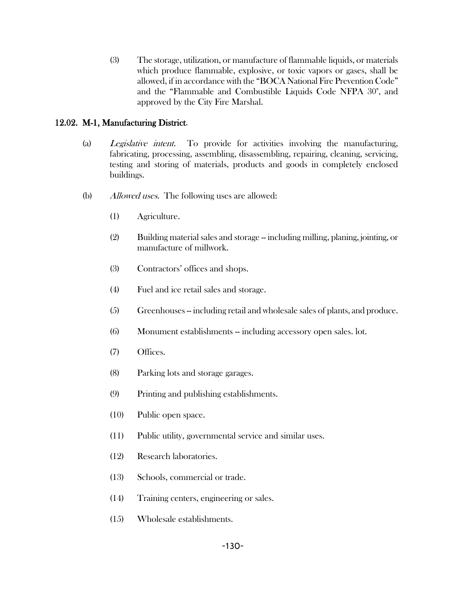(3) The storage, utilization, or manufacture of flammable liquids, or materials which produce flammable, explosive, or toxic vapors or gases, shall be allowed, if in accordance with the "BOCA National Fire Prevention Code" and the "Flammable and Combustible Liquids Code NFPA 30", and approved by the City Fire Marshal.

## 12.02. M-1, Manufacturing District.

- (a) Legislative intent. To provide for activities involving the manufacturing, fabricating, processing, assembling, disassembling, repairing, cleaning, servicing, testing and storing of materials, products and goods in completely enclosed buildings.
- (b) Allowed uses. The following uses are allowed:
	- (1) Agriculture.
	- (2) Building material sales and storage -- including milling, planing, jointing, or manufacture of millwork.
	- (3) Contractors' offices and shops.
	- (4) Fuel and ice retail sales and storage.
	- (5) Greenhouses -- including retail and wholesale sales of plants, and produce.
	- (6) Monument establishments -- including accessory open sales. lot.
	- (7) Offices.
	- (8) Parking lots and storage garages.
	- (9) Printing and publishing establishments.
	- (10) Public open space.
	- (11) Public utility, governmental service and similar uses.
	- (12) Research laboratories.
	- (13) Schools, commercial or trade.
	- (14) Training centers, engineering or sales.
	- (15) Wholesale establishments.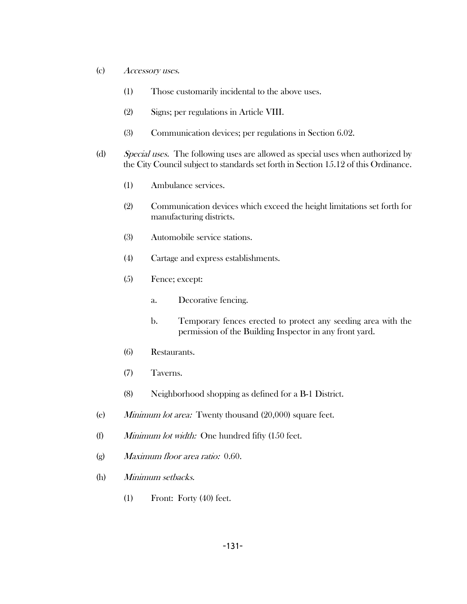- (c) Accessory uses.
	- (1) Those customarily incidental to the above uses.
	- (2) Signs; per regulations in Article VIII.
	- (3) Communication devices; per regulations in Section 6.02.
- (d) Special uses. The following uses are allowed as special uses when authorized by the City Council subject to standards set forth in Section 15.12 of this Ordinance.
	- (1) Ambulance services.
	- (2) Communication devices which exceed the height limitations set forth for manufacturing districts.
	- (3) Automobile service stations.
	- (4) Cartage and express establishments.
	- (5) Fence; except:
		- a. Decorative fencing.
		- b. Temporary fences erected to protect any seeding area with the permission of the Building Inspector in any front yard.
	- (6) Restaurants.
	- (7) Taverns.
	- (8) Neighborhood shopping as defined for a B-1 District.
- (e) Minimum lot area: Twenty thousand (20,000) square feet.
- (f) Minimum lot width: One hundred fifty (150 feet.
- (g) Maximum floor area ratio: 0.60.
- (h) Minimum setbacks.
	- (1) Front: Forty (40) feet.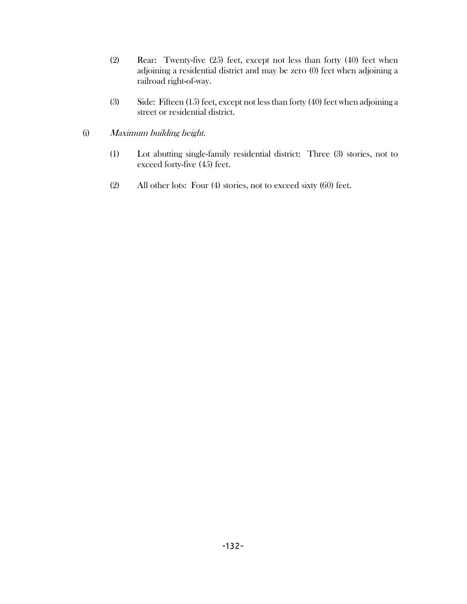- (2) Rear: Twenty-five (25) feet, except not less than forty (40) feet when adjoining a residential district and may be zero (0) feet when adjoining a railroad right-of-way.
- (3) Side: Fifteen (15) feet, except not less than forty (40) feet when adjoining a street or residential district.

## (i) Maximum building height.

- (1) Lot abutting single-family residential district: Three (3) stories, not to exceed forty-five (45) feet.
- (2) All other lots: Four (4) stories, not to exceed sixty (60) feet.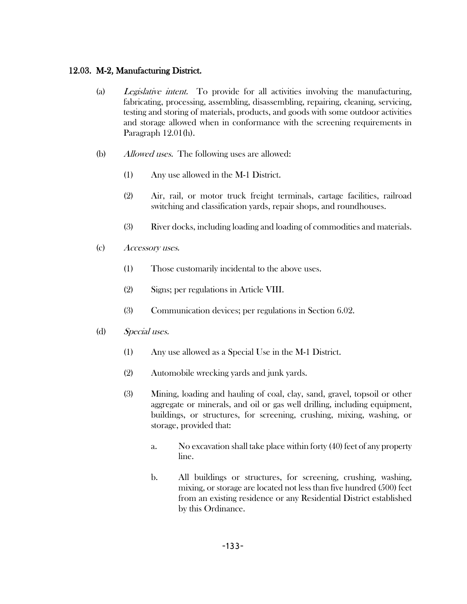## 12.03. M-2, Manufacturing District.

- (a) Legislative intent. To provide for all activities involving the manufacturing, fabricating, processing, assembling, disassembling, repairing, cleaning, servicing, testing and storing of materials, products, and goods with some outdoor activities and storage allowed when in conformance with the screening requirements in Paragraph 12.01(h).
- (b) Allowed uses. The following uses are allowed:
	- (1) Any use allowed in the M-1 District.
	- (2) Air, rail, or motor truck freight terminals, cartage facilities, railroad switching and classification yards, repair shops, and roundhouses.
	- (3) River docks, including loading and loading of commodities and materials.
- (c) Accessory uses.
	- (1) Those customarily incidental to the above uses.
	- (2) Signs; per regulations in Article VIII.
	- (3) Communication devices; per regulations in Section 6.02.
- (d) Special uses.
	- (1) Any use allowed as a Special Use in the M-1 District.
	- (2) Automobile wrecking yards and junk yards.
	- (3) Mining, loading and hauling of coal, clay, sand, gravel, topsoil or other aggregate or minerals, and oil or gas well drilling, including equipment, buildings, or structures, for screening, crushing, mixing, washing, or storage, provided that:
		- a. No excavation shall take place within forty (40) feet of any property line.
		- b. All buildings or structures, for screening, crushing, washing, mixing, or storage are located not less than five hundred (500) feet from an existing residence or any Residential District established by this Ordinance.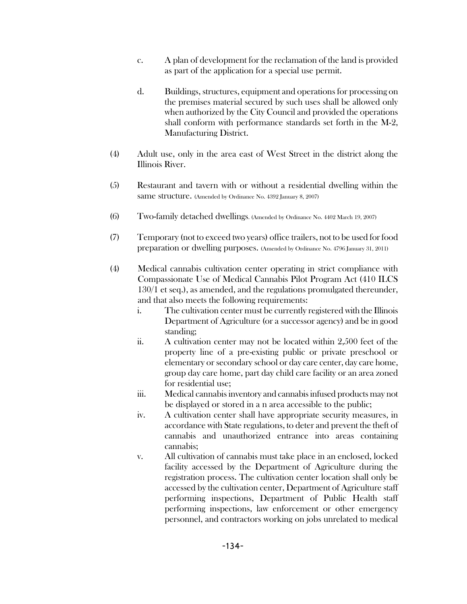- c. A plan of development for the reclamation of the land is provided as part of the application for a special use permit.
- d. Buildings, structures, equipment and operations for processing on the premises material secured by such uses shall be allowed only when authorized by the City Council and provided the operations shall conform with performance standards set forth in the M-2, Manufacturing District.
- (4) Adult use, only in the area east of West Street in the district along the Illinois River.
- (5) Restaurant and tavern with or without a residential dwelling within the same structure. (Amended by Ordinance No. 4392 January 8, 2007)
- (6) Two-family detached dwellings. (Amended by Ordinance No. 4402 March 19, 2007)
- (7) Temporary (not to exceed two years) office trailers, not to be used for food preparation or dwelling purposes. (Amended by Ordinance No. 4796 January 31, 2011)
- (4) Medical cannabis cultivation center operating in strict compliance with Compassionate Use of Medical Cannabis Pilot Program Act (410 ILCS 130/1 et seq.), as amended, and the regulations promulgated thereunder, and that also meets the following requirements:
	- i. The cultivation center must be currently registered with the Illinois Department of Agriculture (or a successor agency) and be in good standing;
	- ii. A cultivation center may not be located within 2,500 feet of the property line of a pre-existing public or private preschool or elementary or secondary school or day care center, day care home, group day care home, part day child care facility or an area zoned for residential use;
	- iii. Medical cannabis inventory and cannabis infused products may not be displayed or stored in a n area accessible to the public;
	- iv. A cultivation center shall have appropriate security measures, in accordance with State regulations, to deter and prevent the theft of cannabis and unauthorized entrance into areas containing cannabis;
	- v. All cultivation of cannabis must take place in an enclosed, locked facility accessed by the Department of Agriculture during the registration process. The cultivation center location shall only be accessed by the cultivation center, Department of Agriculture staff performing inspections, Department of Public Health staff performing inspections, law enforcement or other emergency personnel, and contractors working on jobs unrelated to medical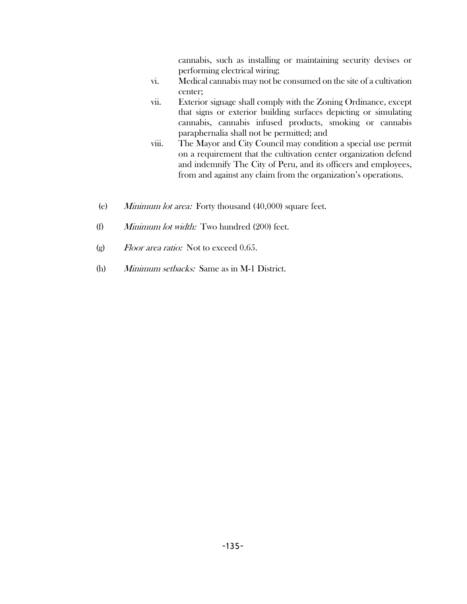cannabis, such as installing or maintaining security devises or performing electrical wiring;

- vi. Medical cannabis may not be consumed on the site of a cultivation center;
- vii. Exterior signage shall comply with the Zoning Ordinance, except that signs or exterior building surfaces depicting or simulating cannabis, cannabis infused products, smoking or cannabis paraphernalia shall not be permitted; and
- viii. The Mayor and City Council may condition a special use permit on a requirement that the cultivation center organization defend and indemnify The City of Peru, and its officers and employees, from and against any claim from the organization's operations.
- (e) Minimum lot area: Forty thousand (40,000) square feet.
- (f) Minimum lot width: Two hundred (200) feet.
- (g)  $Floor\$  area ratio: Not to exceed 0.65.
- (h) Minimum setbacks: Same as in M-1 District.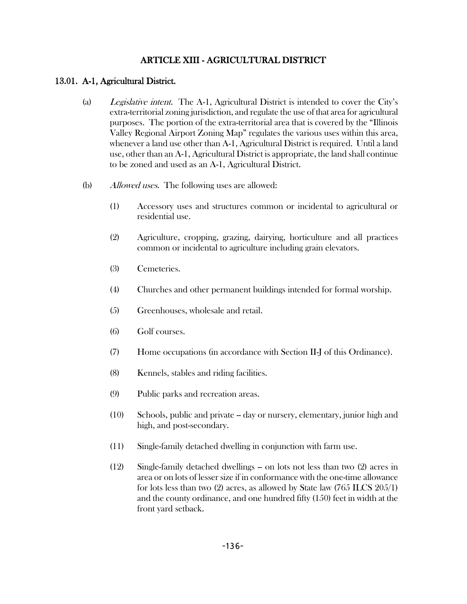# ARTICLE XIII - AGRICULTURAL DISTRICT

### 13.01. A-1, Agricultural District.

- (a) Legislative intent. The A-1, Agricultural District is intended to cover the City's extra-territorial zoning jurisdiction, and regulate the use of that area for agricultural purposes. The portion of the extra-territorial area that is covered by the "Illinois Valley Regional Airport Zoning Map" regulates the various uses within this area, whenever a land use other than A-1, Agricultural District is required. Until a land use, other than an A-1, Agricultural District is appropriate, the land shall continue to be zoned and used as an A-1, Agricultural District.
- (b) Allowed uses. The following uses are allowed:
	- (1) Accessory uses and structures common or incidental to agricultural or residential use.
	- (2) Agriculture, cropping, grazing, dairying, horticulture and all practices common or incidental to agriculture including grain elevators.
	- (3) Cemeteries.
	- (4) Churches and other permanent buildings intended for formal worship.
	- (5) Greenhouses, wholesale and retail.
	- (6) Golf courses.
	- (7) Home occupations (in accordance with Section II-J of this Ordinance).
	- (8) Kennels, stables and riding facilities.
	- (9) Public parks and recreation areas.
	- (10) Schools, public and private -- day or nursery, elementary, junior high and high, and post-secondary.
	- (11) Single-family detached dwelling in conjunction with farm use.
	- (12) Single-family detached dwellings -- on lots not less than two (2) acres in area or on lots of lesser size if in conformance with the one-time allowance for lots less than two (2) acres, as allowed by State law (765 ILCS 205/1) and the county ordinance, and one hundred fifty (150) feet in width at the front yard setback.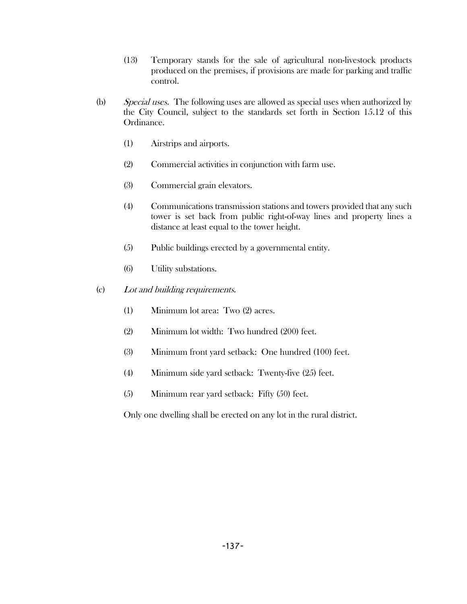- (13) Temporary stands for the sale of agricultural non-livestock products produced on the premises, if provisions are made for parking and traffic control.
- (b) Special uses. The following uses are allowed as special uses when authorized by the City Council, subject to the standards set forth in Section 15.12 of this Ordinance.
	- (1) Airstrips and airports.
	- (2) Commercial activities in conjunction with farm use.
	- (3) Commercial grain elevators.
	- (4) Communications transmission stations and towers provided that any such tower is set back from public right-of-way lines and property lines a distance at least equal to the tower height.
	- (5) Public buildings erected by a governmental entity.
	- (6) Utility substations.
- (c) Lot and building requirements.
	- (1) Minimum lot area: Two (2) acres.
	- (2) Minimum lot width: Two hundred (200) feet.
	- (3) Minimum front yard setback: One hundred (100) feet.
	- (4) Minimum side yard setback: Twenty-five (25) feet.
	- (5) Minimum rear yard setback: Fifty (50) feet.

Only one dwelling shall be erected on any lot in the rural district.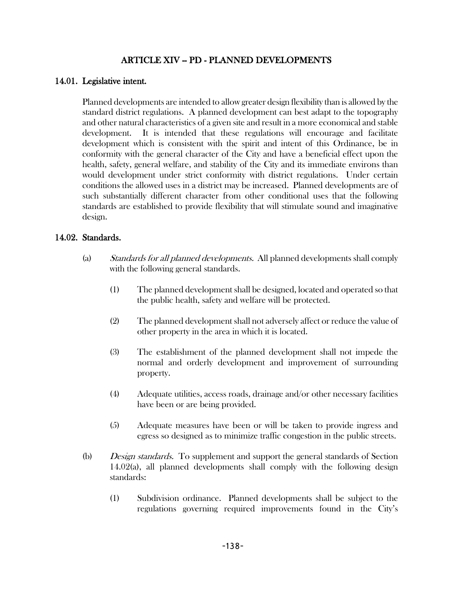### ARTICLE XIV -- PD - PLANNED DEVELOPMENTS

#### 14.01. Legislative intent.

Planned developments are intended to allow greater design flexibility than is allowed by the standard district regulations. A planned development can best adapt to the topography and other natural characteristics of a given site and result in a more economical and stable development. It is intended that these regulations will encourage and facilitate development which is consistent with the spirit and intent of this Ordinance, be in conformity with the general character of the City and have a beneficial effect upon the health, safety, general welfare, and stability of the City and its immediate environs than would development under strict conformity with district regulations. Under certain conditions the allowed uses in a district may be increased. Planned developments are of such substantially different character from other conditional uses that the following standards are established to provide flexibility that will stimulate sound and imaginative design.

#### 14.02. Standards.

- (a) Standards for all planned developments. All planned developments shall comply with the following general standards.
	- (1) The planned development shall be designed, located and operated so that the public health, safety and welfare will be protected.
	- (2) The planned development shall not adversely affect or reduce the value of other property in the area in which it is located.
	- (3) The establishment of the planned development shall not impede the normal and orderly development and improvement of surrounding property.
	- (4) Adequate utilities, access roads, drainage and/or other necessary facilities have been or are being provided.
	- (5) Adequate measures have been or will be taken to provide ingress and egress so designed as to minimize traffic congestion in the public streets.
- (b) Design standards. To supplement and support the general standards of Section 14.02(a), all planned developments shall comply with the following design standards:
	- (1) Subdivision ordinance. Planned developments shall be subject to the regulations governing required improvements found in the City's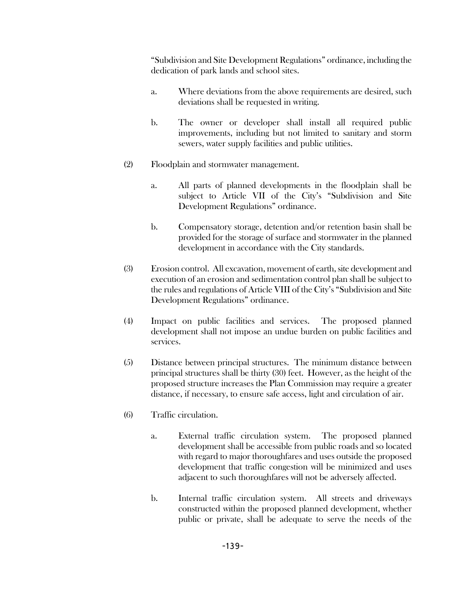"Subdivision and Site Development Regulations" ordinance, including the dedication of park lands and school sites.

- a. Where deviations from the above requirements are desired, such deviations shall be requested in writing.
- b. The owner or developer shall install all required public improvements, including but not limited to sanitary and storm sewers, water supply facilities and public utilities.
- (2) Floodplain and stormwater management.
	- a. All parts of planned developments in the floodplain shall be subject to Article VII of the City's "Subdivision and Site Development Regulations" ordinance.
	- b. Compensatory storage, detention and/or retention basin shall be provided for the storage of surface and stormwater in the planned development in accordance with the City standards.
- (3) Erosion control. All excavation, movement of earth, site development and execution of an erosion and sedimentation control plan shall be subject to the rules and regulations of Article VIII of the City's "Subdivision and Site Development Regulations" ordinance.
- (4) Impact on public facilities and services. The proposed planned development shall not impose an undue burden on public facilities and services.
- (5) Distance between principal structures. The minimum distance between principal structures shall be thirty (30) feet. However, as the height of the proposed structure increases the Plan Commission may require a greater distance, if necessary, to ensure safe access, light and circulation of air.
- (6) Traffic circulation.
	- a. External traffic circulation system. The proposed planned development shall be accessible from public roads and so located with regard to major thoroughfares and uses outside the proposed development that traffic congestion will be minimized and uses adjacent to such thoroughfares will not be adversely affected.
	- b. Internal traffic circulation system. All streets and driveways constructed within the proposed planned development, whether public or private, shall be adequate to serve the needs of the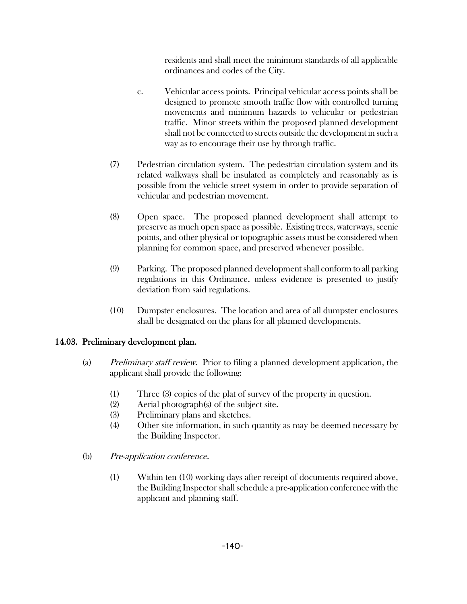residents and shall meet the minimum standards of all applicable ordinances and codes of the City.

- c. Vehicular access points. Principal vehicular access points shall be designed to promote smooth traffic flow with controlled turning movements and minimum hazards to vehicular or pedestrian traffic. Minor streets within the proposed planned development shall not be connected to streets outside the development in such a way as to encourage their use by through traffic.
- (7) Pedestrian circulation system. The pedestrian circulation system and its related walkways shall be insulated as completely and reasonably as is possible from the vehicle street system in order to provide separation of vehicular and pedestrian movement.
- (8) Open space. The proposed planned development shall attempt to preserve as much open space as possible. Existing trees, waterways, scenic points, and other physical or topographic assets must be considered when planning for common space, and preserved whenever possible.
- (9) Parking. The proposed planned development shall conform to all parking regulations in this Ordinance, unless evidence is presented to justify deviation from said regulations.
- (10) Dumpster enclosures. The location and area of all dumpster enclosures shall be designated on the plans for all planned developments.

### 14.03. Preliminary development plan.

- (a) Preliminary staff review. Prior to filing a planned development application, the applicant shall provide the following:
	- (1) Three (3) copies of the plat of survey of the property in question.
	- (2) Aerial photograph(s) of the subject site.
	- (3) Preliminary plans and sketches.
	- (4) Other site information, in such quantity as may be deemed necessary by the Building Inspector.
- (b) Pre-application conference.
	- (1) Within ten (10) working days after receipt of documents required above, the Building Inspector shall schedule a pre-application conference with the applicant and planning staff.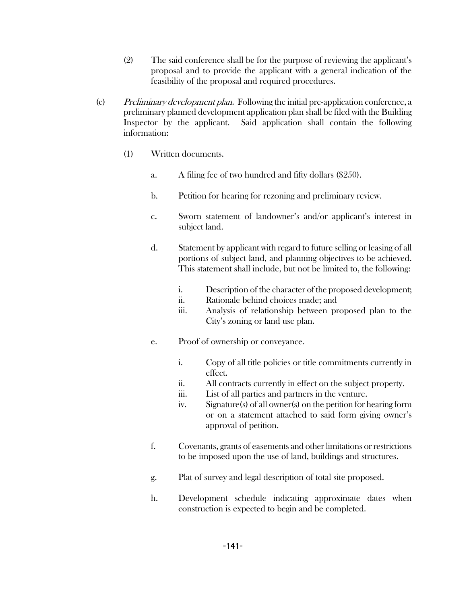- (2) The said conference shall be for the purpose of reviewing the applicant's proposal and to provide the applicant with a general indication of the feasibility of the proposal and required procedures.
- (c) Preliminary development plan. Following the initial pre-application conference, a preliminary planned development application plan shall be filed with the Building Inspector by the applicant. Said application shall contain the following information:
	- (1) Written documents.
		- a. A filing fee of two hundred and fifty dollars (\$250).
		- b. Petition for hearing for rezoning and preliminary review.
		- c. Sworn statement of landowner's and/or applicant's interest in subject land.
		- d. Statement by applicant with regard to future selling or leasing of all portions of subject land, and planning objectives to be achieved. This statement shall include, but not be limited to, the following:
			- i. Description of the character of the proposed development;
			- ii. Rationale behind choices made; and
			- iii. Analysis of relationship between proposed plan to the City's zoning or land use plan.
		- e. Proof of ownership or conveyance.
			- i. Copy of all title policies or title commitments currently in effect.
			- ii. All contracts currently in effect on the subject property.
			- iii. List of all parties and partners in the venture.
			- iv. Signature(s) of all owner(s) on the petition for hearing form or on a statement attached to said form giving owner's approval of petition.
		- f. Covenants, grants of easements and other limitations or restrictions to be imposed upon the use of land, buildings and structures.
		- g. Plat of survey and legal description of total site proposed.
		- h. Development schedule indicating approximate dates when construction is expected to begin and be completed.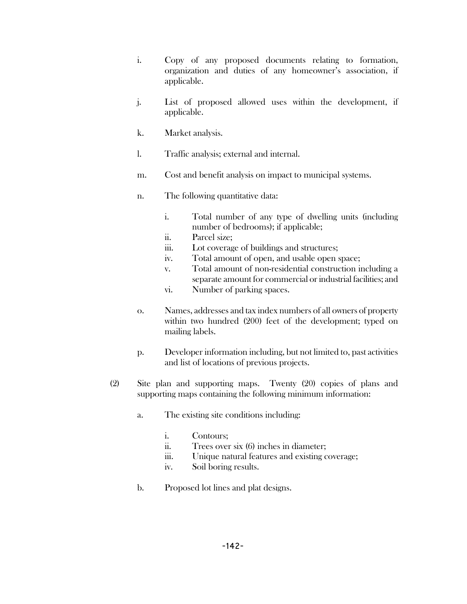- i. Copy of any proposed documents relating to formation, organization and duties of any homeowner's association, if applicable.
- j. List of proposed allowed uses within the development, if applicable.
- k. Market analysis.
- l. Traffic analysis; external and internal.
- m. Cost and benefit analysis on impact to municipal systems.
- n. The following quantitative data:
	- i. Total number of any type of dwelling units (including number of bedrooms); if applicable;
	- ii. Parcel size;
	- iii. Lot coverage of buildings and structures;
	- iv. Total amount of open, and usable open space;
	- v. Total amount of non-residential construction including a separate amount for commercial or industrial facilities; and
	- vi. Number of parking spaces.
- o. Names, addresses and tax index numbers of all owners of property within two hundred (200) feet of the development; typed on mailing labels.
- p. Developer information including, but not limited to, past activities and list of locations of previous projects.
- (2) Site plan and supporting maps. Twenty (20) copies of plans and supporting maps containing the following minimum information:
	- a. The existing site conditions including:
		- i. Contours;
		- ii. Trees over six (6) inches in diameter;
		- iii. Unique natural features and existing coverage;
		- iv. Soil boring results.
	- b. Proposed lot lines and plat designs.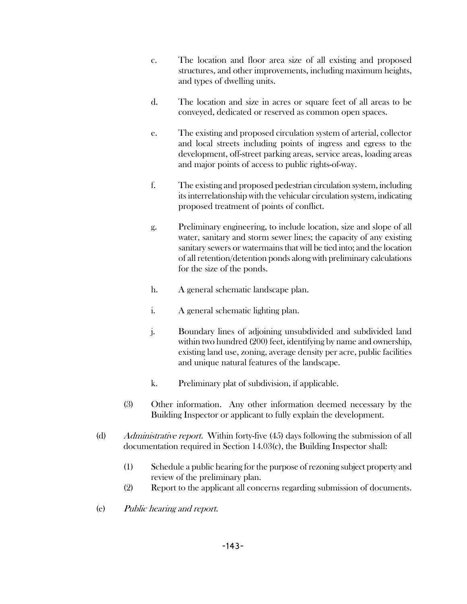- c. The location and floor area size of all existing and proposed structures, and other improvements, including maximum heights, and types of dwelling units.
- d. The location and size in acres or square feet of all areas to be conveyed, dedicated or reserved as common open spaces.
- e. The existing and proposed circulation system of arterial, collector and local streets including points of ingress and egress to the development, off-street parking areas, service areas, loading areas and major points of access to public rights-of-way.
- f. The existing and proposed pedestrian circulation system, including its interrelationship with the vehicular circulation system, indicating proposed treatment of points of conflict.
- g. Preliminary engineering, to include location, size and slope of all water, sanitary and storm sewer lines; the capacity of any existing sanitary sewers or watermains that will be tied into; and the location of all retention/detention ponds along with preliminary calculations for the size of the ponds.
- h. A general schematic landscape plan.
- i. A general schematic lighting plan.
- j. Boundary lines of adjoining unsubdivided and subdivided land within two hundred (200) feet, identifying by name and ownership, existing land use, zoning, average density per acre, public facilities and unique natural features of the landscape.
- k. Preliminary plat of subdivision, if applicable.
- (3) Other information. Any other information deemed necessary by the Building Inspector or applicant to fully explain the development.
- (d) Administrative report. Within forty-five (45) days following the submission of all documentation required in Section 14.03(c), the Building Inspector shall:
	- (1) Schedule a public hearing for the purpose of rezoning subject property and review of the preliminary plan.
	- (2) Report to the applicant all concerns regarding submission of documents.
- (e) Public hearing and report.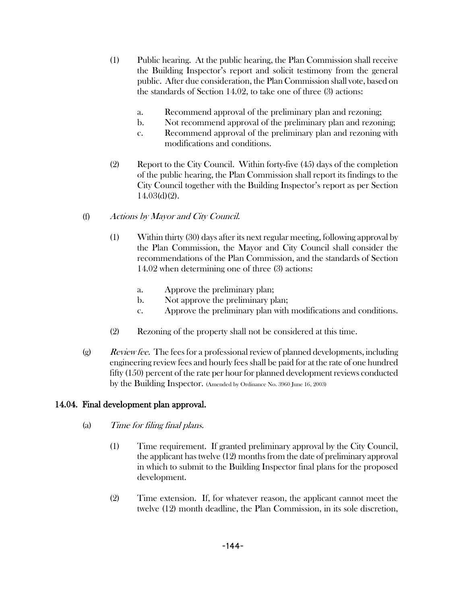- (1) Public hearing. At the public hearing, the Plan Commission shall receive the Building Inspector's report and solicit testimony from the general public. After due consideration, the Plan Commission shall vote, based on the standards of Section 14.02, to take one of three (3) actions:
	- a. Recommend approval of the preliminary plan and rezoning;
	- b. Not recommend approval of the preliminary plan and rezoning;
	- c. Recommend approval of the preliminary plan and rezoning with modifications and conditions.
- (2) Report to the City Council. Within forty-five (45) days of the completion of the public hearing, the Plan Commission shall report its findings to the City Council together with the Building Inspector's report as per Section 14.03(d)(2).

### (f) Actions by Mayor and City Council.

- (1) Within thirty (30) days after its next regular meeting, following approval by the Plan Commission, the Mayor and City Council shall consider the recommendations of the Plan Commission, and the standards of Section 14.02 when determining one of three (3) actions:
	- a. Approve the preliminary plan;
	- b. Not approve the preliminary plan;
	- c. Approve the preliminary plan with modifications and conditions.
- (2) Rezoning of the property shall not be considered at this time.
- $(g)$  Review fee. The fees for a professional review of planned developments, including engineering review fees and hourly fees shall be paid for at the rate of one hundred fifty (150) percent of the rate per hour for planned development reviews conducted by the Building Inspector. (Amended by Ordinance No. 3960 June 16, 2003)

## 14.04. Final development plan approval.

- (a) Time for filing final plans.
	- (1) Time requirement. If granted preliminary approval by the City Council, the applicant has twelve (12) months from the date of preliminary approval in which to submit to the Building Inspector final plans for the proposed development.
	- (2) Time extension. If, for whatever reason, the applicant cannot meet the twelve (12) month deadline, the Plan Commission, in its sole discretion,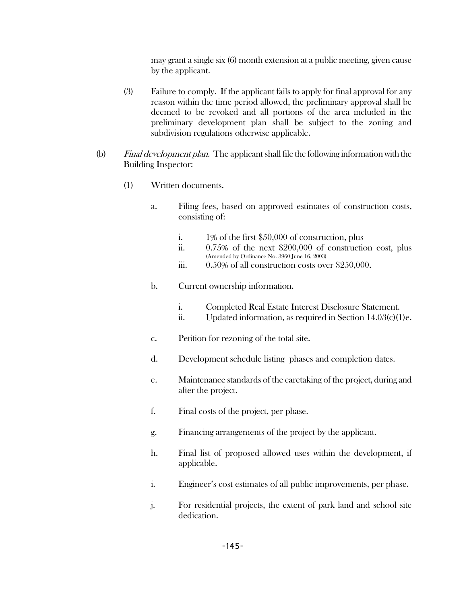may grant a single six (6) month extension at a public meeting, given cause by the applicant.

- (3) Failure to comply. If the applicant fails to apply for final approval for any reason within the time period allowed, the preliminary approval shall be deemed to be revoked and all portions of the area included in the preliminary development plan shall be subject to the zoning and subdivision regulations otherwise applicable.
- (b) Final development plan. The applicant shall file the following information with the Building Inspector:
	- (1) Written documents.
		- a. Filing fees, based on approved estimates of construction costs, consisting of:
			- i. 1% of the first \$50,000 of construction, plus
			- ii. 0.75% of the next \$200,000 of construction cost, plus (Amended by Ordinance No. 3960 June 16, 2003)
			- iii. 0.50% of all construction costs over \$250,000.
		- b. Current ownership information.
			- i. Completed Real Estate Interest Disclosure Statement.
			- ii. Updated information, as required in Section 14.03(c)(1)e.
		- c. Petition for rezoning of the total site.
		- d. Development schedule listing phases and completion dates.
		- e. Maintenance standards of the caretaking of the project, during and after the project.
		- f. Final costs of the project, per phase.
		- g. Financing arrangements of the project by the applicant.
		- h. Final list of proposed allowed uses within the development, if applicable.
		- i. Engineer's cost estimates of all public improvements, per phase.
		- j. For residential projects, the extent of park land and school site dedication.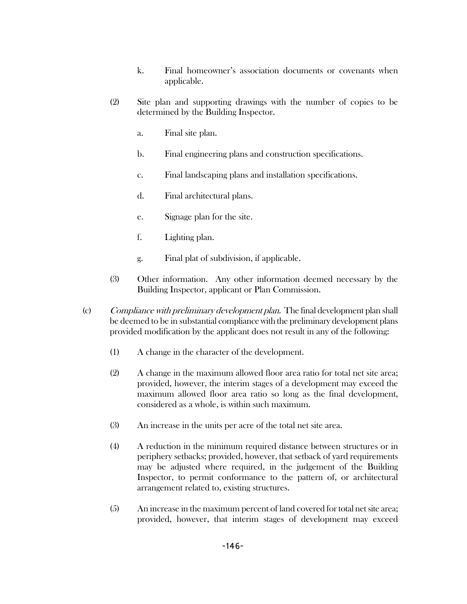- k. Final homeowner's association documents or covenants when applicable.
- (2) Site plan and supporting drawings with the number of copies to be determined by the Building Inspector.
	- a. Final site plan.
	- b. Final engineering plans and construction specifications.
	- c. Final landscaping plans and installation specifications.
	- d. Final architectural plans.
	- e. Signage plan for the site.
	- f. Lighting plan.
	- g. Final plat of subdivision, if applicable.
- (3) Other information. Any other information deemed necessary by the Building Inspector, applicant or Plan Commission.
- (c) Compliance with preliminary development plan. The final development plan shall be deemed to be in substantial compliance with the preliminary development plans provided modification by the applicant does not result in any of the following:
	- (1) A change in the character of the development.
	- (2) A change in the maximum allowed floor area ratio for total net site area; provided, however, the interim stages of a development may exceed the maximum allowed floor area ratio so long as the final development, considered as a whole, is within such maximum.
	- (3) An increase in the units per acre of the total net site area.
	- (4) A reduction in the minimum required distance between structures or in periphery setbacks; provided, however, that setback of yard requirements may be adjusted where required, in the judgement of the Building Inspector, to permit conformance to the pattern of, or architectural arrangement related to, existing structures.
	- (5) An increase in the maximum percent of land covered for total net site area; provided, however, that interim stages of development may exceed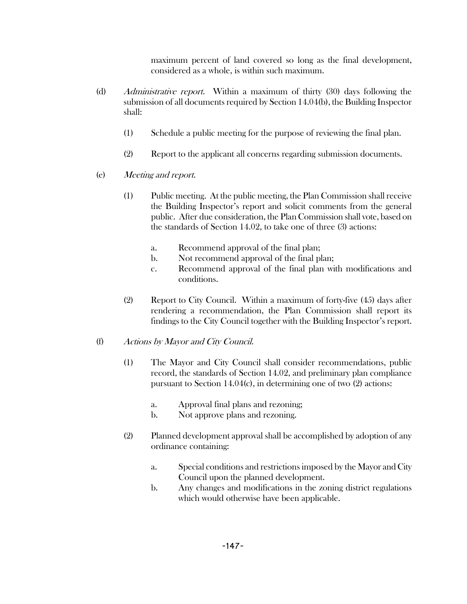maximum percent of land covered so long as the final development, considered as a whole, is within such maximum.

- (d) Administrative report. Within a maximum of thirty (30) days following the submission of all documents required by Section 14.04(b), the Building Inspector shall:
	- (1) Schedule a public meeting for the purpose of reviewing the final plan.
	- (2) Report to the applicant all concerns regarding submission documents.
- (e) Meeting and report.
	- (1) Public meeting. At the public meeting, the Plan Commission shall receive the Building Inspector's report and solicit comments from the general public. After due consideration, the Plan Commission shall vote, based on the standards of Section 14.02, to take one of three (3) actions:
		- a. Recommend approval of the final plan;
		- b. Not recommend approval of the final plan;
		- c. Recommend approval of the final plan with modifications and conditions.
	- (2) Report to City Council. Within a maximum of forty-five (45) days after rendering a recommendation, the Plan Commission shall report its findings to the City Council together with the Building Inspector's report.
- (f) Actions by Mayor and City Council.
	- (1) The Mayor and City Council shall consider recommendations, public record, the standards of Section 14.02, and preliminary plan compliance pursuant to Section 14.04(c), in determining one of two (2) actions:
		- a. Approval final plans and rezoning;
		- b. Not approve plans and rezoning.
	- (2) Planned development approval shall be accomplished by adoption of any ordinance containing:
		- a. Special conditions and restrictions imposed by the Mayor and City Council upon the planned development.
		- b. Any changes and modifications in the zoning district regulations which would otherwise have been applicable.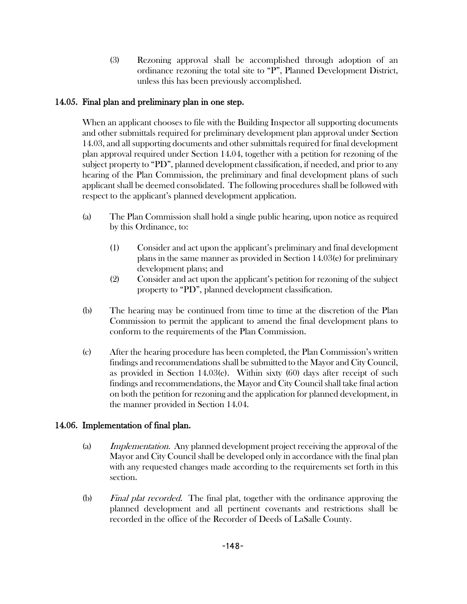(3) Rezoning approval shall be accomplished through adoption of an ordinance rezoning the total site to "P", Planned Development District, unless this has been previously accomplished.

## 14.05. Final plan and preliminary plan in one step.

When an applicant chooses to file with the Building Inspector all supporting documents and other submittals required for preliminary development plan approval under Section 14.03, and all supporting documents and other submittals required for final development plan approval required under Section 14.04, together with a petition for rezoning of the subject property to "PD", planned development classification, if needed, and prior to any hearing of the Plan Commission, the preliminary and final development plans of such applicant shall be deemed consolidated. The following procedures shall be followed with respect to the applicant's planned development application.

- (a) The Plan Commission shall hold a single public hearing, upon notice as required by this Ordinance, to:
	- (1) Consider and act upon the applicant's preliminary and final development plans in the same manner as provided in Section 14.03(e) for preliminary development plans; and
	- (2) Consider and act upon the applicant's petition for rezoning of the subject property to "PD", planned development classification.
- (b) The hearing may be continued from time to time at the discretion of the Plan Commission to permit the applicant to amend the final development plans to conform to the requirements of the Plan Commission.
- (c) After the hearing procedure has been completed, the Plan Commission's written findings and recommendations shall be submitted to the Mayor and City Council, as provided in Section 14.03(e). Within sixty  $(60)$  days after receipt of such findings and recommendations, the Mayor and City Council shall take final action on both the petition for rezoning and the application for planned development, in the manner provided in Section 14.04.

# 14.06. Implementation of final plan.

- (a) Implementation. Any planned development project receiving the approval of the Mayor and City Council shall be developed only in accordance with the final plan with any requested changes made according to the requirements set forth in this section.
- (b) Final plat recorded. The final plat, together with the ordinance approving the planned development and all pertinent covenants and restrictions shall be recorded in the office of the Recorder of Deeds of LaSalle County.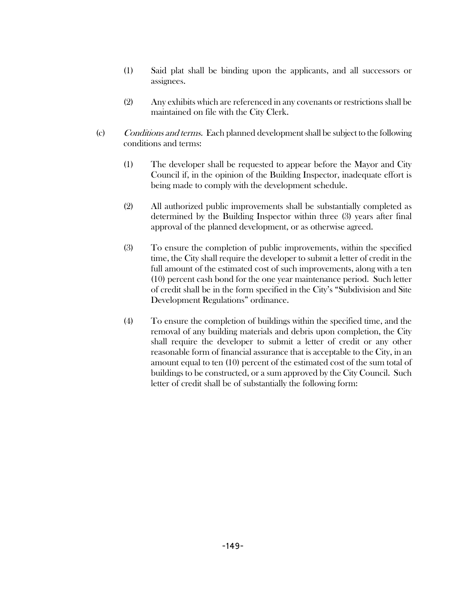- (1) Said plat shall be binding upon the applicants, and all successors or assignees.
- (2) Any exhibits which are referenced in any covenants or restrictions shall be maintained on file with the City Clerk.
- (c) Conditions and terms. Each planned development shall be subject to the following conditions and terms:
	- (1) The developer shall be requested to appear before the Mayor and City Council if, in the opinion of the Building Inspector, inadequate effort is being made to comply with the development schedule.
	- (2) All authorized public improvements shall be substantially completed as determined by the Building Inspector within three (3) years after final approval of the planned development, or as otherwise agreed.
	- (3) To ensure the completion of public improvements, within the specified time, the City shall require the developer to submit a letter of credit in the full amount of the estimated cost of such improvements, along with a ten (10) percent cash bond for the one year maintenance period. Such letter of credit shall be in the form specified in the City's "Subdivision and Site Development Regulations" ordinance.
	- (4) To ensure the completion of buildings within the specified time, and the removal of any building materials and debris upon completion, the City shall require the developer to submit a letter of credit or any other reasonable form of financial assurance that is acceptable to the City, in an amount equal to ten (10) percent of the estimated cost of the sum total of buildings to be constructed, or a sum approved by the City Council. Such letter of credit shall be of substantially the following form: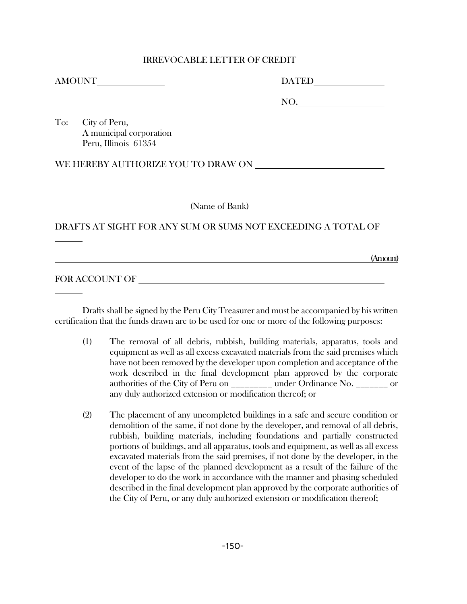#### IRREVOCABLE LETTER OF CREDIT

AMOUNT THE MUNICIPALITY OF A SET OF A SET OF A SET OF A SET OF A SET OF A SET OF A SET OF A SET OF A SET OF A SET OF A SET OF A SET OF A SET OF A SET OF A SET OF A SET OF A SET OF A SET OF A SET OF A SET OF A SET OF A SET

| <b>DATED</b> |  |
|--------------|--|
|              |  |

NO.

To: City of Peru, A municipal corporation Peru, Illinois 61354

WE HEREBY AUTHORIZE YOU TO DRAW ON

(Name of Bank)

#### DRAFTS AT SIGHT FOR ANY SUM OR SUMS NOT EXCEEDING A TOTAL OF

(Amount)

## FOR ACCOUNT OF

Drafts shall be signed by the Peru City Treasurer and must be accompanied by his written certification that the funds drawn are to be used for one or more of the following purposes:

- (1) The removal of all debris, rubbish, building materials, apparatus, tools and equipment as well as all excess excavated materials from the said premises which have not been removed by the developer upon completion and acceptance of the work described in the final development plan approved by the corporate authorities of the City of Peru on \_\_\_\_\_\_\_\_\_ under Ordinance No. \_\_\_\_\_\_\_ or any duly authorized extension or modification thereof; or
- (2) The placement of any uncompleted buildings in a safe and secure condition or demolition of the same, if not done by the developer, and removal of all debris, rubbish, building materials, including foundations and partially constructed portions of buildings, and all apparatus, tools and equipment, as well as all excess excavated materials from the said premises, if not done by the developer, in the event of the lapse of the planned development as a result of the failure of the developer to do the work in accordance with the manner and phasing scheduled described in the final development plan approved by the corporate authorities of the City of Peru, or any duly authorized extension or modification thereof;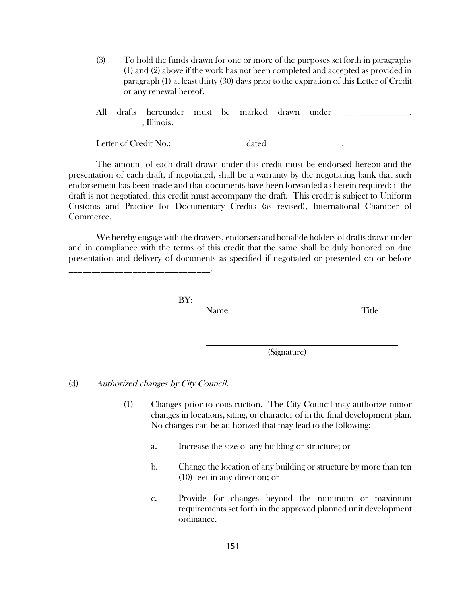(3) To hold the funds drawn for one or more of the purposes set forth in paragraphs (1) and (2) above if the work has not been completed and accepted as provided in paragraph (1) at least thirty (30) days prior to the expiration of this Letter of Credit or any renewal hereof.

| All | drafts | hereunder | must be | marked – | drawn | under |  |
|-----|--------|-----------|---------|----------|-------|-------|--|
|     |        | Illinois. |         |          |       |       |  |

Letter of Credit No.: dated  $\qquad \qquad$  .

The amount of each draft drawn under this credit must be endorsed hereon and the presentation of each draft, if negotiated, shall be a warranty by the negotiating bank that such endorsement has been made and that documents have been forwarded as herein required; if the draft is not negotiated, this credit must accompany the draft. This credit is subject to Uniform Customs and Practice for Documentary Credits (as revised), International Chamber of Commerce.

We hereby engage with the drawers, endorsers and bonafide holders of drafts drawn under and in compliance with the terms of this credit that the same shall be duly honored on due presentation and delivery of documents as specified if negotiated or presented on or before

BY:

Name Title

(Signature)

#### (d) Authorized changes by City Council.

\_\_\_\_\_\_\_\_\_\_\_\_\_\_\_\_\_\_\_\_\_\_\_\_\_\_\_\_\_\_\_.

- (1) Changes prior to construction. The City Council may authorize minor changes in locations, siting, or character of in the final development plan. No changes can be authorized that may lead to the following:
	- a. Increase the size of any building or structure; or
	- b. Change the location of any building or structure by more than ten (10) feet in any direction; or
	- c. Provide for changes beyond the minimum or maximum requirements set forth in the approved planned unit development ordinance.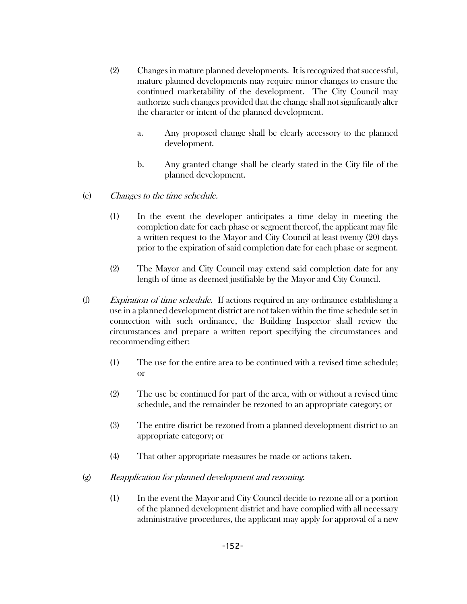- (2) Changes in mature planned developments. It is recognized that successful, mature planned developments may require minor changes to ensure the continued marketability of the development. The City Council may authorize such changes provided that the change shall not significantly alter the character or intent of the planned development.
	- a. Any proposed change shall be clearly accessory to the planned development.
	- b. Any granted change shall be clearly stated in the City file of the planned development.
- (e) Changes to the time schedule.
	- (1) In the event the developer anticipates a time delay in meeting the completion date for each phase or segment thereof, the applicant may file a written request to the Mayor and City Council at least twenty (20) days prior to the expiration of said completion date for each phase or segment.
	- (2) The Mayor and City Council may extend said completion date for any length of time as deemed justifiable by the Mayor and City Council.
- (f) Expiration of time schedule. If actions required in any ordinance establishing a use in a planned development district are not taken within the time schedule set in connection with such ordinance, the Building Inspector shall review the circumstances and prepare a written report specifying the circumstances and recommending either:
	- (1) The use for the entire area to be continued with a revised time schedule; or
	- (2) The use be continued for part of the area, with or without a revised time schedule, and the remainder be rezoned to an appropriate category; or
	- (3) The entire district be rezoned from a planned development district to an appropriate category; or
	- (4) That other appropriate measures be made or actions taken.
- (g) Reapplication for planned development and rezoning.
	- (1) In the event the Mayor and City Council decide to rezone all or a portion of the planned development district and have complied with all necessary administrative procedures, the applicant may apply for approval of a new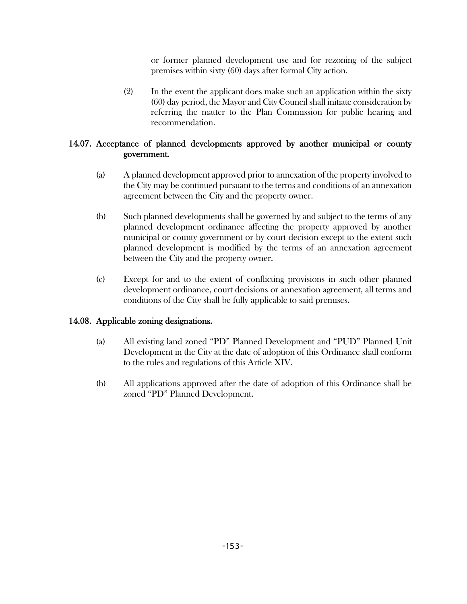or former planned development use and for rezoning of the subject premises within sixty (60) days after formal City action.

(2) In the event the applicant does make such an application within the sixty (60) day period, the Mayor and City Council shall initiate consideration by referring the matter to the Plan Commission for public hearing and recommendation.

### 14.07. Acceptance of planned developments approved by another municipal or county government.

- (a) A planned development approved prior to annexation of the property involved to the City may be continued pursuant to the terms and conditions of an annexation agreement between the City and the property owner.
- (b) Such planned developments shall be governed by and subject to the terms of any planned development ordinance affecting the property approved by another municipal or county government or by court decision except to the extent such planned development is modified by the terms of an annexation agreement between the City and the property owner.
- (c) Except for and to the extent of conflicting provisions in such other planned development ordinance, court decisions or annexation agreement, all terms and conditions of the City shall be fully applicable to said premises.

### 14.08. Applicable zoning designations.

- (a) All existing land zoned "PD" Planned Development and "PUD" Planned Unit Development in the City at the date of adoption of this Ordinance shall conform to the rules and regulations of this Article XIV.
- (b) All applications approved after the date of adoption of this Ordinance shall be zoned "PD" Planned Development.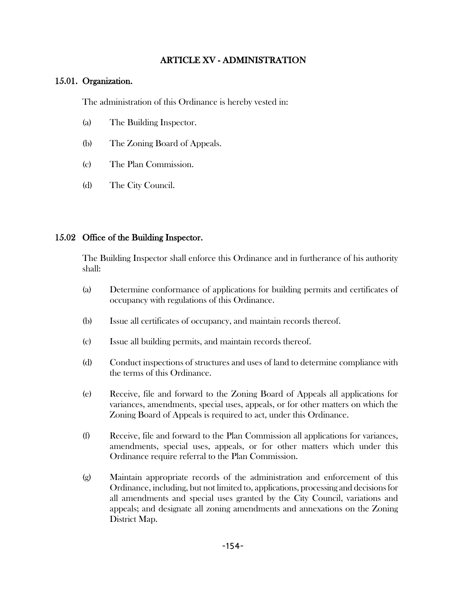### ARTICLE XV - ADMINISTRATION

#### 15.01. Organization.

The administration of this Ordinance is hereby vested in:

- (a) The Building Inspector.
- (b) The Zoning Board of Appeals.
- (c) The Plan Commission.
- (d) The City Council.

#### 15.02 Office of the Building Inspector.

The Building Inspector shall enforce this Ordinance and in furtherance of his authority shall:

- (a) Determine conformance of applications for building permits and certificates of occupancy with regulations of this Ordinance.
- (b) Issue all certificates of occupancy, and maintain records thereof.
- (c) Issue all building permits, and maintain records thereof.
- (d) Conduct inspections of structures and uses of land to determine compliance with the terms of this Ordinance.
- (e) Receive, file and forward to the Zoning Board of Appeals all applications for variances, amendments, special uses, appeals, or for other matters on which the Zoning Board of Appeals is required to act, under this Ordinance.
- (f) Receive, file and forward to the Plan Commission all applications for variances, amendments, special uses, appeals, or for other matters which under this Ordinance require referral to the Plan Commission.
- (g) Maintain appropriate records of the administration and enforcement of this Ordinance, including, but not limited to, applications, processing and decisions for all amendments and special uses granted by the City Council, variations and appeals; and designate all zoning amendments and annexations on the Zoning District Map.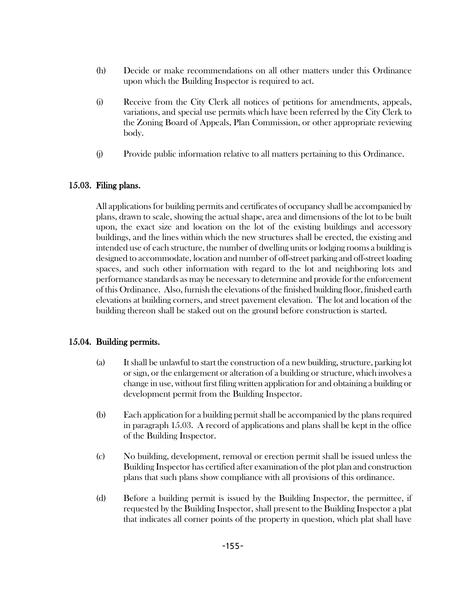- (h) Decide or make recommendations on all other matters under this Ordinance upon which the Building Inspector is required to act.
- (i) Receive from the City Clerk all notices of petitions for amendments, appeals, variations, and special use permits which have been referred by the City Clerk to the Zoning Board of Appeals, Plan Commission, or other appropriate reviewing body.
- (j) Provide public information relative to all matters pertaining to this Ordinance.

### 15.03. Filing plans.

All applications for building permits and certificates of occupancy shall be accompanied by plans, drawn to scale, showing the actual shape, area and dimensions of the lot to be built upon, the exact size and location on the lot of the existing buildings and accessory buildings, and the lines within which the new structures shall be erected, the existing and intended use of each structure, the number of dwelling units or lodging rooms a building is designed to accommodate, location and number of off-street parking and off-street loading spaces, and such other information with regard to the lot and neighboring lots and performance standards as may be necessary to determine and provide for the enforcement of this Ordinance. Also, furnish the elevations of the finished building floor, finished earth elevations at building corners, and street pavement elevation. The lot and location of the building thereon shall be staked out on the ground before construction is started.

### 15.04. Building permits.

- (a) It shall be unlawful to start the construction of a new building, structure, parking lot or sign, or the enlargement or alteration of a building or structure, which involves a change in use, without first filing written application for and obtaining a building or development permit from the Building Inspector.
- (b) Each application for a building permit shall be accompanied by the plans required in paragraph 15.03. A record of applications and plans shall be kept in the office of the Building Inspector.
- (c) No building, development, removal or erection permit shall be issued unless the Building Inspector has certified after examination of the plot plan and construction plans that such plans show compliance with all provisions of this ordinance.
- (d) Before a building permit is issued by the Building Inspector, the permittee, if requested by the Building Inspector, shall present to the Building Inspector a plat that indicates all corner points of the property in question, which plat shall have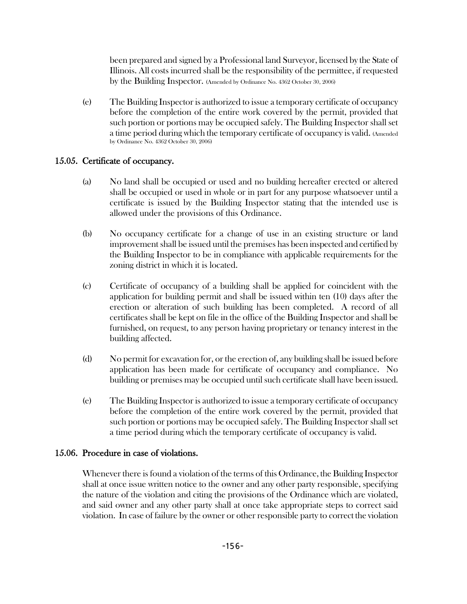been prepared and signed by a Professional land Surveyor, licensed by the State of Illinois. All costs incurred shall be the responsibility of the permittee, if requested by the Building Inspector. (Amended by Ordinance No. 4362 October 30, 2006)

(e) The Building Inspector is authorized to issue a temporary certificate of occupancy before the completion of the entire work covered by the permit, provided that such portion or portions may be occupied safely. The Building Inspector shall set a time period during which the temporary certificate of occupancy is valid. (Amended by Ordinance No. 4362 October 30, 2006)

### 15.05. Certificate of occupancy.

- (a) No land shall be occupied or used and no building hereafter erected or altered shall be occupied or used in whole or in part for any purpose whatsoever until a certificate is issued by the Building Inspector stating that the intended use is allowed under the provisions of this Ordinance.
- (b) No occupancy certificate for a change of use in an existing structure or land improvement shall be issued until the premises has been inspected and certified by the Building Inspector to be in compliance with applicable requirements for the zoning district in which it is located.
- (c) Certificate of occupancy of a building shall be applied for coincident with the application for building permit and shall be issued within ten (10) days after the erection or alteration of such building has been completed. A record of all certificates shall be kept on file in the office of the Building Inspector and shall be furnished, on request, to any person having proprietary or tenancy interest in the building affected.
- (d) No permit for excavation for, or the erection of, any building shall be issued before application has been made for certificate of occupancy and compliance. No building or premises may be occupied until such certificate shall have been issued.
- (e) The Building Inspector is authorized to issue a temporary certificate of occupancy before the completion of the entire work covered by the permit, provided that such portion or portions may be occupied safely. The Building Inspector shall set a time period during which the temporary certificate of occupancy is valid.

## 15.06. Procedure in case of violations.

Whenever there is found a violation of the terms of this Ordinance, the Building Inspector shall at once issue written notice to the owner and any other party responsible, specifying the nature of the violation and citing the provisions of the Ordinance which are violated, and said owner and any other party shall at once take appropriate steps to correct said violation. In case of failure by the owner or other responsible party to correct the violation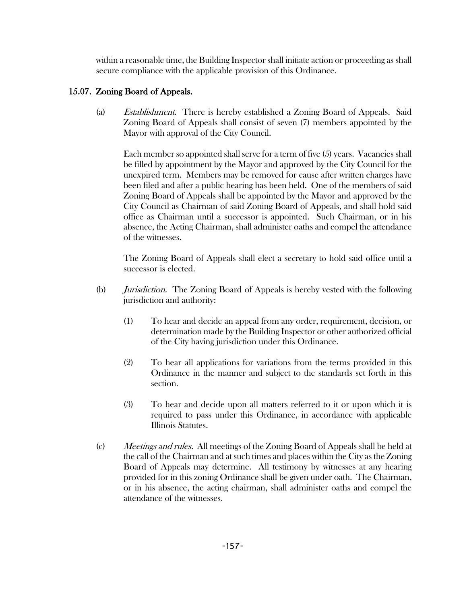within a reasonable time, the Building Inspector shall initiate action or proceeding as shall secure compliance with the applicable provision of this Ordinance.

### 15.07. Zoning Board of Appeals.

(a) Establishment. There is hereby established a Zoning Board of Appeals. Said Zoning Board of Appeals shall consist of seven (7) members appointed by the Mayor with approval of the City Council.

Each member so appointed shall serve for a term of five (5) years. Vacancies shall be filled by appointment by the Mayor and approved by the City Council for the unexpired term. Members may be removed for cause after written charges have been filed and after a public hearing has been held. One of the members of said Zoning Board of Appeals shall be appointed by the Mayor and approved by the City Council as Chairman of said Zoning Board of Appeals, and shall hold said office as Chairman until a successor is appointed. Such Chairman, or in his absence, the Acting Chairman, shall administer oaths and compel the attendance of the witnesses.

The Zoning Board of Appeals shall elect a secretary to hold said office until a successor is elected.

- (b) Jurisdiction. The Zoning Board of Appeals is hereby vested with the following jurisdiction and authority:
	- (1) To hear and decide an appeal from any order, requirement, decision, or determination made by the Building Inspector or other authorized official of the City having jurisdiction under this Ordinance.
	- (2) To hear all applications for variations from the terms provided in this Ordinance in the manner and subject to the standards set forth in this section.
	- (3) To hear and decide upon all matters referred to it or upon which it is required to pass under this Ordinance, in accordance with applicable Illinois Statutes.
- (c) Meetings and rules. All meetings of the Zoning Board of Appeals shall be held at the call of the Chairman and at such times and places within the City as the Zoning Board of Appeals may determine. All testimony by witnesses at any hearing provided for in this zoning Ordinance shall be given under oath. The Chairman, or in his absence, the acting chairman, shall administer oaths and compel the attendance of the witnesses.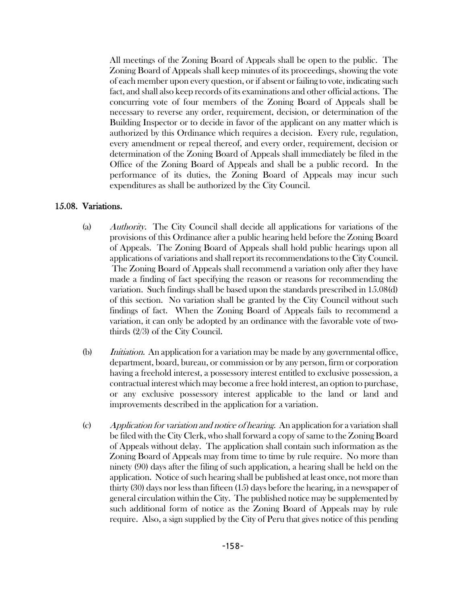All meetings of the Zoning Board of Appeals shall be open to the public. The Zoning Board of Appeals shall keep minutes of its proceedings, showing the vote of each member upon every question, or if absent or failing to vote, indicating such fact, and shall also keep records of its examinations and other official actions. The concurring vote of four members of the Zoning Board of Appeals shall be necessary to reverse any order, requirement, decision, or determination of the Building Inspector or to decide in favor of the applicant on any matter which is authorized by this Ordinance which requires a decision. Every rule, regulation, every amendment or repeal thereof, and every order, requirement, decision or determination of the Zoning Board of Appeals shall immediately be filed in the Office of the Zoning Board of Appeals and shall be a public record. In the performance of its duties, the Zoning Board of Appeals may incur such expenditures as shall be authorized by the City Council.

#### 15.08. Variations.

- (a) Authority. The City Council shall decide all applications for variations of the provisions of this Ordinance after a public hearing held before the Zoning Board of Appeals. The Zoning Board of Appeals shall hold public hearings upon all applications of variations and shall report its recommendations to the City Council. The Zoning Board of Appeals shall recommend a variation only after they have made a finding of fact specifying the reason or reasons for recommending the variation. Such findings shall be based upon the standards prescribed in 15.08(d) of this section. No variation shall be granted by the City Council without such findings of fact. When the Zoning Board of Appeals fails to recommend a variation, it can only be adopted by an ordinance with the favorable vote of twothirds (2/3) of the City Council.
- (b) *Initiation.* An application for a variation may be made by any governmental office, department, board, bureau, or commission or by any person, firm or corporation having a freehold interest, a possessory interest entitled to exclusive possession, a contractual interest which may become a free hold interest, an option to purchase, or any exclusive possessory interest applicable to the land or land and improvements described in the application for a variation.
- (c) Application for variation and notice of hearing. An application for a variation shall be filed with the City Clerk, who shall forward a copy of same to the Zoning Board of Appeals without delay. The application shall contain such information as the Zoning Board of Appeals may from time to time by rule require. No more than ninety (90) days after the filing of such application, a hearing shall be held on the application. Notice of such hearing shall be published at least once, not more than thirty (30) days nor less than fifteen (15) days before the hearing, in a newspaper of general circulation within the City. The published notice may be supplemented by such additional form of notice as the Zoning Board of Appeals may by rule require. Also, a sign supplied by the City of Peru that gives notice of this pending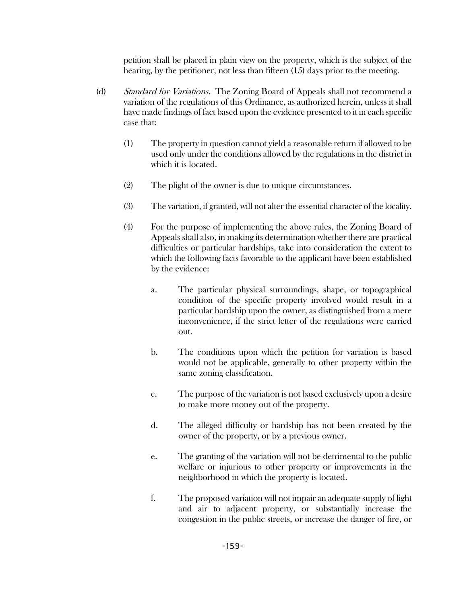petition shall be placed in plain view on the property, which is the subject of the hearing, by the petitioner, not less than fifteen (15) days prior to the meeting.

- (d) Standard for Variations. The Zoning Board of Appeals shall not recommend a variation of the regulations of this Ordinance, as authorized herein, unless it shall have made findings of fact based upon the evidence presented to it in each specific case that:
	- (1) The property in question cannot yield a reasonable return if allowed to be used only under the conditions allowed by the regulations in the district in which it is located.
	- (2) The plight of the owner is due to unique circumstances.
	- (3) The variation, if granted, will not alter the essential character of the locality.
	- (4) For the purpose of implementing the above rules, the Zoning Board of Appeals shall also, in making its determination whether there are practical difficulties or particular hardships, take into consideration the extent to which the following facts favorable to the applicant have been established by the evidence:
		- a. The particular physical surroundings, shape, or topographical condition of the specific property involved would result in a particular hardship upon the owner, as distinguished from a mere inconvenience, if the strict letter of the regulations were carried out.
		- b. The conditions upon which the petition for variation is based would not be applicable, generally to other property within the same zoning classification.
		- c. The purpose of the variation is not based exclusively upon a desire to make more money out of the property.
		- d. The alleged difficulty or hardship has not been created by the owner of the property, or by a previous owner.
		- e. The granting of the variation will not be detrimental to the public welfare or injurious to other property or improvements in the neighborhood in which the property is located.
		- f. The proposed variation will not impair an adequate supply of light and air to adjacent property, or substantially increase the congestion in the public streets, or increase the danger of fire, or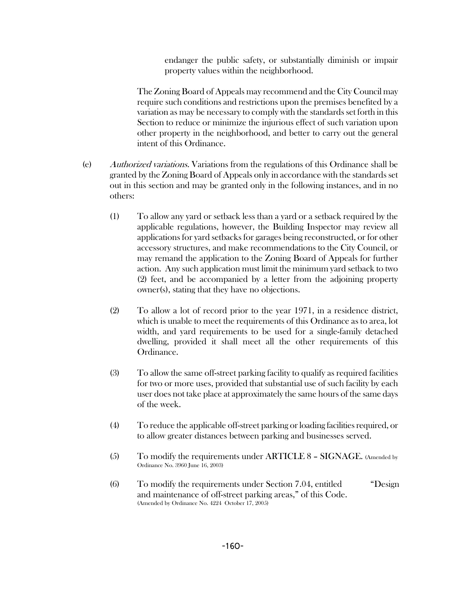endanger the public safety, or substantially diminish or impair property values within the neighborhood.

The Zoning Board of Appeals may recommend and the City Council may require such conditions and restrictions upon the premises benefited by a variation as may be necessary to comply with the standards set forth in this Section to reduce or minimize the injurious effect of such variation upon other property in the neighborhood, and better to carry out the general intent of this Ordinance.

- (e) Authorized variations. Variations from the regulations of this Ordinance shall be granted by the Zoning Board of Appeals only in accordance with the standards set out in this section and may be granted only in the following instances, and in no others:
	- (1) To allow any yard or setback less than a yard or a setback required by the applicable regulations, however, the Building Inspector may review all applications for yard setbacks for garages being reconstructed, or for other accessory structures, and make recommendations to the City Council, or may remand the application to the Zoning Board of Appeals for further action. Any such application must limit the minimum yard setback to two (2) feet, and be accompanied by a letter from the adjoining property owner(s), stating that they have no objections.
	- (2) To allow a lot of record prior to the year 1971, in a residence district, which is unable to meet the requirements of this Ordinance as to area, lot width, and yard requirements to be used for a single-family detached dwelling, provided it shall meet all the other requirements of this Ordinance.
	- (3) To allow the same off-street parking facility to qualify as required facilities for two or more uses, provided that substantial use of such facility by each user does not take place at approximately the same hours of the same days of the week.
	- (4) To reduce the applicable off-street parking or loading facilities required, or to allow greater distances between parking and businesses served.
	- $(5)$  To modify the requirements under ARTICLE 8 SIGNAGE. (Amended by Ordinance No. 3960 June 16, 2003)
	- (6) To modify the requirements under Section 7.04, entitled "Design and maintenance of off-street parking areas," of this Code. (Amended by Ordinance No. 4224 October 17, 2005)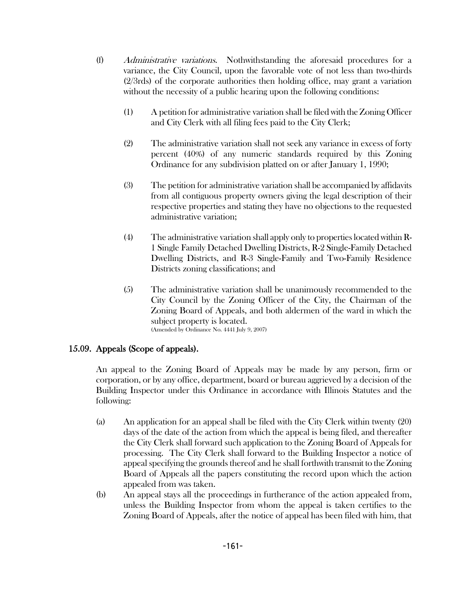- (f) Administrative variations. Nothwithstanding the aforesaid procedures for a variance, the City Council, upon the favorable vote of not less than two-thirds (2/3rds) of the corporate authorities then holding office, may grant a variation without the necessity of a public hearing upon the following conditions:
	- (1) A petition for administrative variation shall be filed with the Zoning Officer and City Clerk with all filing fees paid to the City Clerk;
	- (2) The administrative variation shall not seek any variance in excess of forty percent (40%) of any numeric standards required by this Zoning Ordinance for any subdivision platted on or after January 1, 1990;
	- (3) The petition for administrative variation shall be accompanied by affidavits from all contiguous property owners giving the legal description of their respective properties and stating they have no objections to the requested administrative variation;
	- (4) The administrative variation shall apply only to properties located within R-1 Single Family Detached Dwelling Districts, R-2 Single-Family Detached Dwelling Districts, and R-3 Single-Family and Two-Family Residence Districts zoning classifications; and
	- (5) The administrative variation shall be unanimously recommended to the City Council by the Zoning Officer of the City, the Chairman of the Zoning Board of Appeals, and both aldermen of the ward in which the subject property is located. (Amended by Ordinance No. 4441 July 9, 2007)

### 15.09. Appeals (Scope of appeals).

An appeal to the Zoning Board of Appeals may be made by any person, firm or corporation, or by any office, department, board or bureau aggrieved by a decision of the Building Inspector under this Ordinance in accordance with Illinois Statutes and the following:

- (a) An application for an appeal shall be filed with the City Clerk within twenty (20) days of the date of the action from which the appeal is being filed, and thereafter the City Clerk shall forward such application to the Zoning Board of Appeals for processing. The City Clerk shall forward to the Building Inspector a notice of appeal specifying the grounds thereof and he shall forthwith transmit to the Zoning Board of Appeals all the papers constituting the record upon which the action appealed from was taken.
- (b) An appeal stays all the proceedings in furtherance of the action appealed from, unless the Building Inspector from whom the appeal is taken certifies to the Zoning Board of Appeals, after the notice of appeal has been filed with him, that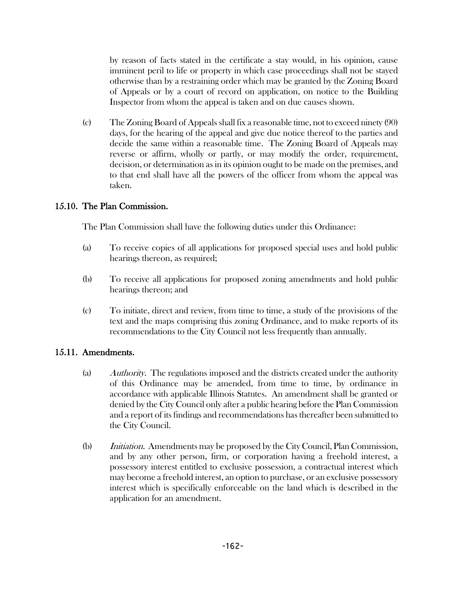by reason of facts stated in the certificate a stay would, in his opinion, cause imminent peril to life or property in which case proceedings shall not be stayed otherwise than by a restraining order which may be granted by the Zoning Board of Appeals or by a court of record on application, on notice to the Building Inspector from whom the appeal is taken and on due causes shown.

(c) The Zoning Board of Appeals shall fix a reasonable time, not to exceed ninety (90) days, for the hearing of the appeal and give due notice thereof to the parties and decide the same within a reasonable time. The Zoning Board of Appeals may reverse or affirm, wholly or partly, or may modify the order, requirement, decision, or determination as in its opinion ought to be made on the premises, and to that end shall have all the powers of the officer from whom the appeal was taken.

## 15.10. The Plan Commission.

The Plan Commission shall have the following duties under this Ordinance:

- (a) To receive copies of all applications for proposed special uses and hold public hearings thereon, as required;
- (b) To receive all applications for proposed zoning amendments and hold public hearings thereon; and
- (c) To initiate, direct and review, from time to time, a study of the provisions of the text and the maps comprising this zoning Ordinance, and to make reports of its recommendations to the City Council not less frequently than annually.

# 15.11. Amendments.

- (a) Authority. The regulations imposed and the districts created under the authority of this Ordinance may be amended, from time to time, by ordinance in accordance with applicable Illinois Statutes. An amendment shall be granted or denied by the City Council only after a public hearing before the Plan Commission and a report of its findings and recommendations has thereafter been submitted to the City Council.
- (b) *Initiation.* Amendments may be proposed by the City Council, Plan Commission, and by any other person, firm, or corporation having a freehold interest, a possessory interest entitled to exclusive possession, a contractual interest which may become a freehold interest, an option to purchase, or an exclusive possessory interest which is specifically enforceable on the land which is described in the application for an amendment.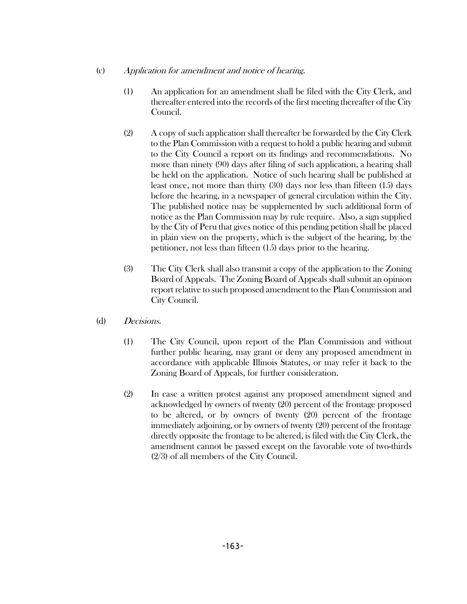- (c) Application for amendment and notice of hearing.
	- (1) An application for an amendment shall be filed with the City Clerk, and thereafter entered into the records of the first meeting thereafter of the City Council.
	- (2) A copy of such application shall thereafter be forwarded by the City Clerk to the Plan Commission with a request to hold a public hearing and submit to the City Council a report on its findings and recommendations. No more than ninety (90) days after filing of such application, a hearing shall be held on the application. Notice of such hearing shall be published at least once, not more than thirty (30) days nor less than fifteen (15) days before the hearing, in a newspaper of general circulation within the City. The published notice may be supplemented by such additional form of notice as the Plan Commission may by rule require. Also, a sign supplied by the City of Peru that gives notice of this pending petition shall be placed in plain view on the property, which is the subject of the hearing, by the petitioner, not less than fifteen (15) days prior to the hearing.
	- (3) The City Clerk shall also transmit a copy of the application to the Zoning Board of Appeals. The Zoning Board of Appeals shall submit an opinion report relative to such proposed amendment to the Plan Commission and City Council.
- (d) Decisions.
	- (1) The City Council, upon report of the Plan Commission and without further public hearing, may grant or deny any proposed amendment in accordance with applicable Illinois Statutes, or may refer it back to the Zoning Board of Appeals, for further consideration.
	- (2) In case a written protest against any proposed amendment signed and acknowledged by owners of twenty (20) percent of the frontage proposed to be altered, or by owners of twenty (20) percent of the frontage immediately adjoining, or by owners of twenty (20) percent of the frontage directly opposite the frontage to be altered, is filed with the City Clerk, the amendment cannot be passed except on the favorable vote of two-thirds (2/3) of all members of the City Council.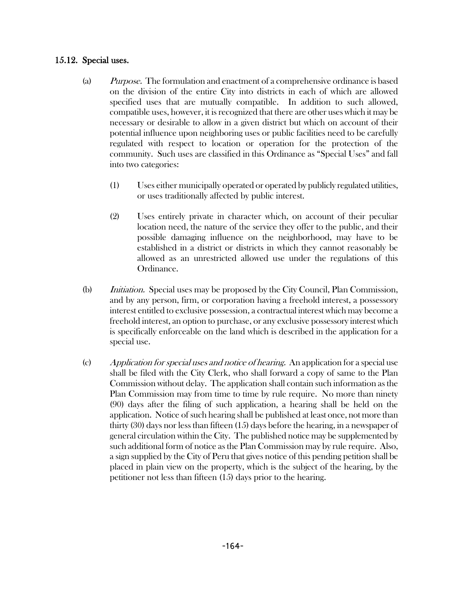### 15.12. Special uses.

- (a) Purpose. The formulation and enactment of a comprehensive ordinance is based on the division of the entire City into districts in each of which are allowed specified uses that are mutually compatible. In addition to such allowed, compatible uses, however, it is recognized that there are other uses which it may be necessary or desirable to allow in a given district but which on account of their potential influence upon neighboring uses or public facilities need to be carefully regulated with respect to location or operation for the protection of the community. Such uses are classified in this Ordinance as "Special Uses" and fall into two categories:
	- (1) Uses either municipally operated or operated by publicly regulated utilities, or uses traditionally affected by public interest.
	- (2) Uses entirely private in character which, on account of their peculiar location need, the nature of the service they offer to the public, and their possible damaging influence on the neighborhood, may have to be established in a district or districts in which they cannot reasonably be allowed as an unrestricted allowed use under the regulations of this Ordinance.
- (b) *Initiation.* Special uses may be proposed by the City Council, Plan Commission, and by any person, firm, or corporation having a freehold interest, a possessory interest entitled to exclusive possession, a contractual interest which may become a freehold interest, an option to purchase, or any exclusive possessory interest which is specifically enforceable on the land which is described in the application for a special use.
- (c) Application for special uses and notice of hearing. An application for a special use shall be filed with the City Clerk, who shall forward a copy of same to the Plan Commission without delay. The application shall contain such information as the Plan Commission may from time to time by rule require. No more than ninety (90) days after the filing of such application, a hearing shall be held on the application. Notice of such hearing shall be published at least once, not more than thirty (30) days nor less than fifteen (15) days before the hearing, in a newspaper of general circulation within the City. The published notice may be supplemented by such additional form of notice as the Plan Commission may by rule require. Also, a sign supplied by the City of Peru that gives notice of this pending petition shall be placed in plain view on the property, which is the subject of the hearing, by the petitioner not less than fifteen (15) days prior to the hearing.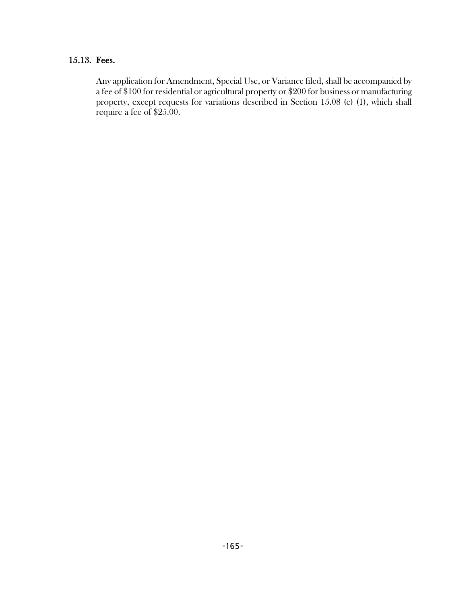## 15.13. Fees.

Any application for Amendment, Special Use, or Variance filed, shall be accompanied by a fee of \$100 for residential or agricultural property or \$200 for business or manufacturing property, except requests for variations described in Section 15.08 (e) (1), which shall require a fee of \$25.00.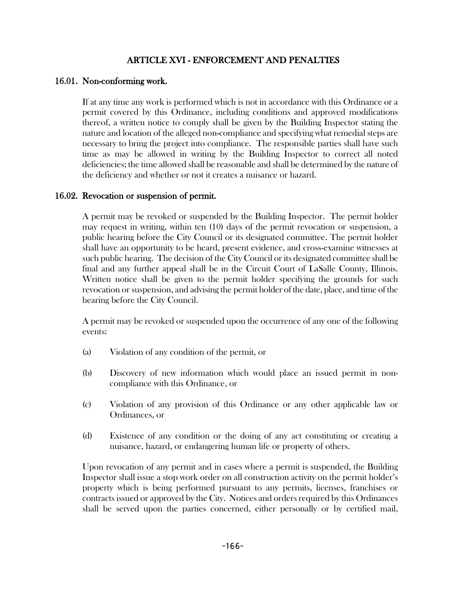### ARTICLE XVI - ENFORCEMENT AND PENALTIES

### 16.01. Non-conforming work.

If at any time any work is performed which is not in accordance with this Ordinance or a permit covered by this Ordinance, including conditions and approved modifications thereof, a written notice to comply shall be given by the Building Inspector stating the nature and location of the alleged non-compliance and specifying what remedial steps are necessary to bring the project into compliance. The responsible parties shall have such time as may be allowed in writing by the Building Inspector to correct all noted deficiencies; the time allowed shall be reasonable and shall be determined by the nature of the deficiency and whether or not it creates a nuisance or hazard.

### 16.02. Revocation or suspension of permit.

A permit may be revoked or suspended by the Building Inspector. The permit holder may request in writing, within ten (10) days of the permit revocation or suspension, a public hearing before the City Council or its designated committee. The permit holder shall have an opportunity to be heard, present evidence, and cross-examine witnesses at such public hearing. The decision of the City Council or its designated committee shall be final and any further appeal shall be in the Circuit Court of LaSalle County, Illinois. Written notice shall be given to the permit holder specifying the grounds for such revocation or suspension, and advising the permit holder of the date, place, and time of the hearing before the City Council.

A permit may be revoked or suspended upon the occurrence of any one of the following events:

- (a) Violation of any condition of the permit, or
- (b) Discovery of new information which would place an issued permit in noncompliance with this Ordinance, or
- (c) Violation of any provision of this Ordinance or any other applicable law or Ordinances, or
- (d) Existence of any condition or the doing of any act constituting or creating a nuisance, hazard, or endangering human life or property of others.

Upon revocation of any permit and in cases where a permit is suspended, the Building Inspector shall issue a stop work order on all construction activity on the permit holder's property which is being performed pursuant to any permits, licenses, franchises or contracts issued or approved by the City. Notices and orders required by this Ordinances shall be served upon the parties concerned, either personally or by certified mail,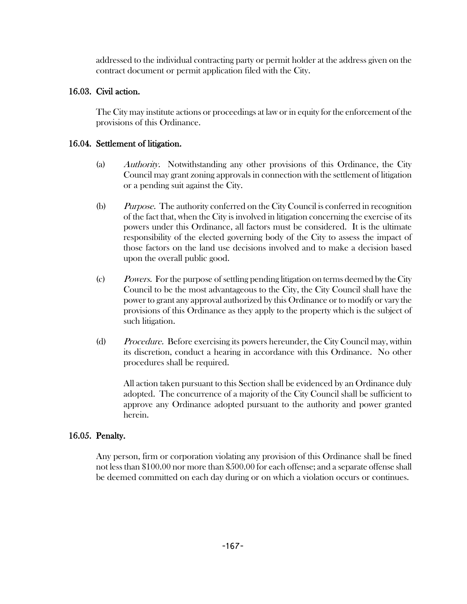addressed to the individual contracting party or permit holder at the address given on the contract document or permit application filed with the City.

### 16.03. Civil action.

The City may institute actions or proceedings at law or in equity for the enforcement of the provisions of this Ordinance.

### 16.04. Settlement of litigation.

- (a) Authority. Notwithstanding any other provisions of this Ordinance, the City Council may grant zoning approvals in connection with the settlement of litigation or a pending suit against the City.
- (b) Purpose. The authority conferred on the City Council is conferred in recognition of the fact that, when the City is involved in litigation concerning the exercise of its powers under this Ordinance, all factors must be considered. It is the ultimate responsibility of the elected governing body of the City to assess the impact of those factors on the land use decisions involved and to make a decision based upon the overall public good.
- (c) Powers. For the purpose of settling pending litigation on terms deemed by the City Council to be the most advantageous to the City, the City Council shall have the power to grant any approval authorized by this Ordinance or to modify or vary the provisions of this Ordinance as they apply to the property which is the subject of such litigation.
- (d) Procedure. Before exercising its powers hereunder, the City Council may, within its discretion, conduct a hearing in accordance with this Ordinance. No other procedures shall be required.

All action taken pursuant to this Section shall be evidenced by an Ordinance duly adopted. The concurrence of a majority of the City Council shall be sufficient to approve any Ordinance adopted pursuant to the authority and power granted herein.

### 16.05. Penalty.

Any person, firm or corporation violating any provision of this Ordinance shall be fined not less than \$100.00 nor more than \$500.00 for each offense; and a separate offense shall be deemed committed on each day during or on which a violation occurs or continues.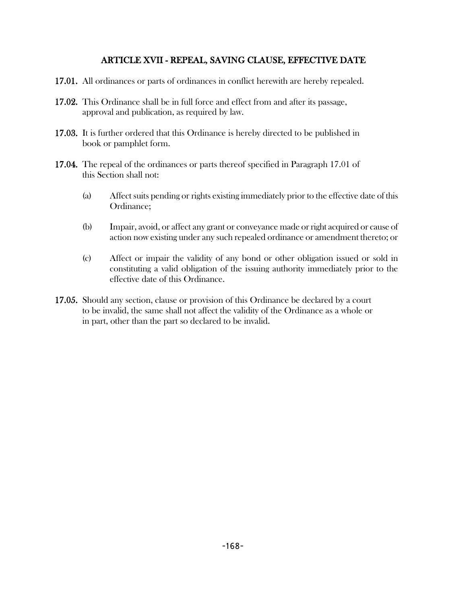### ARTICLE XVII - REPEAL, SAVING CLAUSE, EFFECTIVE DATE

- 17.01. All ordinances or parts of ordinances in conflict herewith are hereby repealed.
- 17.02. This Ordinance shall be in full force and effect from and after its passage, approval and publication, as required by law.
- 17.03. It is further ordered that this Ordinance is hereby directed to be published in book or pamphlet form.
- 17.04. The repeal of the ordinances or parts thereof specified in Paragraph 17.01 of this Section shall not:
	- (a) Affect suits pending or rights existing immediately prior to the effective date of this Ordinance;
	- (b) Impair, avoid, or affect any grant or conveyance made or right acquired or cause of action now existing under any such repealed ordinance or amendment thereto; or
	- (c) Affect or impair the validity of any bond or other obligation issued or sold in constituting a valid obligation of the issuing authority immediately prior to the effective date of this Ordinance.
- 17.05. Should any section, clause or provision of this Ordinance be declared by a court to be invalid, the same shall not affect the validity of the Ordinance as a whole or in part, other than the part so declared to be invalid.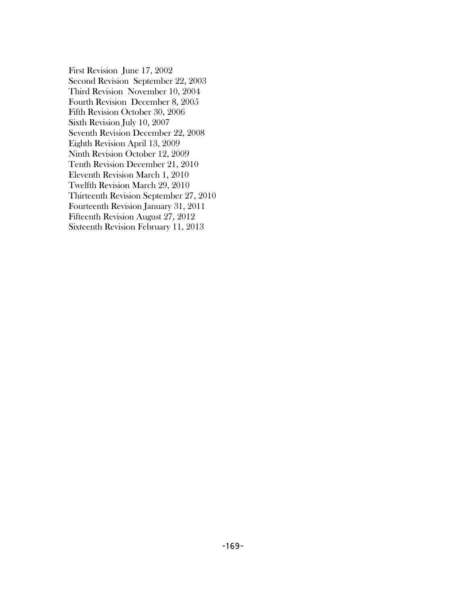First Revision June 17, 2002 Second Revision September 22, 2003 Third Revision November 10, 2004 Fourth Revision December 8, 2005 Fifth Revision October 30, 2006 Sixth Revision July 10, 2007 Seventh Revision December 22, 2008 Eighth Revision April 13, 2009 Ninth Revision October 12, 2009 Tenth Revision December 21, 2010 Eleventh Revision March 1, 2010 Twelfth Revision March 29, 2010 Thirteenth Revision September 27, 2010 Fourteenth Revision January 31, 2011 Fifteenth Revision August 27, 2012 Sixteenth Revision February 11, 2013